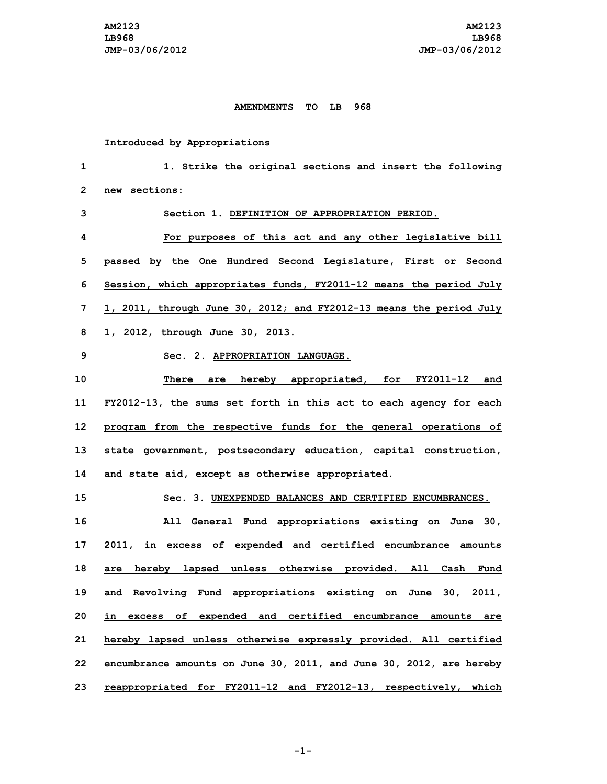## **AMENDMENTS TO LB 968**

**Introduced by Appropriations**

 **1. Strike the original sections and insert the following new sections: Section 1. DEFINITION OF APPROPRIATION PERIOD. For purposes of this act and any other legislative bill passed by the One Hundred Second Legislature, First or Second Session, which appropriates funds, FY2011-12 means the period July 1, 2011, through June 30, 2012; and FY2012-13 means the period July 1, 2012, through June 30, 2013. Sec. 2. APPROPRIATION LANGUAGE. There are hereby appropriated, for FY2011-12 and FY2012-13, the sums set forth in this act to each agency for each program from the respective funds for the general operations of state government, postsecondary education, capital construction, and state aid, except as otherwise appropriated. Sec. 3. UNEXPENDED BALANCES AND CERTIFIED ENCUMBRANCES. All General Fund appropriations existing on June 30, 2011, in excess of expended and certified encumbrance amounts are hereby lapsed unless otherwise provided. All Cash Fund and Revolving Fund appropriations existing on June 30, 2011, in excess of expended and certified encumbrance amounts are hereby lapsed unless otherwise expressly provided. All certified encumbrance amounts on June 30, 2011, and June 30, 2012, are hereby reappropriated for FY2011-12 and FY2012-13, respectively, which**

**-1-**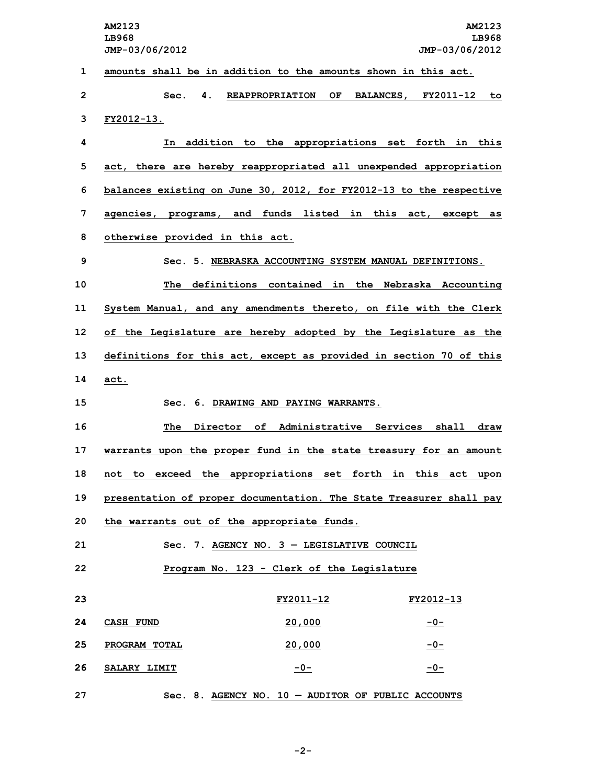**AM2123 AM2123 LB968 LB968 JMP-03/06/2012 JMP-03/06/2012 amounts shall be in addition to the amounts shown in this act. Sec. 4. REAPPROPRIATION OF BALANCES, FY2011-12 to FY2012-13. In addition to the appropriations set forth in this act, there are hereby reappropriated all unexpended appropriation balances existing on June 30, 2012, for FY2012-13 to the respective agencies, programs, and funds listed in this act, except as otherwise provided in this act. Sec. 5. NEBRASKA ACCOUNTING SYSTEM MANUAL DEFINITIONS. The definitions contained in the Nebraska Accounting System Manual, and any amendments thereto, on file with the Clerk of the Legislature are hereby adopted by the Legislature as the definitions for this act, except as provided in section 70 of this 14 act. Sec. 6. DRAWING AND PAYING WARRANTS. The Director of Administrative Services shall draw warrants upon the proper fund in the state treasury for an amount not to exceed the appropriations set forth in this act upon presentation of proper documentation. The State Treasurer shall pay the warrants out of the appropriate funds. Sec. 7. AGENCY NO. 3 — LEGISLATIVE COUNCIL Program No. 123 - Clerk of the Legislature FY2011-12 FY2012-13 CASH FUND 20,000 -0- PROGRAM TOTAL 20,000 -0- SALARY LIMIT -0- -0- Sec. 8. AGENCY NO. 10 — AUDITOR OF PUBLIC ACCOUNTS**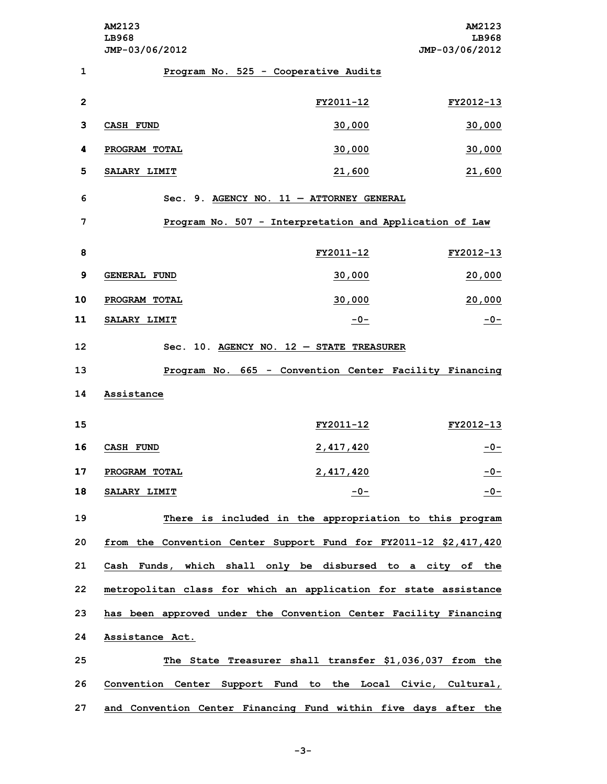**AM2123 AM2123 LB968 LB968 JMP-03/06/2012 JMP-03/06/2012 Program No. 525 - Cooperative Audits FY2011-12 FY2012-13 CASH FUND 30,000 30,000 PROGRAM TOTAL 30,000 30,000 SALARY LIMIT 21,600 21,600 Sec. 9. AGENCY NO. 11 — ATTORNEY GENERAL Program No. 507 - Interpretation and Application of Law FY2011-12 FY2012-13 GENERAL FUND 30,000 20,000 PROGRAM TOTAL 30,000 20,000 SALARY LIMIT -0- -0- Sec. 10. AGENCY NO. 12 — STATE TREASURER Program No. 665 - Convention Center Facility Financing Assistance FY2011-12 FY2012-13 CASH FUND 2,417,420 -0- PROGRAM TOTAL 2,417,420 -0- SALARY LIMIT -0- -0- There is included in the appropriation to this program from the Convention Center Support Fund for FY2011-12 \$2,417,420 Cash Funds, which shall only be disbursed to <sup>a</sup> city of the metropolitan class for which an application for state assistance has been approved under the Convention Center Facility Financing Assistance Act. The State Treasurer shall transfer \$1,036,037 from the Convention Center Support Fund to the Local Civic, Cultural, and Convention Center Financing Fund within five days after the**

**-3-**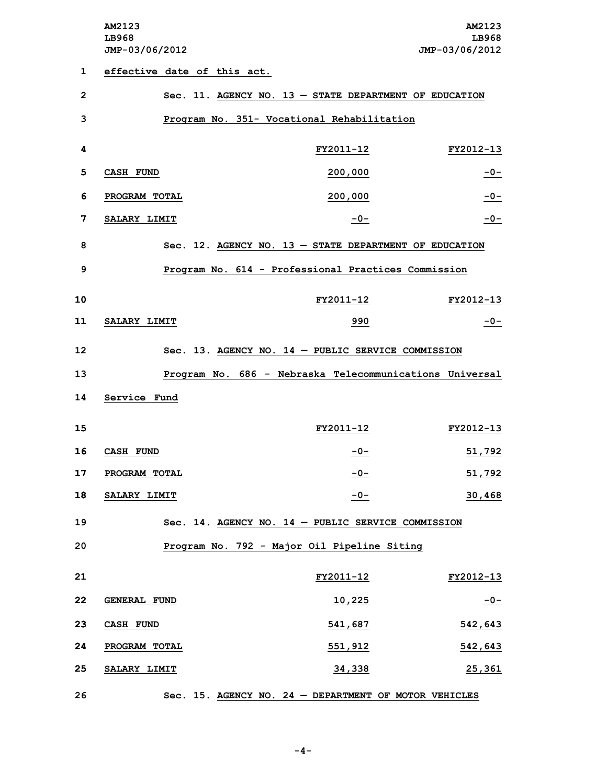**AM2123 AM2123 LB968 LB968 JMP-03/06/2012 JMP-03/06/2012**

 **effective date of this act. Sec. 11. AGENCY NO. 13 — STATE DEPARTMENT OF EDUCATION Program No. 351- Vocational Rehabilitation FY2011-12 FY2012-13 CASH FUND 200,000 -0- PROGRAM TOTAL 200,000 -0- SALARY LIMIT -0- -0- Sec. 12. AGENCY NO. 13 — STATE DEPARTMENT OF EDUCATION Program No. 614 - Professional Practices Commission FY2011-12 FY2012-13 SALARY LIMIT 990 -0- Sec. 13. AGENCY NO. 14 — PUBLIC SERVICE COMMISSION Program No. 686 - Nebraska Telecommunications Universal Service Fund FY2011-12 FY2012-13 CASH FUND -0- 51,792 PROGRAM TOTAL -0- 51,792 SALARY LIMIT -0- 30,468 Sec. 14. AGENCY NO. 14 — PUBLIC SERVICE COMMISSION Program No. 792 - Major Oil Pipeline Siting FY2011-12 FY2012-13 GENERAL FUND 10,225 -0- CASH FUND 541,687 542,643 PROGRAM TOTAL 551,912 542,643 SALARY LIMIT 34,338 25,361 Sec. 15. AGENCY NO. 24 — DEPARTMENT OF MOTOR VEHICLES**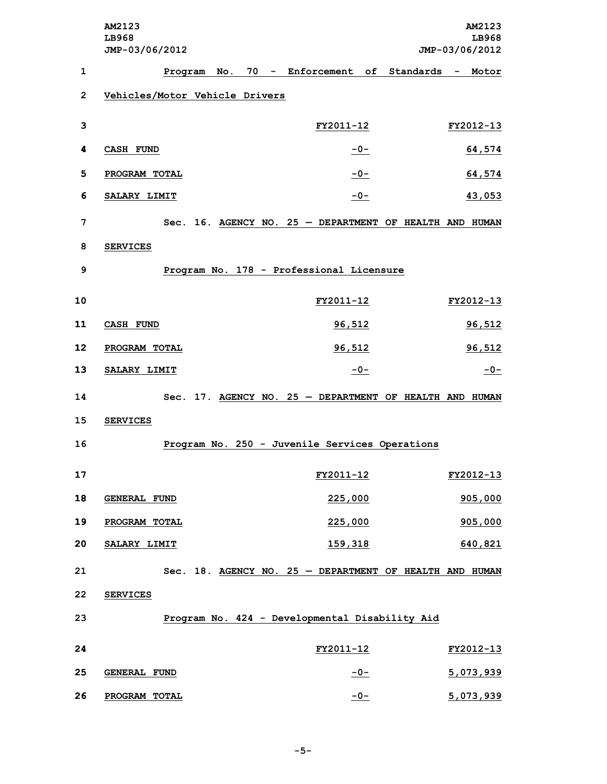|                | AM2123<br>LB968<br>JMP-03/06/2012 |                                                         | AM2123<br>LB968<br>JMP-03/06/2012 |
|----------------|-----------------------------------|---------------------------------------------------------|-----------------------------------|
| 1              |                                   | Program No. 70 - Enforcement of Standards - Motor       |                                   |
| $\overline{2}$ | Vehicles/Motor Vehicle Drivers    |                                                         |                                   |
| 3              |                                   | FY2011-12                                               | FY2012-13                         |
| 4              | CASH FUND                         | $-0-$                                                   | 64,574                            |
| 5              | PROGRAM TOTAL                     | $-0-$                                                   | 64,574                            |
| 6              | SALARY LIMIT                      | $-0-$                                                   | 43,053                            |
| 7              |                                   | Sec. 16. AGENCY NO. 25 - DEPARTMENT OF HEALTH AND HUMAN |                                   |
| 8              | <b>SERVICES</b>                   |                                                         |                                   |
| 9              |                                   | Program No. 178 - Professional Licensure                |                                   |
| 10             |                                   | FY2011-12                                               | FY2012-13                         |
| 11             | <b>CASH FUND</b>                  | 96,512                                                  | 96,512                            |
| 12             | PROGRAM TOTAL                     | 96,512                                                  | 96,512                            |
| 13             | SALARY LIMIT                      | $-0-$                                                   | $-0-$                             |
| 14             |                                   | Sec. 17. AGENCY NO. 25 - DEPARTMENT OF HEALTH AND HUMAN |                                   |
| 15             | <b>SERVICES</b>                   |                                                         |                                   |
| 16             |                                   | Program No. 250 - Juvenile Services Operations          |                                   |
| 17             |                                   | FY2011-12                                               | FY2012-13                         |
| 18             | <b>GENERAL FUND</b>               | 225,000                                                 | 905,000                           |
| 19             | PROGRAM TOTAL                     | 225,000                                                 | 905,000                           |
| 20             | SALARY LIMIT                      | 159,318                                                 | 640,821                           |
| 21             |                                   | Sec. 18. AGENCY NO. 25 - DEPARTMENT OF HEALTH AND HUMAN |                                   |
| 22             | <b>SERVICES</b>                   |                                                         |                                   |
| 23             |                                   | Program No. 424 - Developmental Disability Aid          |                                   |
| 24             |                                   | FY2011-12                                               | FY2012-13                         |
| 25             | <b>GENERAL FUND</b>               | $-0-$                                                   | 5,073,939                         |
| 26             | PROGRAM TOTAL                     | $-0-$                                                   | 5,073,939                         |

**-5-**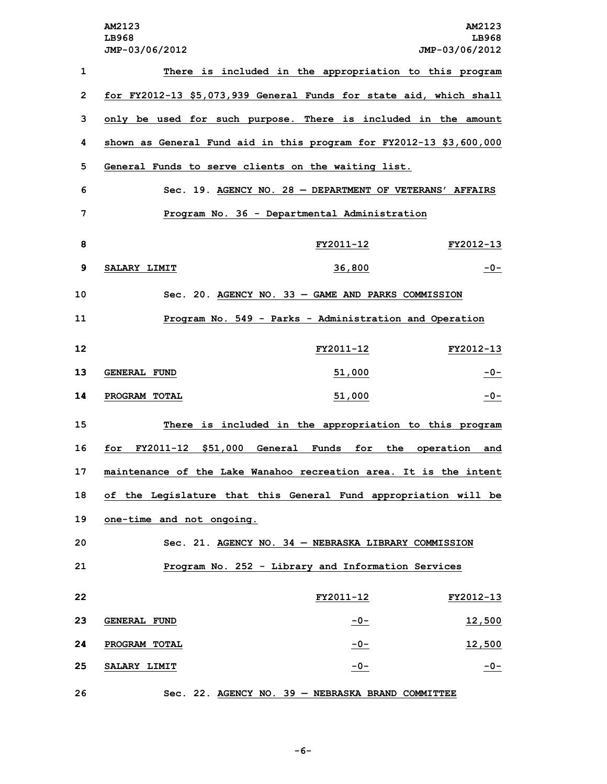| AM2123<br>LB968<br>JMP-03/06/2012 |                     | AM2123<br>LB968<br>JMP-03/06/2012                                                                                                                                                                                                                                                                                                                                                                                                                                                                                                                                                                                                                                                                                                                                                                                                                                                                                                                                |
|-----------------------------------|---------------------|------------------------------------------------------------------------------------------------------------------------------------------------------------------------------------------------------------------------------------------------------------------------------------------------------------------------------------------------------------------------------------------------------------------------------------------------------------------------------------------------------------------------------------------------------------------------------------------------------------------------------------------------------------------------------------------------------------------------------------------------------------------------------------------------------------------------------------------------------------------------------------------------------------------------------------------------------------------|
|                                   |                     |                                                                                                                                                                                                                                                                                                                                                                                                                                                                                                                                                                                                                                                                                                                                                                                                                                                                                                                                                                  |
|                                   |                     |                                                                                                                                                                                                                                                                                                                                                                                                                                                                                                                                                                                                                                                                                                                                                                                                                                                                                                                                                                  |
|                                   |                     |                                                                                                                                                                                                                                                                                                                                                                                                                                                                                                                                                                                                                                                                                                                                                                                                                                                                                                                                                                  |
|                                   |                     |                                                                                                                                                                                                                                                                                                                                                                                                                                                                                                                                                                                                                                                                                                                                                                                                                                                                                                                                                                  |
|                                   |                     |                                                                                                                                                                                                                                                                                                                                                                                                                                                                                                                                                                                                                                                                                                                                                                                                                                                                                                                                                                  |
|                                   |                     |                                                                                                                                                                                                                                                                                                                                                                                                                                                                                                                                                                                                                                                                                                                                                                                                                                                                                                                                                                  |
|                                   |                     |                                                                                                                                                                                                                                                                                                                                                                                                                                                                                                                                                                                                                                                                                                                                                                                                                                                                                                                                                                  |
|                                   | FY2011-12           | FY2012-13                                                                                                                                                                                                                                                                                                                                                                                                                                                                                                                                                                                                                                                                                                                                                                                                                                                                                                                                                        |
| SALARY LIMIT                      | 36,800              | $-0-$                                                                                                                                                                                                                                                                                                                                                                                                                                                                                                                                                                                                                                                                                                                                                                                                                                                                                                                                                            |
|                                   |                     |                                                                                                                                                                                                                                                                                                                                                                                                                                                                                                                                                                                                                                                                                                                                                                                                                                                                                                                                                                  |
|                                   |                     |                                                                                                                                                                                                                                                                                                                                                                                                                                                                                                                                                                                                                                                                                                                                                                                                                                                                                                                                                                  |
|                                   | FY2011-12           | FY2012-13                                                                                                                                                                                                                                                                                                                                                                                                                                                                                                                                                                                                                                                                                                                                                                                                                                                                                                                                                        |
| <b>GENERAL FUND</b>               | 51,000              | $-0-$                                                                                                                                                                                                                                                                                                                                                                                                                                                                                                                                                                                                                                                                                                                                                                                                                                                                                                                                                            |
| PROGRAM TOTAL                     | 51,000              | $-0-$                                                                                                                                                                                                                                                                                                                                                                                                                                                                                                                                                                                                                                                                                                                                                                                                                                                                                                                                                            |
|                                   |                     |                                                                                                                                                                                                                                                                                                                                                                                                                                                                                                                                                                                                                                                                                                                                                                                                                                                                                                                                                                  |
| FY2011-12 \$51,000<br>for         | Funds<br>for<br>the | operation<br>and                                                                                                                                                                                                                                                                                                                                                                                                                                                                                                                                                                                                                                                                                                                                                                                                                                                                                                                                                 |
|                                   |                     |                                                                                                                                                                                                                                                                                                                                                                                                                                                                                                                                                                                                                                                                                                                                                                                                                                                                                                                                                                  |
|                                   |                     |                                                                                                                                                                                                                                                                                                                                                                                                                                                                                                                                                                                                                                                                                                                                                                                                                                                                                                                                                                  |
| one-time and not ongoing.         |                     |                                                                                                                                                                                                                                                                                                                                                                                                                                                                                                                                                                                                                                                                                                                                                                                                                                                                                                                                                                  |
|                                   |                     |                                                                                                                                                                                                                                                                                                                                                                                                                                                                                                                                                                                                                                                                                                                                                                                                                                                                                                                                                                  |
|                                   |                     |                                                                                                                                                                                                                                                                                                                                                                                                                                                                                                                                                                                                                                                                                                                                                                                                                                                                                                                                                                  |
|                                   |                     | FY2012-13                                                                                                                                                                                                                                                                                                                                                                                                                                                                                                                                                                                                                                                                                                                                                                                                                                                                                                                                                        |
|                                   |                     | 12,500                                                                                                                                                                                                                                                                                                                                                                                                                                                                                                                                                                                                                                                                                                                                                                                                                                                                                                                                                           |
| PROGRAM TOTAL                     | $-0-$               | 12,500                                                                                                                                                                                                                                                                                                                                                                                                                                                                                                                                                                                                                                                                                                                                                                                                                                                                                                                                                           |
| SALARY LIMIT                      | $-0-$               | $-0-$                                                                                                                                                                                                                                                                                                                                                                                                                                                                                                                                                                                                                                                                                                                                                                                                                                                                                                                                                            |
|                                   |                     |                                                                                                                                                                                                                                                                                                                                                                                                                                                                                                                                                                                                                                                                                                                                                                                                                                                                                                                                                                  |
|                                   | <b>GENERAL FUND</b> | There is included in the appropriation to this program<br>for FY2012-13 \$5,073,939 General Funds for state aid, which shall<br>only be used for such purpose. There is included in the amount<br>shown as General Fund aid in this program for FY2012-13 \$3,600,000<br>General Funds to serve clients on the waiting list.<br>Sec. 19. AGENCY NO. 28 - DEPARTMENT OF VETERANS' AFFAIRS<br>Program No. 36 - Departmental Administration<br>Sec. 20. AGENCY NO. 33 - GAME AND PARKS COMMISSION<br>Program No. 549 - Parks - Administration and Operation<br>There is included in the appropriation to this program<br>General<br>maintenance of the Lake Wanahoo recreation area. It is the intent<br>of the Legislature that this General Fund appropriation will be<br>Sec. 21. AGENCY NO. $34$ - NEBRASKA LIBRARY COMMISSION<br>Program No. 252 - Library and Information Services<br>FY2011-12<br>$-0-$<br>Sec. 22. AGENCY NO. 39 - NEBRASKA BRAND COMMITTEE |

```
-6-
```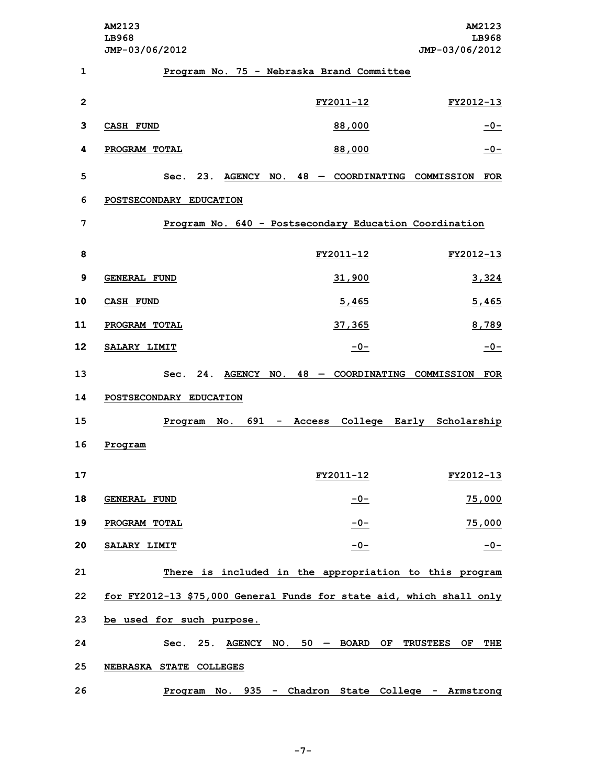**AM2123 AM2123 LB968 LB968 JMP-03/06/2012 JMP-03/06/2012 Program No. 75 - Nebraska Brand Committee FY2011-12 FY2012-13 CASH FUND 88,000 -0- PROGRAM TOTAL 88,000 -0- Sec. 23. AGENCY NO. 48 — COORDINATING COMMISSION FOR POSTSECONDARY EDUCATION Program No. 640 - Postsecondary Education Coordination FY2011-12 FY2012-13 GENERAL FUND 31,900 3,324 CASH FUND 5,465 5,465 PROGRAM TOTAL 37,365 8,789 SALARY LIMIT -0- -0- Sec. 24. AGENCY NO. 48 — COORDINATING COMMISSION FOR POSTSECONDARY EDUCATION Program No. 691 - Access College Early Scholarship 16 Program FY2011-12 FY2012-13 GENERAL FUND -0- 75,000 PROGRAM TOTAL -0- 75,000 SALARY LIMIT -0- -0- There is included in the appropriation to this program for FY2012-13 \$75,000 General Funds for state aid, which shall only be used for such purpose. Sec. 25. AGENCY NO. 50 — BOARD OF TRUSTEES OF THE NEBRASKA STATE COLLEGES Program No. 935 - Chadron State College - Armstrong**

**-7-**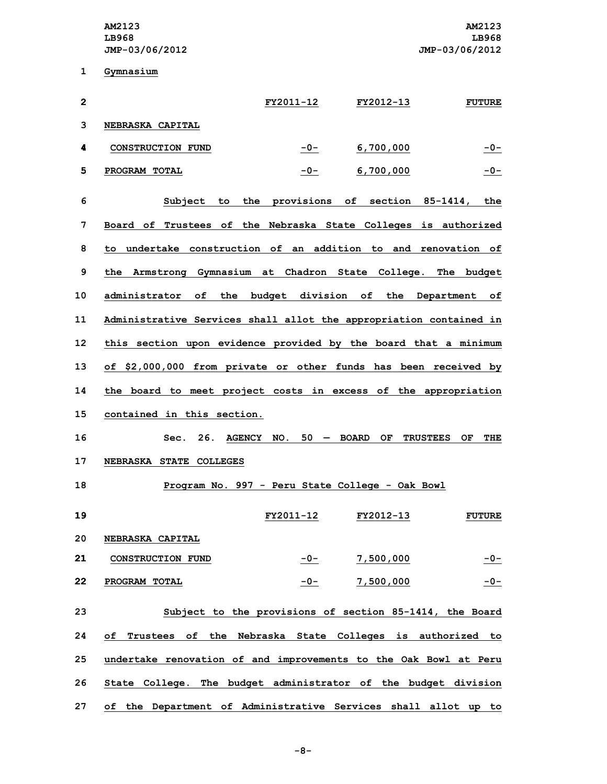**1 Gymnasium**

| $\mathbf{2}$ |                                                                    | FY2011-12  | FY2012-13                          | <b>FUTURE</b>                |
|--------------|--------------------------------------------------------------------|------------|------------------------------------|------------------------------|
| 3            | <b>NEBRASKA CAPITAL</b>                                            |            |                                    |                              |
| 4            | CONSTRUCTION FUND                                                  | $-0-$      | 6,700,000                          | $-0-$                        |
| 5            | PROGRAM TOTAL                                                      | $-0-$      | 6,700,000                          | $-0-$                        |
| 6            | Subject to                                                         |            | the provisions of section 85-1414, | the                          |
| 7            | Board of Trustees of the Nebraska State Colleges is authorized     |            |                                    |                              |
| 8            | to undertake construction of an addition to and renovation of      |            |                                    |                              |
| 9            | the Armstrong Gymnasium at Chadron State College. The budget       |            |                                    |                              |
| 10           | administrator of the budget division of the Department of          |            |                                    |                              |
| 11           | Administrative Services shall allot the appropriation contained in |            |                                    |                              |
| 12           | this section upon evidence provided by the board that a minimum    |            |                                    |                              |
| 13           | of \$2,000,000 from private or other funds has been received by    |            |                                    |                              |
| 14           | the board to meet project costs in excess of the appropriation     |            |                                    |                              |
| 15           | contained in this section.                                         |            |                                    |                              |
| 16           | 26.<br>Sec.                                                        | AGENCY NO. | $50 - BOARD$<br>OF.                | <b>TRUSTEES</b><br>ОF<br>THE |
| 17           | NEBRASKA STATE COLLEGES                                            |            |                                    |                              |
| 18           | Program No. 997 - Peru State College - Oak Bowl                    |            |                                    |                              |
| 19           |                                                                    | FY2011-12  | FY2012-13                          | <b>FUTURE</b>                |
| 20           | NEBRASKA CAPITAL                                                   |            |                                    |                              |
| 21           | CONSTRUCTION FUND                                                  | $-0-$      | 7,500,000                          | $-0-$                        |
| 22           | PROGRAM TOTAL                                                      | -0-        | 7,500,000                          | $-0-$                        |
| 23           | Subject to the provisions of section 85-1414, the Board            |            |                                    |                              |
| 24           | of Trustees of the Nebraska State Colleges is authorized to        |            |                                    |                              |
| 25           | undertake renovation of and improvements to the Oak Bowl at Peru   |            |                                    |                              |
| 26           | State College. The budget administrator of the budget division     |            |                                    |                              |

**27 of the Department of Administrative Services shall allot up to**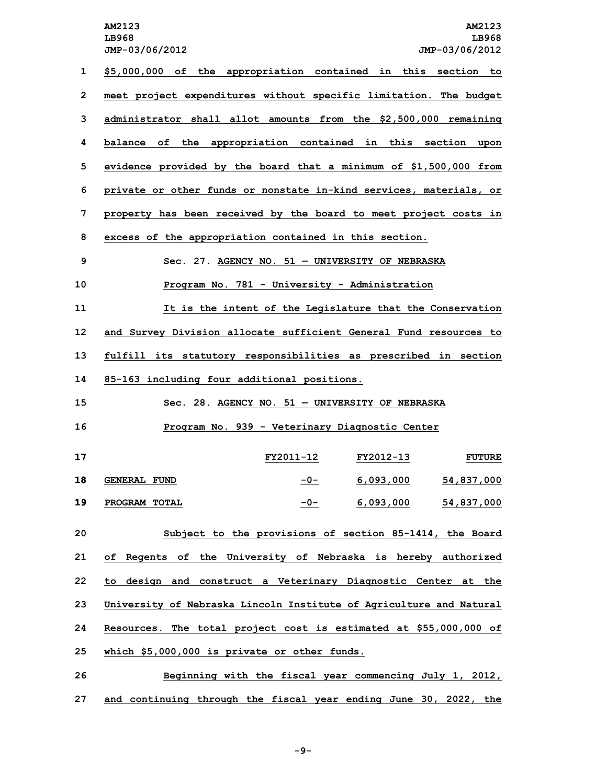**AM2123 AM2123 LB968 LB968 JMP-03/06/2012 JMP-03/06/2012 \$5,000,000 of the appropriation contained in this section to meet project expenditures without specific limitation. The budget administrator shall allot amounts from the \$2,500,000 remaining balance of the appropriation contained in this section upon evidence provided by the board that <sup>a</sup> minimum of \$1,500,000 from private or other funds or nonstate in-kind services, materials, or property has been received by the board to meet project costs in excess of the appropriation contained in this section. Sec. 27. AGENCY NO. 51 — UNIVERSITY OF NEBRASKA Program No. 781 - University - Administration It is the intent of the Legislature that the Conservation and Survey Division allocate sufficient General Fund resources to fulfill its statutory responsibilities as prescribed in section 85-163 including four additional positions. Sec. 28. AGENCY NO. 51 — UNIVERSITY OF NEBRASKA Program No. 939 - Veterinary Diagnostic Center FY2011-12 FY2012-13 FUTURE GENERAL FUND -0- 6,093,000 54,837,000 PROGRAM TOTAL -0- 6,093,000 54,837,000 Subject to the provisions of section 85-1414, the Board of Regents of the University of Nebraska is hereby authorized to design and construct <sup>a</sup> Veterinary Diagnostic Center at the University of Nebraska Lincoln Institute of Agriculture and Natural Resources. The total project cost is estimated at \$55,000,000 of which \$5,000,000 is private or other funds. Beginning with the fiscal year commencing July 1, 2012,**

**27 and continuing through the fiscal year ending June 30, 2022, the**

**-9-**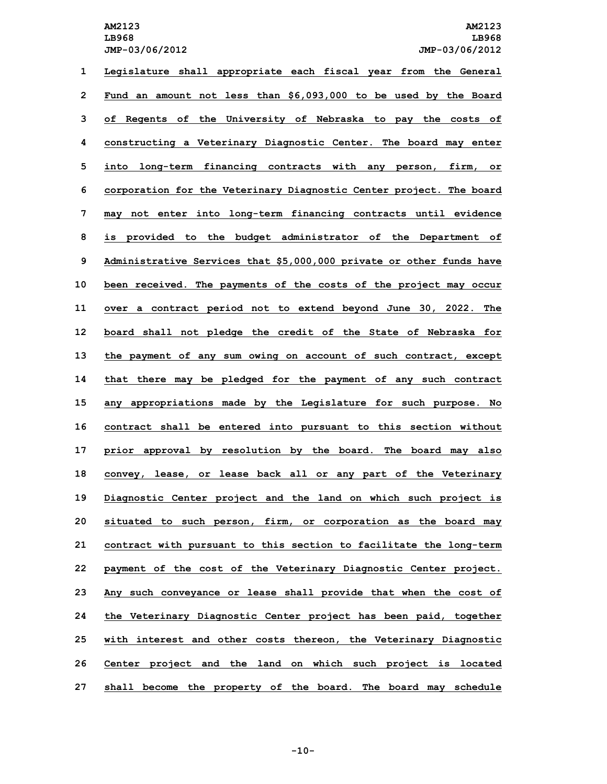**Legislature shall appropriate each fiscal year from the General Fund an amount not less than \$6,093,000 to be used by the Board of Regents of the University of Nebraska to pay the costs of constructing <sup>a</sup> Veterinary Diagnostic Center. The board may enter into long-term financing contracts with any person, firm, or corporation for the Veterinary Diagnostic Center project. The board may not enter into long-term financing contracts until evidence is provided to the budget administrator of the Department of Administrative Services that \$5,000,000 private or other funds have been received. The payments of the costs of the project may occur over <sup>a</sup> contract period not to extend beyond June 30, 2022. The board shall not pledge the credit of the State of Nebraska for the payment of any sum owing on account of such contract, except that there may be pledged for the payment of any such contract any appropriations made by the Legislature for such purpose. No contract shall be entered into pursuant to this section without prior approval by resolution by the board. The board may also convey, lease, or lease back all or any part of the Veterinary Diagnostic Center project and the land on which such project is situated to such person, firm, or corporation as the board may contract with pursuant to this section to facilitate the long-term payment of the cost of the Veterinary Diagnostic Center project. Any such conveyance or lease shall provide that when the cost of the Veterinary Diagnostic Center project has been paid, together with interest and other costs thereon, the Veterinary Diagnostic Center project and the land on which such project is located shall become the property of the board. The board may schedule**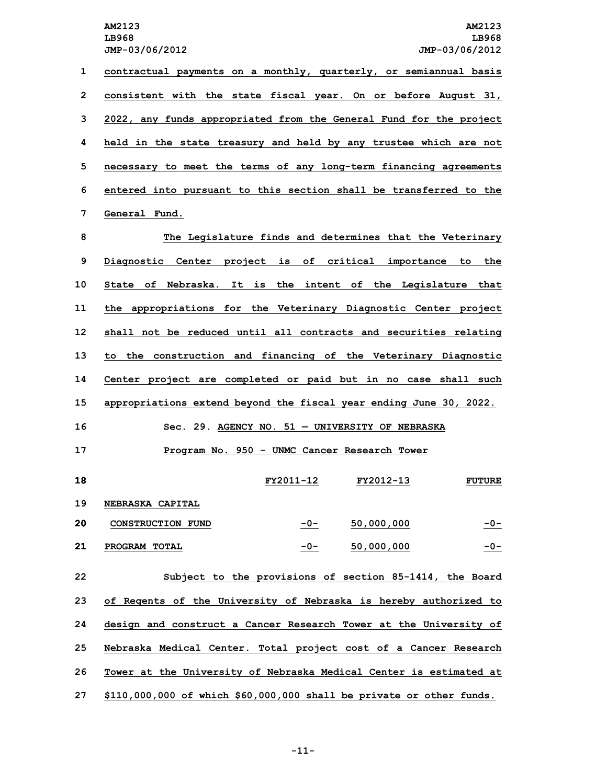**contractual payments on <sup>a</sup> monthly, quarterly, or semiannual basis consistent with the state fiscal year. On or before August 31, 2022, any funds appropriated from the General Fund for the project held in the state treasury and held by any trustee which are not necessary to meet the terms of any long-term financing agreements entered into pursuant to this section shall be transferred to the General Fund.**

 **The Legislature finds and determines that the Veterinary Diagnostic Center project is of critical importance to the State of Nebraska. It is the intent of the Legislature that the appropriations for the Veterinary Diagnostic Center project shall not be reduced until all contracts and securities relating to the construction and financing of the Veterinary Diagnostic Center project are completed or paid but in no case shall such appropriations extend beyond the fiscal year ending June 30, 2022. Sec. 29. AGENCY NO. 51 — UNIVERSITY OF NEBRASKA**

**17 Program No. 950 - UNMC Cancer Research Tower**

 **FY2011-12 FY2012-13 FUTURE NEBRASKA CAPITAL CONSTRUCTION FUND -0- 50,000,000 -0- PROGRAM TOTAL -0- 50,000,000 -0-**

 **Subject to the provisions of section 85-1414, the Board of Regents of the University of Nebraska is hereby authorized to design and construct <sup>a</sup> Cancer Research Tower at the University of Nebraska Medical Center. Total project cost of <sup>a</sup> Cancer Research Tower at the University of Nebraska Medical Center is estimated at \$110,000,000 of which \$60,000,000 shall be private or other funds.**

**-11-**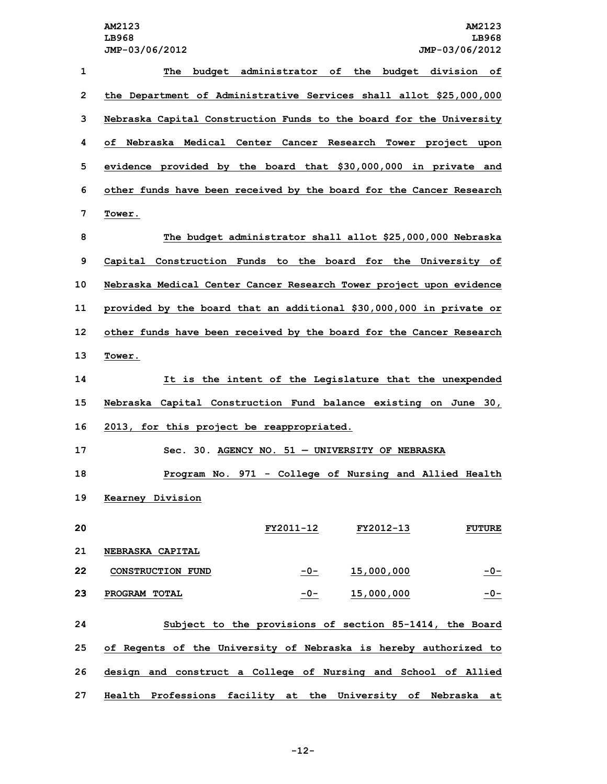| $\mathbf{1}$ | The<br>budget administrator of the budget division of               |
|--------------|---------------------------------------------------------------------|
| $\mathbf{2}$ | the Department of Administrative Services shall allot \$25,000,000  |
| 3            | Nebraska Capital Construction Funds to the board for the University |
| 4            | of Nebraska Medical Center Cancer Research Tower project upon       |
| 5            | evidence provided by the board that \$30,000,000 in private and     |
| 6            | other funds have been received by the board for the Cancer Research |
| 7            | Tower.                                                              |
| 8            | The budget administrator shall allot \$25,000,000 Nebraska          |
| 9            | Capital Construction Funds to the board for the University of       |
| 10           | Nebraska Medical Center Cancer Research Tower project upon evidence |
| 11           | provided by the board that an additional \$30,000,000 in private or |
| 12           | other funds have been received by the board for the Cancer Research |
| 13           | Tower.                                                              |
| 14           | It is the intent of the Legislature that the unexpended             |
| 15           | Nebraska Capital Construction Fund balance existing on June 30,     |
| 16           | 2013, for this project be reappropriated.                           |
| 17           | Sec. 30. AGENCY NO. 51 - UNIVERSITY OF NEBRASKA                     |
| 18           | Program No. 971 - College of Nursing and Allied Health              |
| 19           | <b>Kearney Division</b>                                             |
| 20           | FY2011-12 FY2012-13<br><b>FUTURE</b>                                |
| 21           | NEBRASKA CAPITAL                                                    |
| 22           | CONSTRUCTION FUND<br>15,000,000<br>$-0-$<br>$-0-$                   |
| 23           | $-0-$<br>PROGRAM TOTAL<br>15,000,000<br>$-0-$                       |
| 24           | Subject to the provisions of section 85-1414, the Board             |
| 25           | of Regents of the University of Nebraska is hereby authorized to    |
| 26           | design and construct a College of Nursing and School of Allied      |
| 27           | Health Professions facility at the University of Nebraska at        |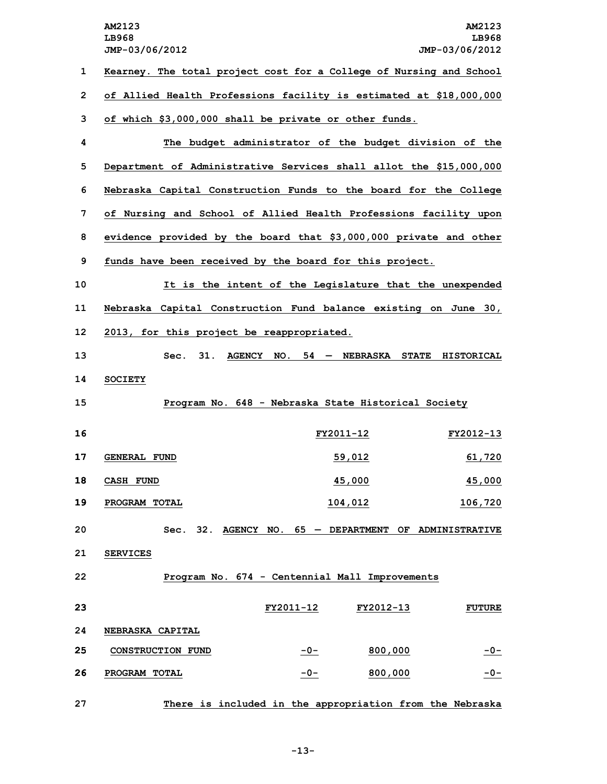**AM2123 AM2123 LB968 LB968 JMP-03/06/2012 JMP-03/06/2012 Kearney. The total project cost for <sup>a</sup> College of Nursing and School of Allied Health Professions facility is estimated at \$18,000,000 of which \$3,000,000 shall be private or other funds. The budget administrator of the budget division of the Department of Administrative Services shall allot the \$15,000,000 Nebraska Capital Construction Funds to the board for the College of Nursing and School of Allied Health Professions facility upon evidence provided by the board that \$3,000,000 private and other funds have been received by the board for this project. It is the intent of the Legislature that the unexpended Nebraska Capital Construction Fund balance existing on June 30, 2013, for this project be reappropriated. Sec. 31. AGENCY NO. 54 — NEBRASKA STATE HISTORICAL 14 SOCIETY Program No. 648 - Nebraska State Historical Society FY2011-12 FY2012-13 GENERAL FUND 59,012 61,720 CASH FUND 45,000 45,000 PROGRAM TOTAL 104,012 106,720 Sec. 32. AGENCY NO. 65 — DEPARTMENT OF ADMINISTRATIVE 21 SERVICES Program No. 674 - Centennial Mall Improvements FY2011-12 FY2012-13 FUTURE NEBRASKA CAPITAL CONSTRUCTION FUND -0- 800,000 -0- PROGRAM TOTAL -0- 800,000 -0-**

**27 There is included in the appropriation from the Nebraska**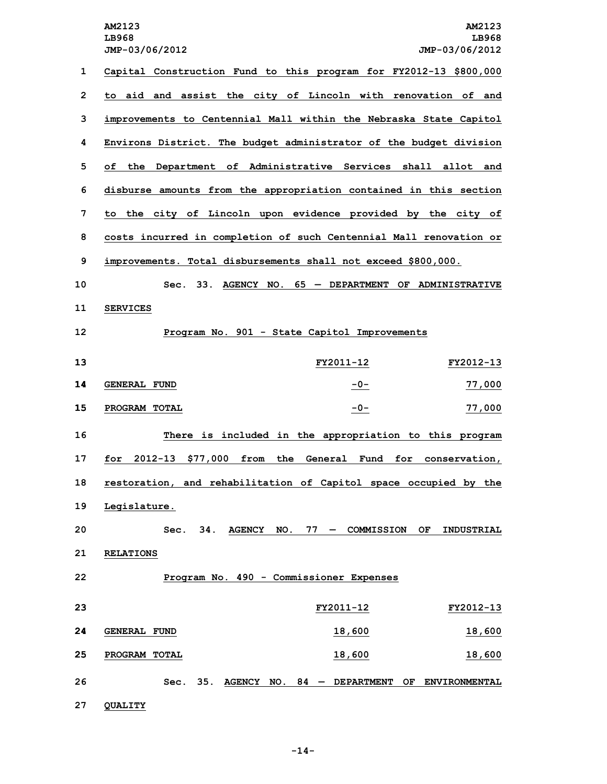**AM2123 AM2123 LB968 LB968 JMP-03/06/2012 JMP-03/06/2012 Capital Construction Fund to this program for FY2012-13 \$800,000 to aid and assist the city of Lincoln with renovation of and improvements to Centennial Mall within the Nebraska State Capitol Environs District. The budget administrator of the budget division of the Department of Administrative Services shall allot and disburse amounts from the appropriation contained in this section to the city of Lincoln upon evidence provided by the city of costs incurred in completion of such Centennial Mall renovation or improvements. Total disbursements shall not exceed \$800,000. Sec. 33. AGENCY NO. 65 — DEPARTMENT OF ADMINISTRATIVE 11 SERVICES Program No. 901 - State Capitol Improvements FY2011-12 FY2012-13 GENERAL FUND -0- 77,000 PROGRAM TOTAL -0- 77,000 There is included in the appropriation to this program for 2012-13 \$77,000 from the General Fund for conservation, restoration, and rehabilitation of Capitol space occupied by the Legislature. Sec. 34. AGENCY NO. 77 — COMMISSION OF INDUSTRIAL RELATIONS Program No. 490 - Commissioner Expenses FY2011-12 FY2012-13 GENERAL FUND 18,600 18,600 PROGRAM TOTAL 18,600 18,600 Sec. 35. AGENCY NO. 84 — DEPARTMENT OF ENVIRONMENTAL 27 QUALITY**

**-14-**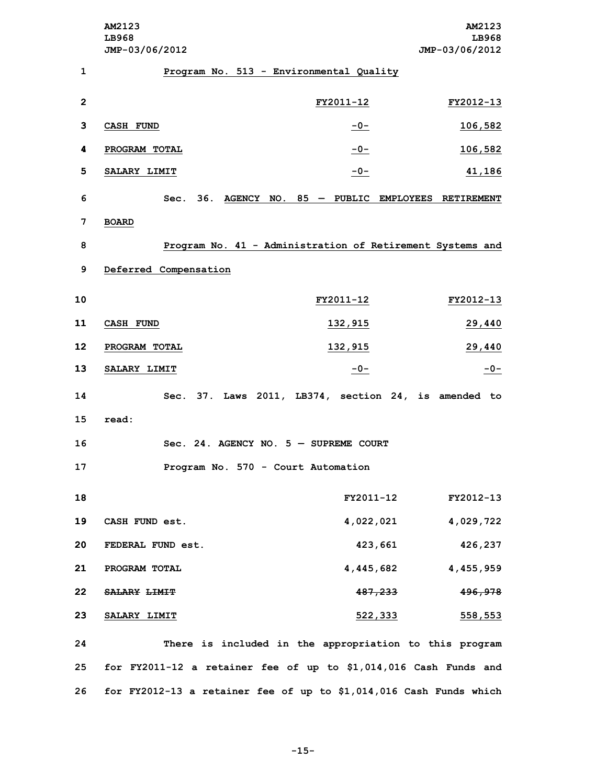**AM2123 AM2123 LB968 LB968 JMP-03/06/2012 JMP-03/06/2012 Program No. 513 - Environmental Quality FY2011-12 FY2012-13 CASH FUND -0- 106,582 PROGRAM TOTAL -0- 106,582 SALARY LIMIT -0- 41,186 Sec. 36. AGENCY NO. 85 — PUBLIC EMPLOYEES RETIREMENT 7 BOARD Program No. 41 - Administration of Retirement Systems and Deferred Compensation FY2011-12 FY2012-13 CASH FUND 132,915 29,440 PROGRAM TOTAL 132,915 29,440 SALARY LIMIT -0- -0- Sec. 37. Laws 2011, LB374, section 24, is amended to 15 read: Sec. 24. AGENCY NO. 5 — SUPREME COURT Program No. 570 - Court Automation FY2011-12 FY2012-13 CASH FUND est. 4,022,021 4,029,722 FEDERAL FUND est. 423,661 426,237 PROGRAM TOTAL 4,445,682 4,455,959 SALARY LIMIT 487,233 496,978 SALARY LIMIT 522,333 558,553 There is included in the appropriation to this program for FY2011-12 <sup>a</sup> retainer fee of up to \$1,014,016 Cash Funds and for FY2012-13 <sup>a</sup> retainer fee of up to \$1,014,016 Cash Funds which**

**-15-**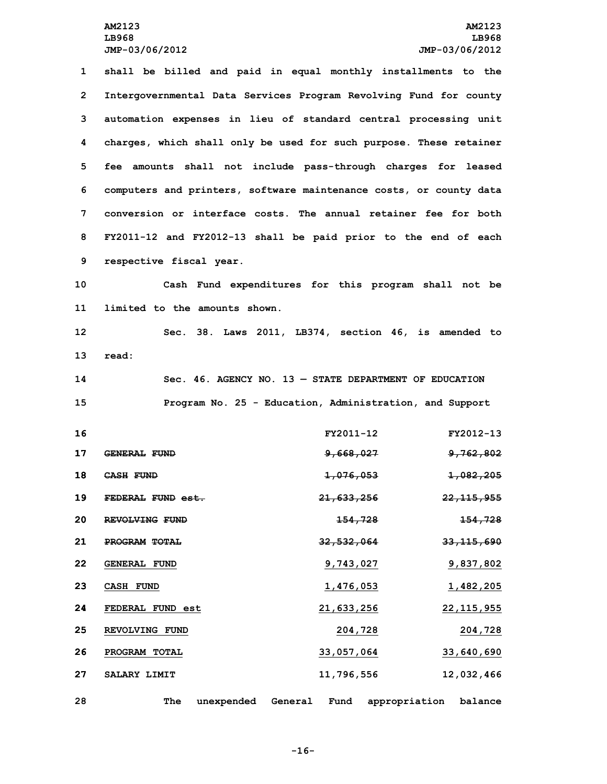**shall be billed and paid in equal monthly installments to the Intergovernmental Data Services Program Revolving Fund for county automation expenses in lieu of standard central processing unit charges, which shall only be used for such purpose. These retainer fee amounts shall not include pass-through charges for leased computers and printers, software maintenance costs, or county data conversion or interface costs. The annual retainer fee for both FY2011-12 and FY2012-13 shall be paid prior to the end of each respective fiscal year. Cash Fund expenditures for this program shall not be limited to the amounts shown. Sec. 38. Laws 2011, LB374, section 46, is amended to 13 read: Sec. 46. AGENCY NO. 13 — STATE DEPARTMENT OF EDUCATION Program No. 25 - Education, Administration, and Support FY2011-12 FY2012-13 GENERAL FUND 9,668,027 9,762,802 CASH FUND 1,076,053 1,082,205 FEDERAL FUND est. 21,633,256 22,115,955 REVOLVING FUND 154,728 154,728 PROGRAM TOTAL 32,532,064 33,115,690 GENERAL FUND 9,743,027 9,837,802 CASH FUND 1,476,053 1,482,205 FEDERAL FUND est 21,633,256 22,115,955 REVOLVING FUND 204,728 204,728 PROGRAM TOTAL 33,057,064 33,640,690 SALARY LIMIT 11,796,556 12,032,466**

**28 The unexpended General Fund appropriation balance**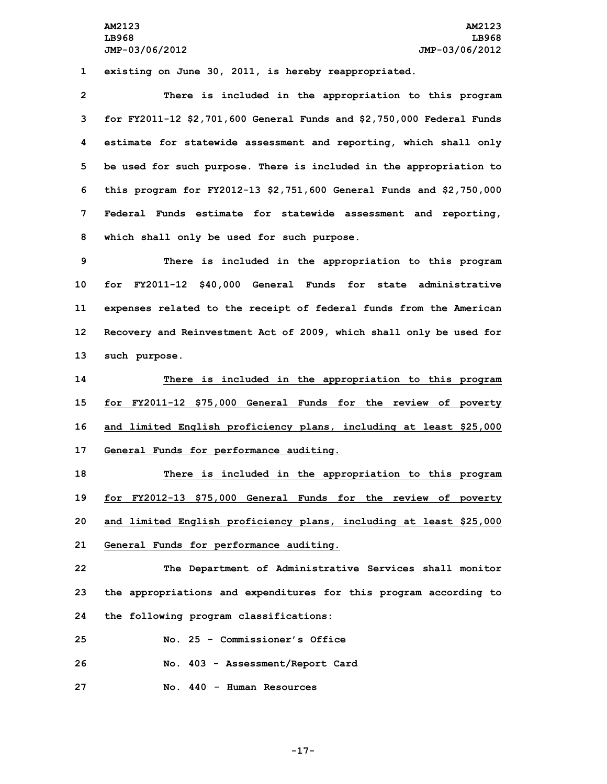**1 existing on June 30, 2011, is hereby reappropriated.**

 **There is included in the appropriation to this program for FY2011-12 \$2,701,600 General Funds and \$2,750,000 Federal Funds estimate for statewide assessment and reporting, which shall only be used for such purpose. There is included in the appropriation to this program for FY2012-13 \$2,751,600 General Funds and \$2,750,000 Federal Funds estimate for statewide assessment and reporting, which shall only be used for such purpose.**

 **There is included in the appropriation to this program for FY2011-12 \$40,000 General Funds for state administrative expenses related to the receipt of federal funds from the American Recovery and Reinvestment Act of 2009, which shall only be used for such purpose.**

 **There is included in the appropriation to this program for FY2011-12 \$75,000 General Funds for the review of poverty and limited English proficiency plans, including at least \$25,000 General Funds for performance auditing.**

 **There is included in the appropriation to this program for FY2012-13 \$75,000 General Funds for the review of poverty and limited English proficiency plans, including at least \$25,000 General Funds for performance auditing.**

**22 The Department of Administrative Services shall monitor 23 the appropriations and expenditures for this program according to 24 the following program classifications:**

**25 No. 25 - Commissioner's Office**

**26 No. 403 - Assessment/Report Card**

**27 No. 440 - Human Resources**

**-17-**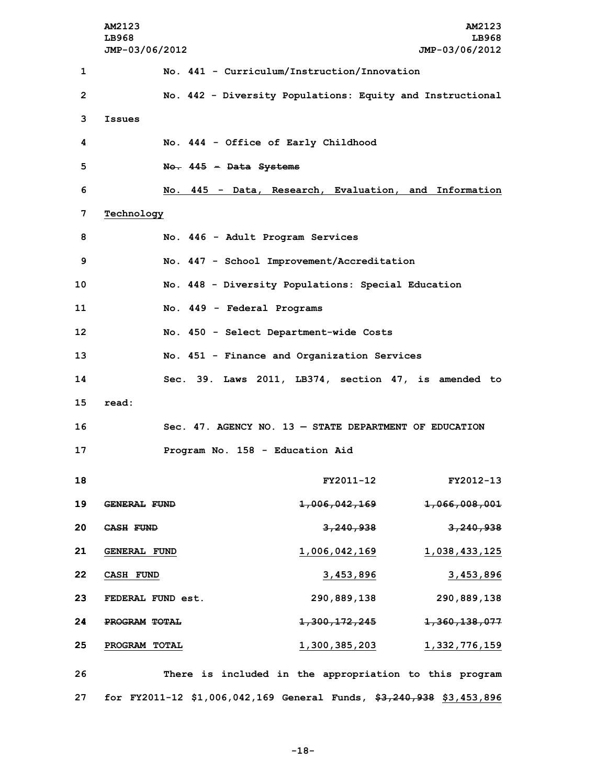|              | AM2123<br>LB968<br>JMP-03/06/2012                                    |                                                            | <b>AM2123</b><br>LB968<br>JMP-03/06/2012 |
|--------------|----------------------------------------------------------------------|------------------------------------------------------------|------------------------------------------|
| 1            |                                                                      | No. 441 - Curriculum/Instruction/Innovation                |                                          |
| $\mathbf{2}$ |                                                                      | No. 442 - Diversity Populations: Equity and Instructional  |                                          |
| 3            | Issues                                                               |                                                            |                                          |
| 4            | No. 444 - Office of Early Childhood                                  |                                                            |                                          |
| 5            | No. 445 - Data Systems                                               |                                                            |                                          |
| 6            |                                                                      | No. 445 - Data, Research, Evaluation, and Information      |                                          |
| 7            | Technology                                                           |                                                            |                                          |
| 8            | No. 446 - Adult Program Services                                     |                                                            |                                          |
| 9            |                                                                      | No. 447 - School Improvement/Accreditation                 |                                          |
| 10           |                                                                      | No. 448 - Diversity Populations: Special Education         |                                          |
| 11           | No. 449 - Federal Programs                                           |                                                            |                                          |
| 12           |                                                                      | No. 450 - Select Department-wide Costs                     |                                          |
| 13           |                                                                      | No. 451 - Finance and Organization Services                |                                          |
| 14           |                                                                      | Sec. 39. Laws 2011, LB374, section 47, is amended to       |                                          |
| 15           | read:                                                                |                                                            |                                          |
| 16           |                                                                      | Sec. $47.$ AGENCY NO. $13 -$ STATE DEPARTMENT OF EDUCATION |                                          |
| 17           | Program No. 158 - Education Aid                                      |                                                            |                                          |
| 18           |                                                                      | FY2011-12                                                  | FY2012-13                                |
| 19           | <b>GENERAL FUND</b>                                                  | <del>1,006,042,169</del>                                   | <del>1,066,008,001</del>                 |
| 20           | <del>CASH</del> FUND                                                 | 3,240,938                                                  | 3,240,938                                |
| 21           | <b>GENERAL FUND</b>                                                  | 1,006,042,169                                              | 1,038,433,125                            |
| 22           | <b>CASH FUND</b>                                                     | 3,453,896                                                  | 3,453,896                                |
| 23           | FEDERAL FUND est.                                                    | 290,889,138                                                | 290,889,138                              |
| 24           | PROGRAM TOTAL                                                        | <del>1,300,172,245</del>                                   | <del>1,360,138,077</del>                 |
| 25           | PROGRAM TOTAL                                                        | <u>1,300,385,203</u>                                       | <u>1,332,776,159</u>                     |
| 26           |                                                                      | There is included in the appropriation to this program     |                                          |
| 27           | for FY2011-12 \$1,006,042,169 General Funds, \$3,240,938 \$3,453,896 |                                                            |                                          |

**-18-**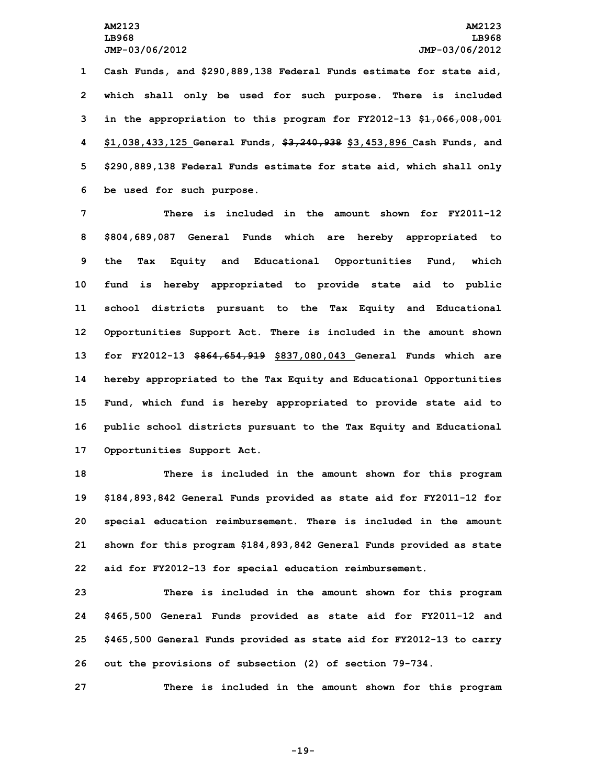**Cash Funds, and \$290,889,138 Federal Funds estimate for state aid, which shall only be used for such purpose. There is included in the appropriation to this program for FY2012-13 \$1,066,008,001 \$1,038,433,125 General Funds, \$3,240,938 \$3,453,896 Cash Funds, and \$290,889,138 Federal Funds estimate for state aid, which shall only be used for such purpose.**

 **There is included in the amount shown for FY2011-12 \$804,689,087 General Funds which are hereby appropriated to the Tax Equity and Educational Opportunities Fund, which fund is hereby appropriated to provide state aid to public school districts pursuant to the Tax Equity and Educational Opportunities Support Act. There is included in the amount shown for FY2012-13 \$864,654,919 \$837,080,043 General Funds which are hereby appropriated to the Tax Equity and Educational Opportunities Fund, which fund is hereby appropriated to provide state aid to public school districts pursuant to the Tax Equity and Educational Opportunities Support Act.**

 **There is included in the amount shown for this program \$184,893,842 General Funds provided as state aid for FY2011-12 for special education reimbursement. There is included in the amount shown for this program \$184,893,842 General Funds provided as state aid for FY2012-13 for special education reimbursement.**

 **There is included in the amount shown for this program \$465,500 General Funds provided as state aid for FY2011-12 and \$465,500 General Funds provided as state aid for FY2012-13 to carry out the provisions of subsection (2) of section 79-734.**

**27 There is included in the amount shown for this program**

**-19-**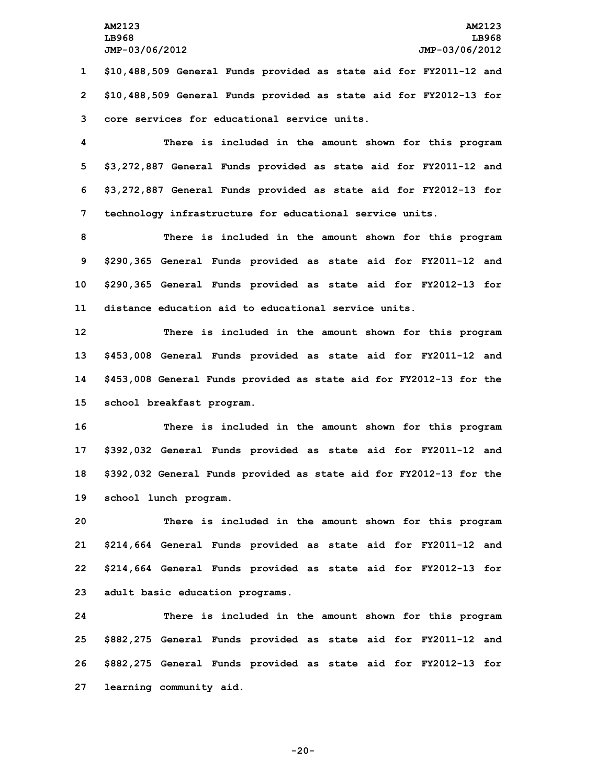**1 \$10,488,509 General Funds provided as state aid for FY2011-12 and 2 \$10,488,509 General Funds provided as state aid for FY2012-13 for 3 core services for educational service units.**

 **There is included in the amount shown for this program \$3,272,887 General Funds provided as state aid for FY2011-12 and \$3,272,887 General Funds provided as state aid for FY2012-13 for technology infrastructure for educational service units.**

 **There is included in the amount shown for this program \$290,365 General Funds provided as state aid for FY2011-12 and \$290,365 General Funds provided as state aid for FY2012-13 for distance education aid to educational service units.**

 **There is included in the amount shown for this program \$453,008 General Funds provided as state aid for FY2011-12 and \$453,008 General Funds provided as state aid for FY2012-13 for the school breakfast program.**

 **There is included in the amount shown for this program \$392,032 General Funds provided as state aid for FY2011-12 and \$392,032 General Funds provided as state aid for FY2012-13 for the school lunch program.**

 **There is included in the amount shown for this program \$214,664 General Funds provided as state aid for FY2011-12 and \$214,664 General Funds provided as state aid for FY2012-13 for adult basic education programs.**

 **There is included in the amount shown for this program \$882,275 General Funds provided as state aid for FY2011-12 and \$882,275 General Funds provided as state aid for FY2012-13 for learning community aid.**

**-20-**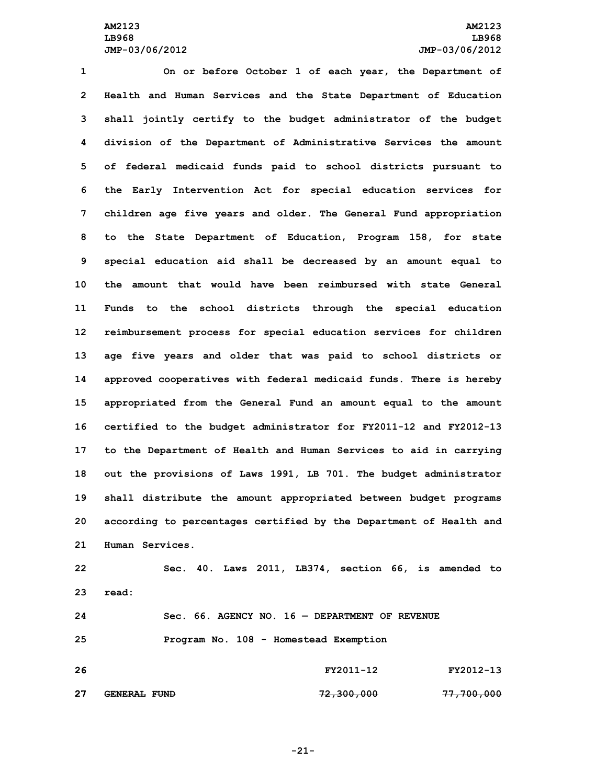**On or before October 1 of each year, the Department of Health and Human Services and the State Department of Education shall jointly certify to the budget administrator of the budget division of the Department of Administrative Services the amount of federal medicaid funds paid to school districts pursuant to the Early Intervention Act for special education services for children age five years and older. The General Fund appropriation to the State Department of Education, Program 158, for state special education aid shall be decreased by an amount equal to the amount that would have been reimbursed with state General Funds to the school districts through the special education reimbursement process for special education services for children age five years and older that was paid to school districts or approved cooperatives with federal medicaid funds. There is hereby appropriated from the General Fund an amount equal to the amount certified to the budget administrator for FY2011-12 and FY2012-13 to the Department of Health and Human Services to aid in carrying out the provisions of Laws 1991, LB 701. The budget administrator shall distribute the amount appropriated between budget programs according to percentages certified by the Department of Health and Human Services.**

 **Sec. 40. Laws 2011, LB374, section 66, is amended to 23 read: Sec. 66. AGENCY NO. 16 — DEPARTMENT OF REVENUE Program No. 108 - Homestead Exemption**

**26 FY2011-12 FY2012-13 27 GENERAL FUND 72,300,000 77,700,000**

**-21-**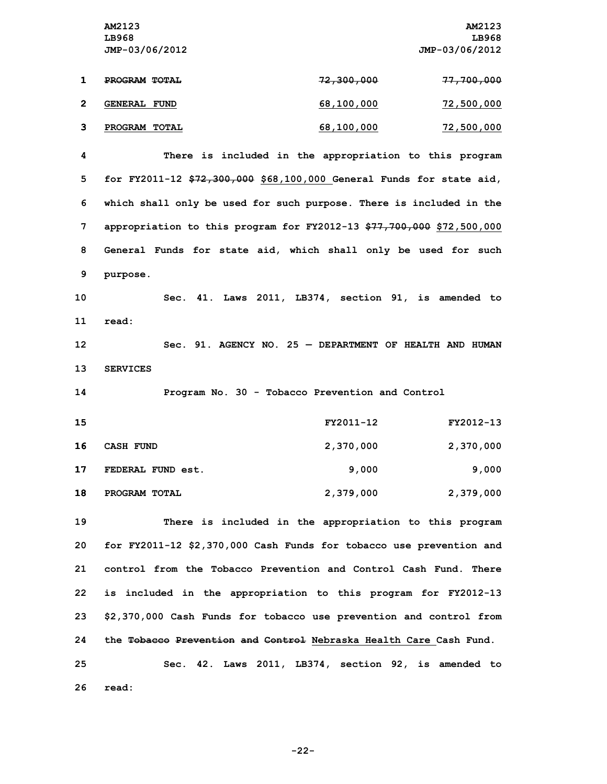**AM2123 AM2123 LB968 LB968 JMP-03/06/2012 JMP-03/06/2012 1 PROGRAM TOTAL 72,300,000 77,700,000**

|   | <b>GENERAL FUND</b> | 68,100,000 | 72,500,000 |
|---|---------------------|------------|------------|
| ີ | PROGRAM TOTAL       | 68,100,000 | 72,500,000 |

 **There is included in the appropriation to this program for FY2011-12 \$72,300,000 \$68,100,000 General Funds for state aid, which shall only be used for such purpose. There is included in the appropriation to this program for FY2012-13 \$77,700,000 \$72,500,000 General Funds for state aid, which shall only be used for such 9 purpose.**

**10 Sec. 41. Laws 2011, LB374, section 91, is amended to 11 read:**

**12 Sec. 91. AGENCY NO. 25 — DEPARTMENT OF HEALTH AND HUMAN 13 SERVICES**

**14 Program No. 30 - Tobacco Prevention and Control**

| 15 |                   | FY2011-12 | FY2012-13 |
|----|-------------------|-----------|-----------|
| 16 | CASH FUND         | 2,370,000 | 2,370,000 |
| 17 | FEDERAL FUND est. | 9,000     | 9,000     |
| 18 | PROGRAM TOTAL     | 2,379,000 | 2,379,000 |

 **There is included in the appropriation to this program for FY2011-12 \$2,370,000 Cash Funds for tobacco use prevention and control from the Tobacco Prevention and Control Cash Fund. There is included in the appropriation to this program for FY2012-13 \$2,370,000 Cash Funds for tobacco use prevention and control from the Tobacco Prevention and Control Nebraska Health Care Cash Fund.**

**25 Sec. 42. Laws 2011, LB374, section 92, is amended to 26 read:**

**-22-**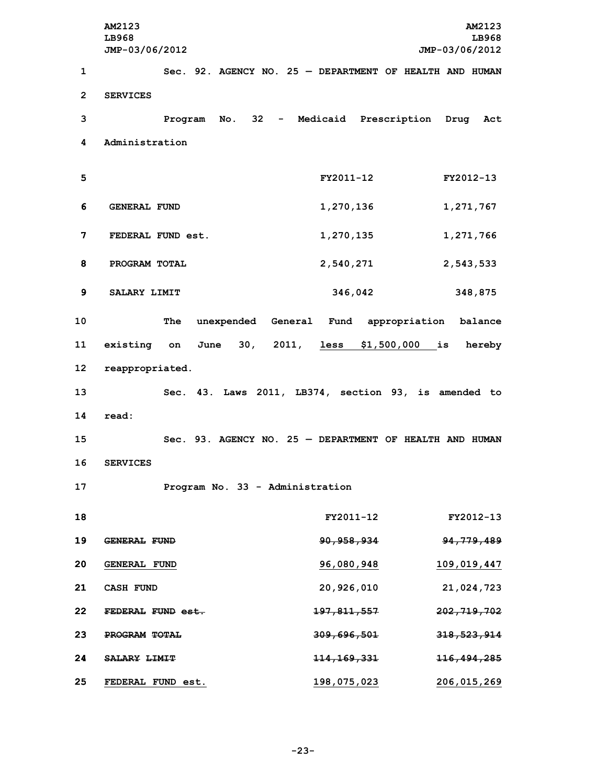**AM2123 AM2123 LB968 LB968 JMP-03/06/2012 JMP-03/06/2012 Sec. 92. AGENCY NO. 25 — DEPARTMENT OF HEALTH AND HUMAN 2 SERVICES Program No. 32 - Medicaid Prescription Drug Act Administration FY2011-12 FY2012-13 GENERAL FUND 1,270,136 1,271,767 FEDERAL FUND est. 1,270,135 1,271,766 PROGRAM TOTAL 2,540,271 2,543,533 SALARY LIMIT 346,042 348,875 The unexpended General Fund appropriation balance existing on June 30, 2011, less \$1,500,000 is hereby reappropriated. Sec. 43. Laws 2011, LB374, section 93, is amended to 14 read: Sec. 93. AGENCY NO. 25 — DEPARTMENT OF HEALTH AND HUMAN 16 SERVICES Program No. 33 - Administration FY2011-12 FY2012-13 GENERAL FUND 90,958,934 94,779,489 GENERAL FUND 96,080,948 109,019,447 CASH FUND 20,926,010 21,024,723 FEDERAL FUND est. 197,811,557 202,719,702 PROGRAM TOTAL 309,696,501 318,523,914 SALARY LIMIT 114,169,331 116,494,285 FEDERAL FUND est. 198,075,023 206,015,269**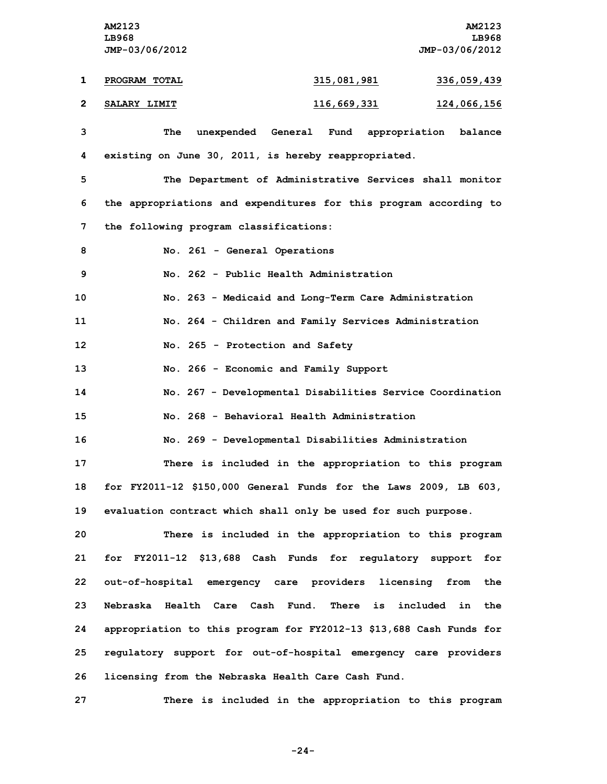**AM2123 AM2123 LB968 LB968 JMP-03/06/2012 JMP-03/06/2012 1 PROGRAM TOTAL 315,081,981 336,059,439 2 SALARY LIMIT 116,669,331 124,066,156**

 **The unexpended General Fund appropriation balance existing on June 30, 2011, is hereby reappropriated. The Department of Administrative Services shall monitor the appropriations and expenditures for this program according to the following program classifications: No. 261 - General Operations No. 262 - Public Health Administration No. 263 - Medicaid and Long-Term Care Administration No. 264 - Children and Family Services Administration No. 265 - Protection and Safety No. 266 - Economic and Family Support No. 267 - Developmental Disabilities Service Coordination No. 268 - Behavioral Health Administration No. 269 - Developmental Disabilities Administration There is included in the appropriation to this program for FY2011-12 \$150,000 General Funds for the Laws 2009, LB 603, evaluation contract which shall only be used for such purpose. There is included in the appropriation to this program for FY2011-12 \$13,688 Cash Funds for regulatory support for out-of-hospital emergency care providers licensing from the Nebraska Health Care Cash Fund. There is included in the appropriation to this program for FY2012-13 \$13,688 Cash Funds for regulatory support for out-of-hospital emergency care providers licensing from the Nebraska Health Care Cash Fund.**

**27 There is included in the appropriation to this program**

**-24-**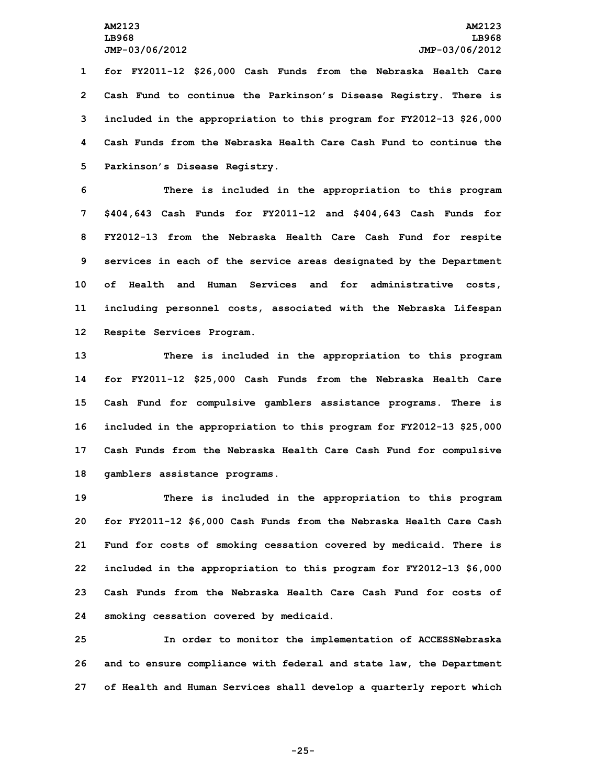**for FY2011-12 \$26,000 Cash Funds from the Nebraska Health Care Cash Fund to continue the Parkinson's Disease Registry. There is included in the appropriation to this program for FY2012-13 \$26,000 Cash Funds from the Nebraska Health Care Cash Fund to continue the Parkinson's Disease Registry.**

 **There is included in the appropriation to this program \$404,643 Cash Funds for FY2011-12 and \$404,643 Cash Funds for FY2012-13 from the Nebraska Health Care Cash Fund for respite services in each of the service areas designated by the Department of Health and Human Services and for administrative costs, including personnel costs, associated with the Nebraska Lifespan Respite Services Program.**

 **There is included in the appropriation to this program for FY2011-12 \$25,000 Cash Funds from the Nebraska Health Care Cash Fund for compulsive gamblers assistance programs. There is included in the appropriation to this program for FY2012-13 \$25,000 Cash Funds from the Nebraska Health Care Cash Fund for compulsive gamblers assistance programs.**

 **There is included in the appropriation to this program for FY2011-12 \$6,000 Cash Funds from the Nebraska Health Care Cash Fund for costs of smoking cessation covered by medicaid. There is included in the appropriation to this program for FY2012-13 \$6,000 Cash Funds from the Nebraska Health Care Cash Fund for costs of smoking cessation covered by medicaid.**

**25 In order to monitor the implementation of ACCESSNebraska 26 and to ensure compliance with federal and state law, the Department 27 of Health and Human Services shall develop <sup>a</sup> quarterly report which**

**-25-**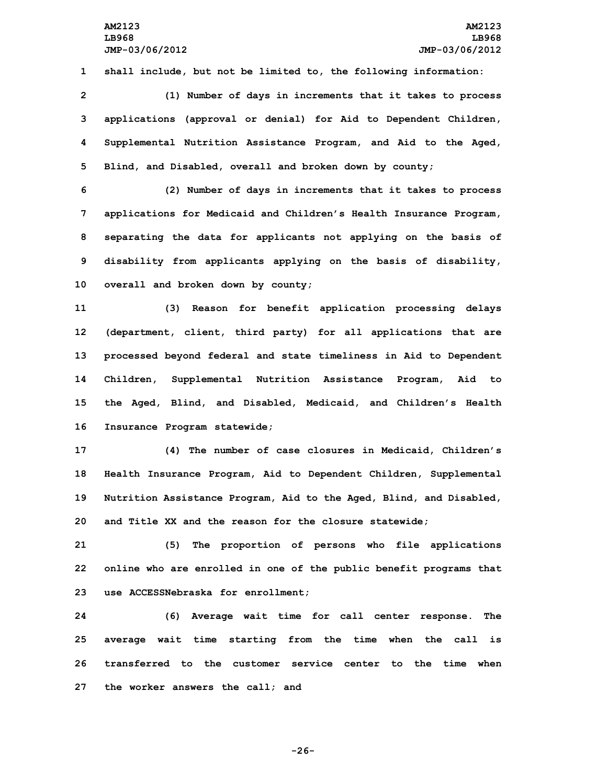**1 shall include, but not be limited to, the following information:**

 **(1) Number of days in increments that it takes to process applications (approval or denial) for Aid to Dependent Children, Supplemental Nutrition Assistance Program, and Aid to the Aged, Blind, and Disabled, overall and broken down by county;**

 **(2) Number of days in increments that it takes to process applications for Medicaid and Children's Health Insurance Program, separating the data for applicants not applying on the basis of disability from applicants applying on the basis of disability, overall and broken down by county;**

 **(3) Reason for benefit application processing delays (department, client, third party) for all applications that are processed beyond federal and state timeliness in Aid to Dependent Children, Supplemental Nutrition Assistance Program, Aid to the Aged, Blind, and Disabled, Medicaid, and Children's Health Insurance Program statewide;**

 **(4) The number of case closures in Medicaid, Children's Health Insurance Program, Aid to Dependent Children, Supplemental Nutrition Assistance Program, Aid to the Aged, Blind, and Disabled, and Title XX and the reason for the closure statewide;**

**21 (5) The proportion of persons who file applications 22 online who are enrolled in one of the public benefit programs that 23 use ACCESSNebraska for enrollment;**

 **(6) Average wait time for call center response. The average wait time starting from the time when the call is transferred to the customer service center to the time when the worker answers the call; and**

**-26-**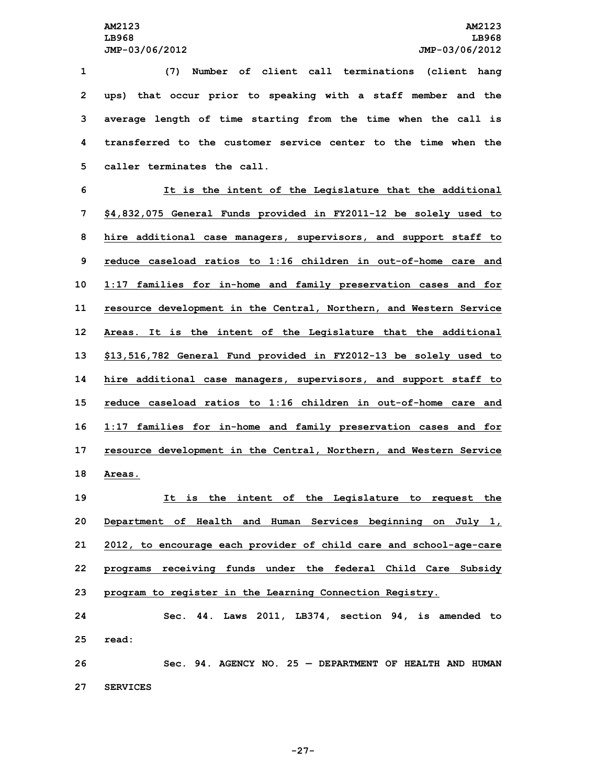**(7) Number of client call terminations (client hang ups) that occur prior to speaking with <sup>a</sup> staff member and the average length of time starting from the time when the call is transferred to the customer service center to the time when the caller terminates the call.**

 **It is the intent of the Legislature that the additional \$4,832,075 General Funds provided in FY2011-12 be solely used to hire additional case managers, supervisors, and support staff to reduce caseload ratios to 1:16 children in out-of-home care and 1:17 families for in-home and family preservation cases and for resource development in the Central, Northern, and Western Service Areas. It is the intent of the Legislature that the additional \$13,516,782 General Fund provided in FY2012-13 be solely used to hire additional case managers, supervisors, and support staff to reduce caseload ratios to 1:16 children in out-of-home care and 1:17 families for in-home and family preservation cases and for resource development in the Central, Northern, and Western Service 18 Areas.**

 **It is the intent of the Legislature to request the Department of Health and Human Services beginning on July 1, 2012, to encourage each provider of child care and school-age-care programs receiving funds under the federal Child Care Subsidy program to register in the Learning Connection Registry.**

**24 Sec. 44. Laws 2011, LB374, section 94, is amended to 25 read: 26 Sec. 94. AGENCY NO. 25 — DEPARTMENT OF HEALTH AND HUMAN**

**27 SERVICES**

**-27-**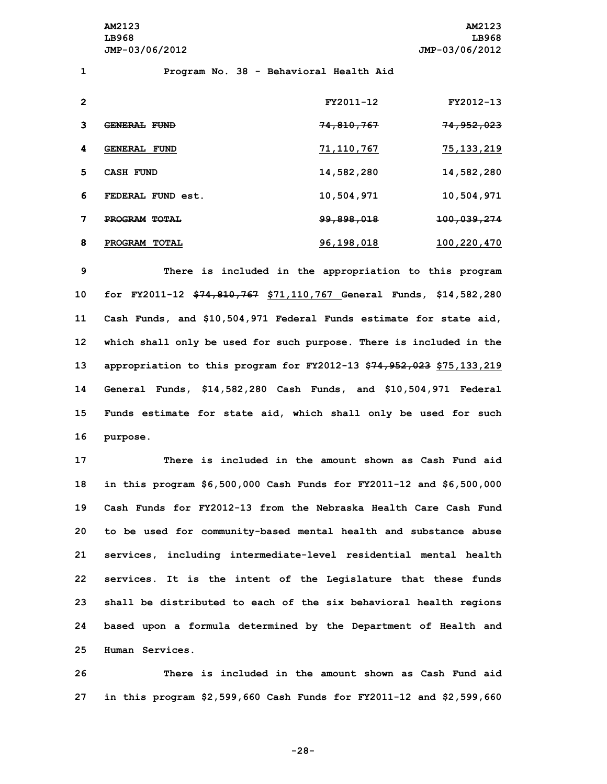**AM2123 AM2123 LB968 LB968 JMP-03/06/2012 JMP-03/06/2012**

 **Program No. 38 - Behavioral Health Aid FY2011-12 FY2012-13 GENERAL FUND 74,810,767 74,952,023 GENERAL FUND 71,110,767 75,133,219 CASH FUND 14,582,280 14,582,280 FEDERAL FUND est. 10,504,971 10,504,971 PROGRAM TOTAL 99,898,018 100,039,274 PROGRAM TOTAL 96,198,018 100,220,470**

 **There is included in the appropriation to this program for FY2011-12 \$74,810,767 \$71,110,767 General Funds, \$14,582,280 Cash Funds, and \$10,504,971 Federal Funds estimate for state aid, which shall only be used for such purpose. There is included in the appropriation to this program for FY2012-13 \$74,952,023 \$75,133,219 General Funds, \$14,582,280 Cash Funds, and \$10,504,971 Federal Funds estimate for state aid, which shall only be used for such 16 purpose.**

 **There is included in the amount shown as Cash Fund aid in this program \$6,500,000 Cash Funds for FY2011-12 and \$6,500,000 Cash Funds for FY2012-13 from the Nebraska Health Care Cash Fund to be used for community-based mental health and substance abuse services, including intermediate-level residential mental health services. It is the intent of the Legislature that these funds shall be distributed to each of the six behavioral health regions based upon <sup>a</sup> formula determined by the Department of Health and Human Services.**

**26 There is included in the amount shown as Cash Fund aid 27 in this program \$2,599,660 Cash Funds for FY2011-12 and \$2,599,660**

**-28-**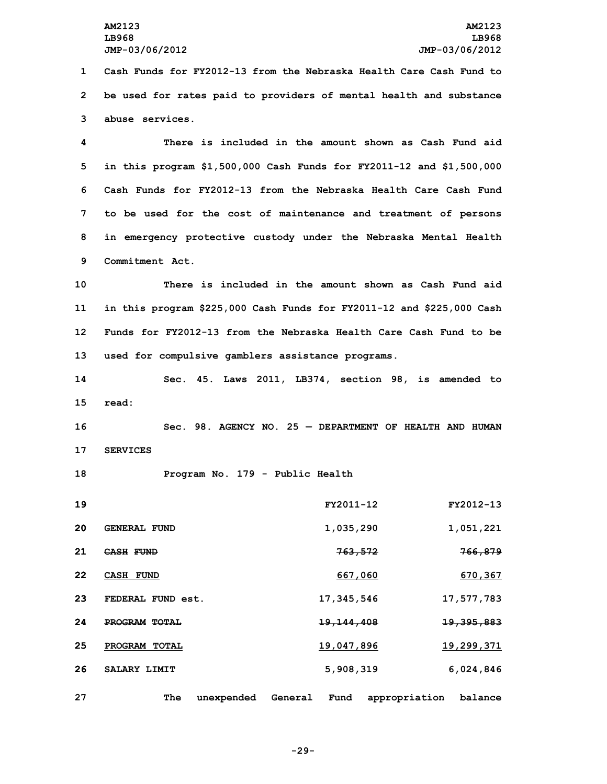**1 Cash Funds for FY2012-13 from the Nebraska Health Care Cash Fund to 2 be used for rates paid to providers of mental health and substance 3 abuse services.**

 **There is included in the amount shown as Cash Fund aid in this program \$1,500,000 Cash Funds for FY2011-12 and \$1,500,000 Cash Funds for FY2012-13 from the Nebraska Health Care Cash Fund to be used for the cost of maintenance and treatment of persons in emergency protective custody under the Nebraska Mental Health Commitment Act.**

 **There is included in the amount shown as Cash Fund aid in this program \$225,000 Cash Funds for FY2011-12 and \$225,000 Cash Funds for FY2012-13 from the Nebraska Health Care Cash Fund to be used for compulsive gamblers assistance programs.**

**14 Sec. 45. Laws 2011, LB374, section 98, is amended to 15 read:**

**16 Sec. 98. AGENCY NO. 25 — DEPARTMENT OF HEALTH AND HUMAN 17 SERVICES**

**18 Program No. 179 - Public Health**

| 19 |                                | FY2011-12               | FY2012-13                |
|----|--------------------------------|-------------------------|--------------------------|
| 20 | <b>GENERAL FUND</b>            | 1,035,290               | 1,051,221                |
| 21 | <b>CASH FUND</b>               | 763,572                 | 766,879                  |
| 22 | <b>CASH FUND</b>               | 667,060                 | 670,367                  |
| 23 | FEDERAL FUND est.              | 17, 345, 546            | 17,577,783               |
| 24 | PROGRAM TOTAL                  | <del>19, 144, 408</del> | <del>19,395,883</del>    |
| 25 | <b>PROGRAM</b><br><b>TOTAL</b> | 19,047,896              | 19,299,371               |
| 26 | SALARY LIMIT                   | 5,908,319               | 6,024,846                |
| 27 | The<br>unexpended              | Fund<br>General         | appropriation<br>balance |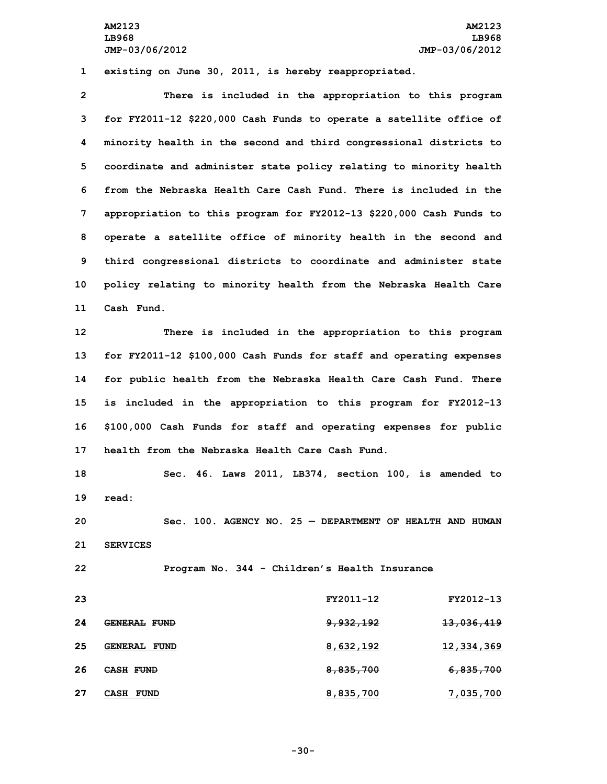**AM2123 AM2123 LB968 LB968 JMP-03/06/2012 JMP-03/06/2012**

**1 existing on June 30, 2011, is hereby reappropriated.**

 **There is included in the appropriation to this program for FY2011-12 \$220,000 Cash Funds to operate <sup>a</sup> satellite office of minority health in the second and third congressional districts to coordinate and administer state policy relating to minority health from the Nebraska Health Care Cash Fund. There is included in the appropriation to this program for FY2012-13 \$220,000 Cash Funds to operate <sup>a</sup> satellite office of minority health in the second and third congressional districts to coordinate and administer state policy relating to minority health from the Nebraska Health Care Cash Fund.**

 **There is included in the appropriation to this program for FY2011-12 \$100,000 Cash Funds for staff and operating expenses for public health from the Nebraska Health Care Cash Fund. There is included in the appropriation to this program for FY2012-13 \$100,000 Cash Funds for staff and operating expenses for public health from the Nebraska Health Care Cash Fund.**

**18 Sec. 46. Laws 2011, LB374, section 100, is amended to 19 read:**

**20 Sec. 100. AGENCY NO. 25 — DEPARTMENT OF HEALTH AND HUMAN 21 SERVICES**

**22 Program No. 344 - Children's Health Insurance**

| -23 |                     | FY2011-12            | FY2012-13             |
|-----|---------------------|----------------------|-----------------------|
| 24  | <b>GENERAL FUND</b> | <del>9,932,192</del> | <del>13,036,419</del> |
| 25  | <b>GENERAL FUND</b> | 8,632,192            | 12,334,369            |
| -26 | <b>CASH FUND</b>    | 8,835,700            | <del>6,835,700</del>  |
| -27 | CASH<br><b>FUND</b> | 8,835,700            | 7,035,700             |

**-30-**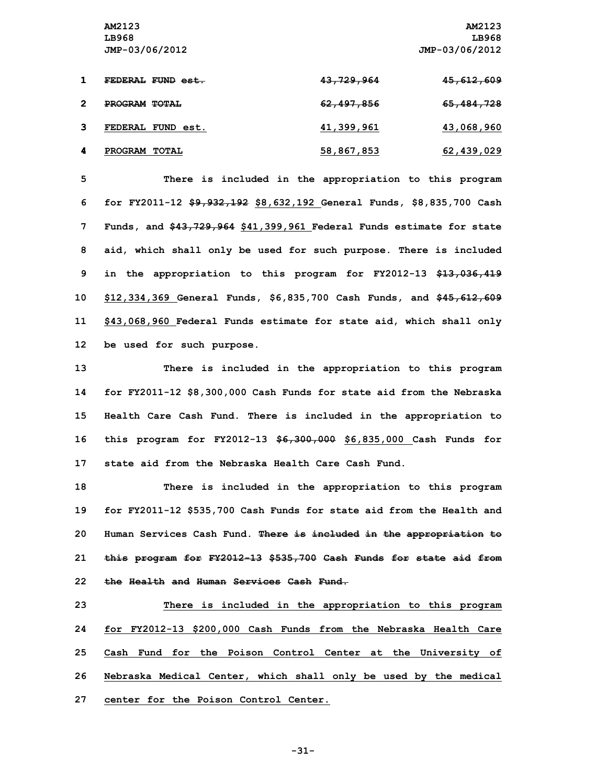**AM2123 AM2123 LB968 LB968 JMP-03/06/2012 JMP-03/06/2012**

| FEDERAL FUND est. | <del>43,729,964</del> | <del>45,612,609</del> |
|-------------------|-----------------------|-----------------------|
| PROGRAM TOTAL     | <del>62,497,856</del> | <del>65,484,728</del> |
| FEDERAL FUND est. | 41,399,961            | 43,068,960            |
| PROGRAM TOTAL     | 58,867,853            | 62,439,029            |

 **There is included in the appropriation to this program for FY2011-12 \$9,932,192 \$8,632,192 General Funds, \$8,835,700 Cash Funds, and \$43,729,964 \$41,399,961 Federal Funds estimate for state aid, which shall only be used for such purpose. There is included in the appropriation to this program for FY2012-13 \$13,036,419 \$12,334,369 General Funds, \$6,835,700 Cash Funds, and \$45,612,609 \$43,068,960 Federal Funds estimate for state aid, which shall only be used for such purpose.**

 **There is included in the appropriation to this program for FY2011-12 \$8,300,000 Cash Funds for state aid from the Nebraska Health Care Cash Fund. There is included in the appropriation to this program for FY2012-13 \$6,300,000 \$6,835,000 Cash Funds for state aid from the Nebraska Health Care Cash Fund.**

 **There is included in the appropriation to this program for FY2011-12 \$535,700 Cash Funds for state aid from the Health and Human Services Cash Fund. There is included in the appropriation to this program for FY2012-13 \$535,700 Cash Funds for state aid from the Health and Human Services Cash Fund.**

 **There is included in the appropriation to this program for FY2012-13 \$200,000 Cash Funds from the Nebraska Health Care Cash Fund for the Poison Control Center at the University of Nebraska Medical Center, which shall only be used by the medical center for the Poison Control Center.**

**-31-**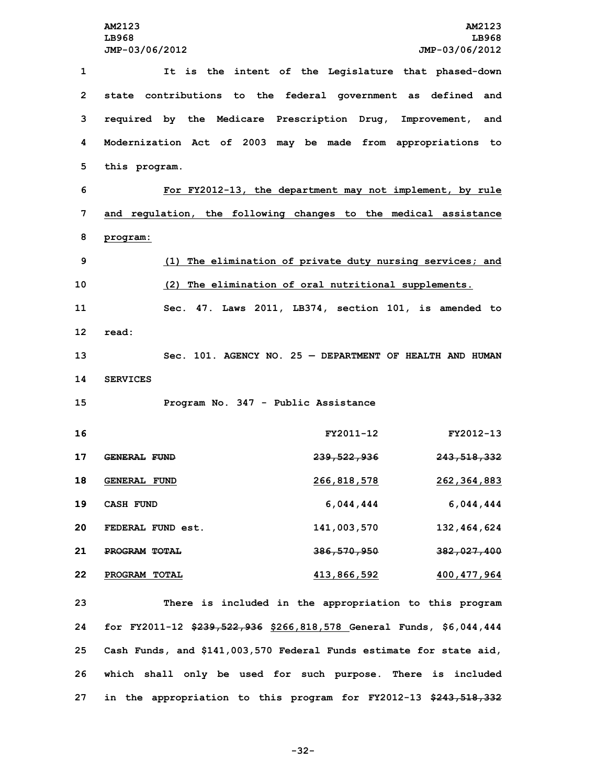**It is the intent of the Legislature that phased-down state contributions to the federal government as defined and required by the Medicare Prescription Drug, Improvement, and Modernization Act of 2003 may be made from appropriations to this program. For FY2012-13, the department may not implement, by rule and regulation, the following changes to the medical assistance 8 program: (1) The elimination of private duty nursing services; and (2) The elimination of oral nutritional supplements. Sec. 47. Laws 2011, LB374, section 101, is amended to 12 read: Sec. 101. AGENCY NO. 25 — DEPARTMENT OF HEALTH AND HUMAN 14 SERVICES Program No. 347 - Public Assistance FY2011-12 FY2012-13 GENERAL FUND 239,522,936 243,518,332 GENERAL FUND 266,818,578 262,364,883 CASH FUND 6,044,444 6,044,444 FEDERAL FUND est. 141,003,570 132,464,624 PROGRAM TOTAL 386,570,950 382,027,400 PROGRAM TOTAL 413,866,592 400,477,964 There is included in the appropriation to this program**

 **for FY2011-12 \$239,522,936 \$266,818,578 General Funds, \$6,044,444 Cash Funds, and \$141,003,570 Federal Funds estimate for state aid, which shall only be used for such purpose. There is included in the appropriation to this program for FY2012-13 \$243,518,332**

**-32-**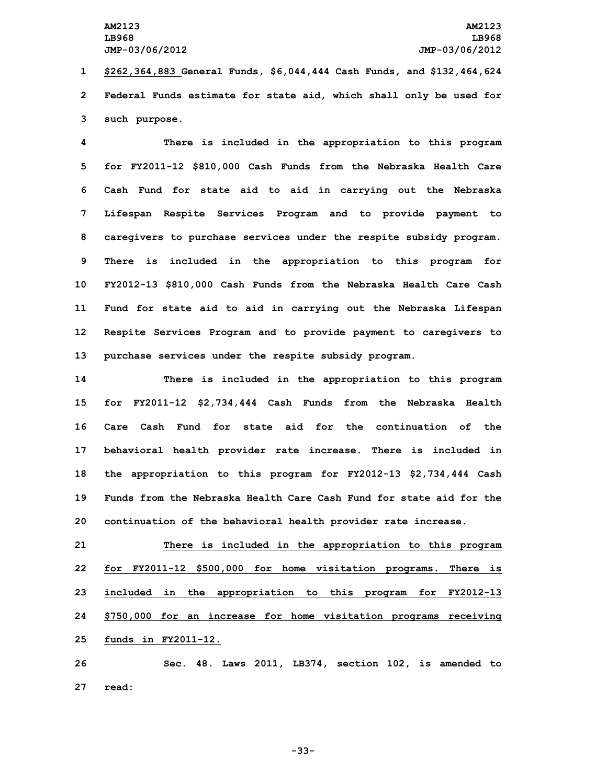**1 \$262,364,883 General Funds, \$6,044,444 Cash Funds, and \$132,464,624 2 Federal Funds estimate for state aid, which shall only be used for 3 such purpose.**

 **There is included in the appropriation to this program for FY2011-12 \$810,000 Cash Funds from the Nebraska Health Care Cash Fund for state aid to aid in carrying out the Nebraska Lifespan Respite Services Program and to provide payment to caregivers to purchase services under the respite subsidy program. There is included in the appropriation to this program for FY2012-13 \$810,000 Cash Funds from the Nebraska Health Care Cash Fund for state aid to aid in carrying out the Nebraska Lifespan Respite Services Program and to provide payment to caregivers to purchase services under the respite subsidy program.**

 **There is included in the appropriation to this program for FY2011-12 \$2,734,444 Cash Funds from the Nebraska Health Care Cash Fund for state aid for the continuation of the behavioral health provider rate increase. There is included in the appropriation to this program for FY2012-13 \$2,734,444 Cash Funds from the Nebraska Health Care Cash Fund for state aid for the continuation of the behavioral health provider rate increase.**

 **There is included in the appropriation to this program for FY2011-12 \$500,000 for home visitation programs. There is included in the appropriation to this program for FY2012-13 \$750,000 for an increase for home visitation programs receiving funds in FY2011-12.**

**26 Sec. 48. Laws 2011, LB374, section 102, is amended to 27 read:**

**-33-**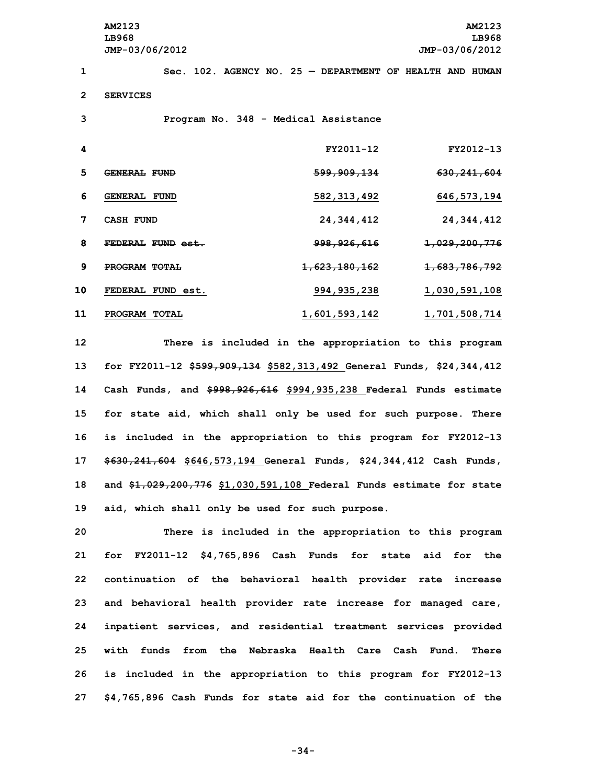**AM2123 AM2123 LB968 LB968 JMP-03/06/2012 JMP-03/06/2012 1 Sec. 102. AGENCY NO. 25 — DEPARTMENT OF HEALTH AND HUMAN 2 SERVICES 3 Program No. 348 - Medical Assistance 4 FY2011-12 FY2012-13 5 GENERAL FUND 599,909,134 630,241,604**

**6 GENERAL FUND 582,313,492 646,573,194**

**7 CASH FUND 24,344,412 24,344,412**

**8 FEDERAL FUND est. 998,926,616 1,029,200,776**

**9 PROGRAM TOTAL 1,623,180,162 1,683,786,792**

 **FEDERAL FUND est. 994,935,238 1,030,591,108 PROGRAM TOTAL 1,601,593,142 1,701,508,714 There is included in the appropriation to this program for FY2011-12 \$599,909,134 \$582,313,492 General Funds, \$24,344,412 Cash Funds, and \$998,926,616 \$994,935,238 Federal Funds estimate for state aid, which shall only be used for such purpose. There is included in the appropriation to this program for FY2012-13 \$630,241,604 \$646,573,194 General Funds, \$24,344,412 Cash Funds, and \$1,029,200,776 \$1,030,591,108 Federal Funds estimate for state aid, which shall only be used for such purpose.**

 **There is included in the appropriation to this program for FY2011-12 \$4,765,896 Cash Funds for state aid for the continuation of the behavioral health provider rate increase and behavioral health provider rate increase for managed care, inpatient services, and residential treatment services provided with funds from the Nebraska Health Care Cash Fund. There is included in the appropriation to this program for FY2012-13 \$4,765,896 Cash Funds for state aid for the continuation of the**

**-34-**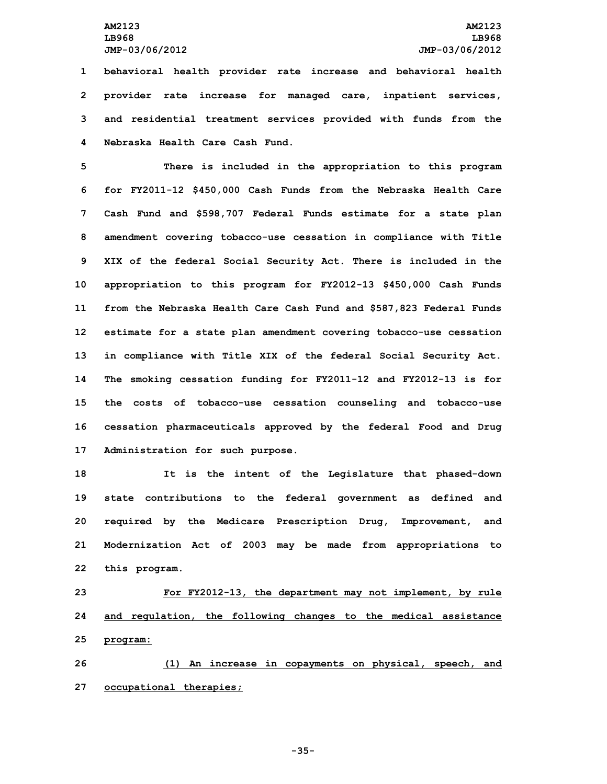**behavioral health provider rate increase and behavioral health provider rate increase for managed care, inpatient services, and residential treatment services provided with funds from the Nebraska Health Care Cash Fund.**

 **There is included in the appropriation to this program for FY2011-12 \$450,000 Cash Funds from the Nebraska Health Care Cash Fund and \$598,707 Federal Funds estimate for <sup>a</sup> state plan amendment covering tobacco-use cessation in compliance with Title XIX of the federal Social Security Act. There is included in the appropriation to this program for FY2012-13 \$450,000 Cash Funds from the Nebraska Health Care Cash Fund and \$587,823 Federal Funds estimate for <sup>a</sup> state plan amendment covering tobacco-use cessation in compliance with Title XIX of the federal Social Security Act. The smoking cessation funding for FY2011-12 and FY2012-13 is for the costs of tobacco-use cessation counseling and tobacco-use cessation pharmaceuticals approved by the federal Food and Drug Administration for such purpose.**

 **It is the intent of the Legislature that phased-down state contributions to the federal government as defined and required by the Medicare Prescription Drug, Improvement, and Modernization Act of 2003 may be made from appropriations to this program.**

**23 For FY2012-13, the department may not implement, by rule 24 and regulation, the following changes to the medical assistance 25 program:**

**26 (1) An increase in copayments on physical, speech, and 27 occupational therapies;**

**-35-**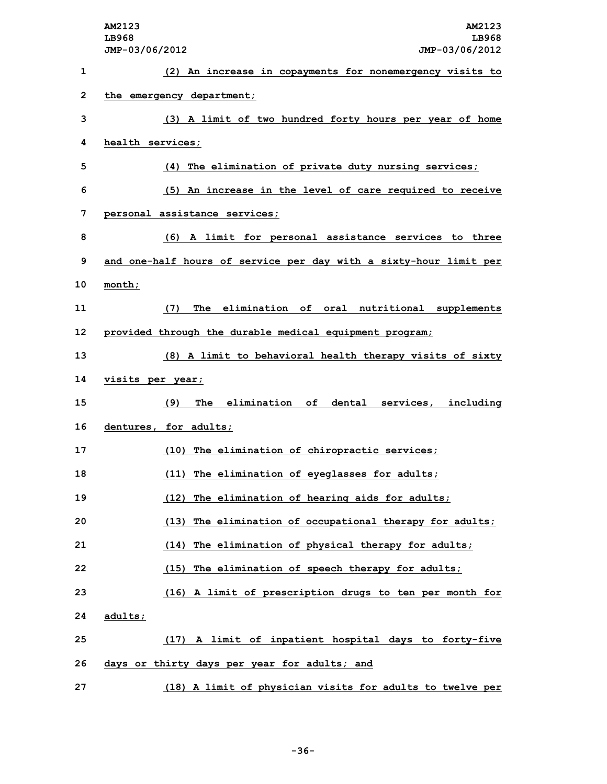|    | AM2123<br>AM2123<br>LB968<br>LB968<br>JMP-03/06/2012<br>JMP-03/06/2012 |
|----|------------------------------------------------------------------------|
| 1  | (2) An increase in copayments for nonemergency visits to               |
| 2  | the emergency department;                                              |
| 3  | (3) A limit of two hundred forty hours per year of home                |
| 4  | health services;                                                       |
| 5  | (4) The elimination of private duty nursing services;                  |
| 6  | (5) An increase in the level of care required to receive               |
| 7  | personal assistance services;                                          |
| 8  | (6) A limit for personal assistance services to three                  |
| 9  | and one-half hours of service per day with a sixty-hour limit per      |
| 10 | month;                                                                 |
| 11 | The elimination of oral nutritional supplements<br>(7)                 |
| 12 | provided through the durable medical equipment program;                |
| 13 | (8) A limit to behavioral health therapy visits of sixty               |
| 14 | visits per year;                                                       |
| 15 | The elimination of dental services, including<br>(9)                   |
| 16 | dentures, for adults;                                                  |
| 17 | (10) The elimination of chiropractic services;                         |
| 18 | (11) The elimination of eyeglasses for adults;                         |
| 19 | (12) The elimination of hearing aids for adults;                       |
| 20 | (13) The elimination of occupational therapy for adults;               |
| 21 | (14) The elimination of physical therapy for adults;                   |
| 22 | (15) The elimination of speech therapy for adults;                     |
| 23 | (16) A limit of prescription drugs to ten per month for                |
| 24 | adults;                                                                |
| 25 | (17) A limit of inpatient hospital days to forty-five                  |
| 26 | days or thirty days per year for adults; and                           |
| 27 | (18) A limit of physician visits for adults to twelve per              |

**-36-**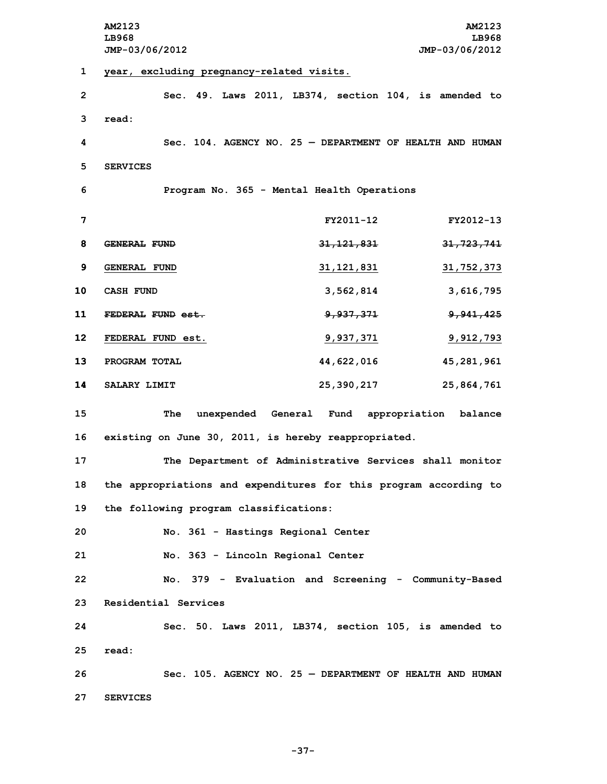**AM2123 AM2123 LB968 LB968 JMP-03/06/2012 JMP-03/06/2012 year, excluding pregnancy-related visits. Sec. 49. Laws 2011, LB374, section 104, is amended to 3 read: Sec. 104. AGENCY NO. 25 — DEPARTMENT OF HEALTH AND HUMAN 5 SERVICES Program No. 365 - Mental Health Operations FY2011-12 FY2012-13 GENERAL FUND 31,121,831 31,723,741 GENERAL FUND 31,121,831 31,752,373 CASH FUND 3,562,814 3,616,795 FEDERAL FUND est. 9,937,371 9,941,425 FEDERAL FUND est. 9,937,371 9,912,793 PROGRAM TOTAL 44,622,016 45,281,961 SALARY LIMIT 25,390,217 25,864,761 The unexpended General Fund appropriation balance existing on June 30, 2011, is hereby reappropriated. The Department of Administrative Services shall monitor the appropriations and expenditures for this program according to the following program classifications: No. 361 - Hastings Regional Center No. 363 - Lincoln Regional Center No. 379 - Evaluation and Screening - Community-Based Residential Services Sec. 50. Laws 2011, LB374, section 105, is amended to 25 read: Sec. 105. AGENCY NO. 25 — DEPARTMENT OF HEALTH AND HUMAN 27 SERVICES**

**-37-**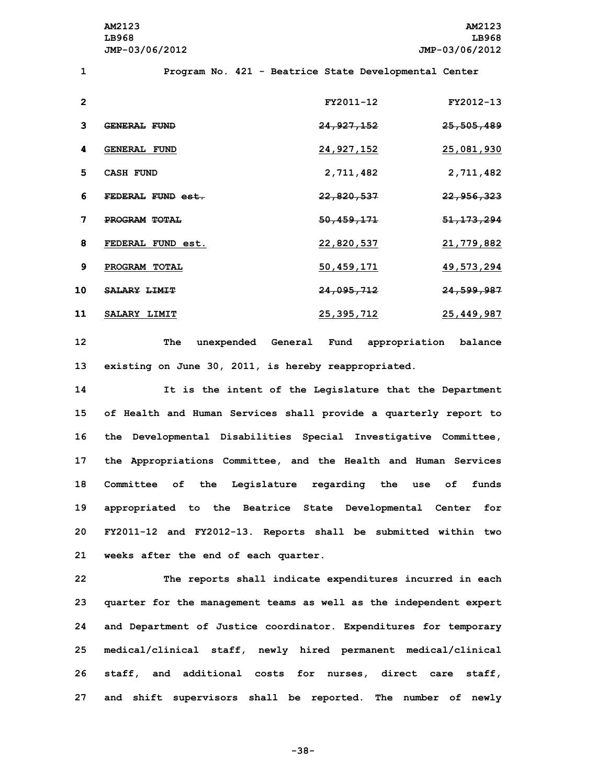**AM2123 AM2123 LB968 LB968 JMP-03/06/2012 JMP-03/06/2012**

**1 Program No. 421 - Beatrice State Developmental Center**

| $\mathbf{2}$ |                     | FY2011-12  | FY2012-13               |
|--------------|---------------------|------------|-------------------------|
| 3            | GENERAL FUND        | 24,927,152 | 25,505,489              |
| 4            | <b>GENERAL FUND</b> | 24,927,152 | 25,081,930              |
| 5            | CASH FUND           | 2,711,482  | 2,711,482               |
| 6            | FEDERAL FUND est.   | 22,820,537 | <del>22,956,323</del>   |
| 7            | PROGRAM TOTAL       | 50,459,171 | <del>51, 173, 294</del> |
| 8            | FEDERAL FUND est.   | 22,820,537 | 21,779,882              |
| 9            | PROGRAM TOTAL       | 50,459,171 | 49,573,294              |
| 10           | <b>SALARY LIMIT</b> | 24,095,712 | 24,599,987              |
| 11           | SALARY LIMIT        | 25,395,712 | 25,449,987              |

**12 The unexpended General Fund appropriation balance 13 existing on June 30, 2011, is hereby reappropriated.**

 **It is the intent of the Legislature that the Department of Health and Human Services shall provide <sup>a</sup> quarterly report to the Developmental Disabilities Special Investigative Committee, the Appropriations Committee, and the Health and Human Services Committee of the Legislature regarding the use of funds appropriated to the Beatrice State Developmental Center for FY2011-12 and FY2012-13. Reports shall be submitted within two weeks after the end of each quarter.**

 **The reports shall indicate expenditures incurred in each quarter for the management teams as well as the independent expert and Department of Justice coordinator. Expenditures for temporary medical/clinical staff, newly hired permanent medical/clinical staff, and additional costs for nurses, direct care staff, and shift supervisors shall be reported. The number of newly**

**-38-**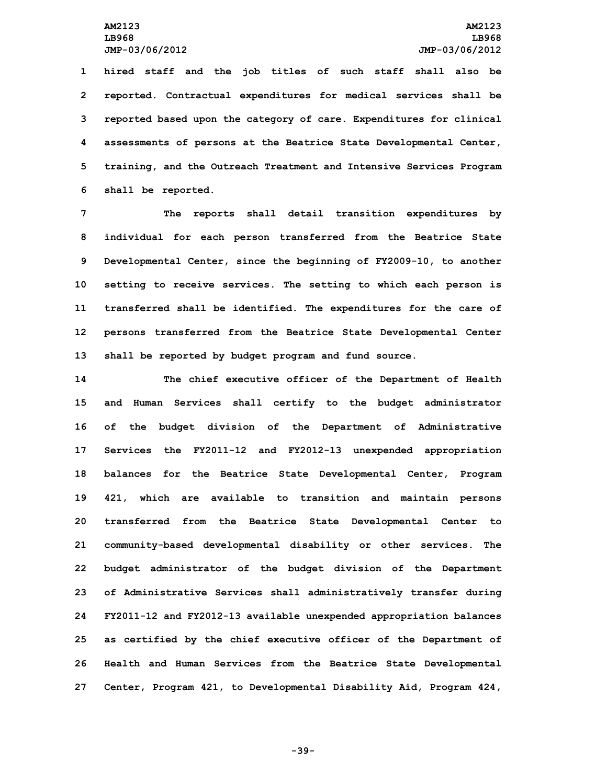**hired staff and the job titles of such staff shall also be reported. Contractual expenditures for medical services shall be reported based upon the category of care. Expenditures for clinical assessments of persons at the Beatrice State Developmental Center, training, and the Outreach Treatment and Intensive Services Program shall be reported.**

 **The reports shall detail transition expenditures by individual for each person transferred from the Beatrice State Developmental Center, since the beginning of FY2009-10, to another setting to receive services. The setting to which each person is transferred shall be identified. The expenditures for the care of persons transferred from the Beatrice State Developmental Center shall be reported by budget program and fund source.**

 **The chief executive officer of the Department of Health and Human Services shall certify to the budget administrator of the budget division of the Department of Administrative Services the FY2011-12 and FY2012-13 unexpended appropriation balances for the Beatrice State Developmental Center, Program 421, which are available to transition and maintain persons transferred from the Beatrice State Developmental Center to community-based developmental disability or other services. The budget administrator of the budget division of the Department of Administrative Services shall administratively transfer during FY2011-12 and FY2012-13 available unexpended appropriation balances as certified by the chief executive officer of the Department of Health and Human Services from the Beatrice State Developmental Center, Program 421, to Developmental Disability Aid, Program 424,**

**-39-**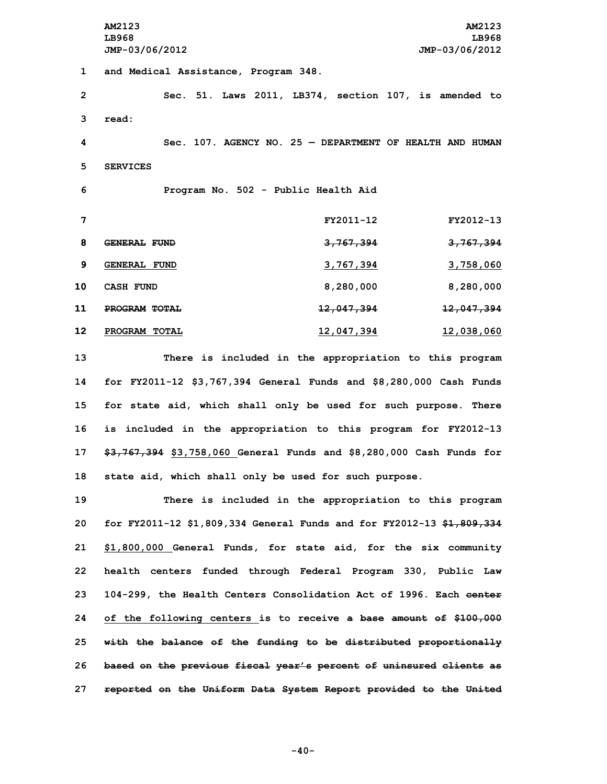**AM2123 AM2123 LB968 LB968 JMP-03/06/2012 JMP-03/06/2012 and Medical Assistance, Program 348. Sec. 51. Laws 2011, LB374, section 107, is amended to 3 read: Sec. 107. AGENCY NO. 25 — DEPARTMENT OF HEALTH AND HUMAN 5 SERVICES Program No. 502 - Public Health Aid FY2011-12 FY2012-13 GENERAL FUND 3,767,394 3,767,394 GENERAL FUND 3,767,394 3,758,060 CASH FUND 8,280,000 8,280,000 PROGRAM TOTAL 12,047,394 12,047,394 PROGRAM TOTAL 12,047,394 12,038,060 There is included in the appropriation to this program**

 **for FY2011-12 \$3,767,394 General Funds and \$8,280,000 Cash Funds for state aid, which shall only be used for such purpose. There is included in the appropriation to this program for FY2012-13 \$3,767,394 \$3,758,060 General Funds and \$8,280,000 Cash Funds for state aid, which shall only be used for such purpose.**

 **There is included in the appropriation to this program for FY2011-12 \$1,809,334 General Funds and for FY2012-13 \$1,809,334 \$1,800,000 General Funds, for state aid, for the six community health centers funded through Federal Program 330, Public Law 104-299, the Health Centers Consolidation Act of 1996. Each center of the following centers is to receive <sup>a</sup> base amount of \$100,000 with the balance of the funding to be distributed proportionally based on the previous fiscal year's percent of uninsured clients as reported on the Uniform Data System Report provided to the United**

**-40-**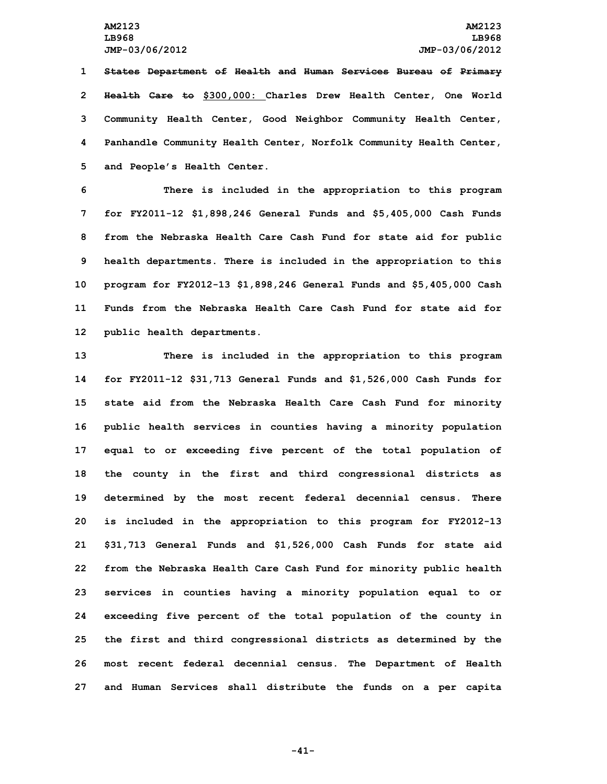**States Department of Health and Human Services Bureau of Primary Health Care to \$300,000: Charles Drew Health Center, One World Community Health Center, Good Neighbor Community Health Center, Panhandle Community Health Center, Norfolk Community Health Center, and People's Health Center.**

 **There is included in the appropriation to this program for FY2011-12 \$1,898,246 General Funds and \$5,405,000 Cash Funds from the Nebraska Health Care Cash Fund for state aid for public health departments. There is included in the appropriation to this program for FY2012-13 \$1,898,246 General Funds and \$5,405,000 Cash Funds from the Nebraska Health Care Cash Fund for state aid for public health departments.**

 **There is included in the appropriation to this program for FY2011-12 \$31,713 General Funds and \$1,526,000 Cash Funds for state aid from the Nebraska Health Care Cash Fund for minority public health services in counties having <sup>a</sup> minority population equal to or exceeding five percent of the total population of the county in the first and third congressional districts as determined by the most recent federal decennial census. There is included in the appropriation to this program for FY2012-13 \$31,713 General Funds and \$1,526,000 Cash Funds for state aid from the Nebraska Health Care Cash Fund for minority public health services in counties having <sup>a</sup> minority population equal to or exceeding five percent of the total population of the county in the first and third congressional districts as determined by the most recent federal decennial census. The Department of Health and Human Services shall distribute the funds on <sup>a</sup> per capita**

**-41-**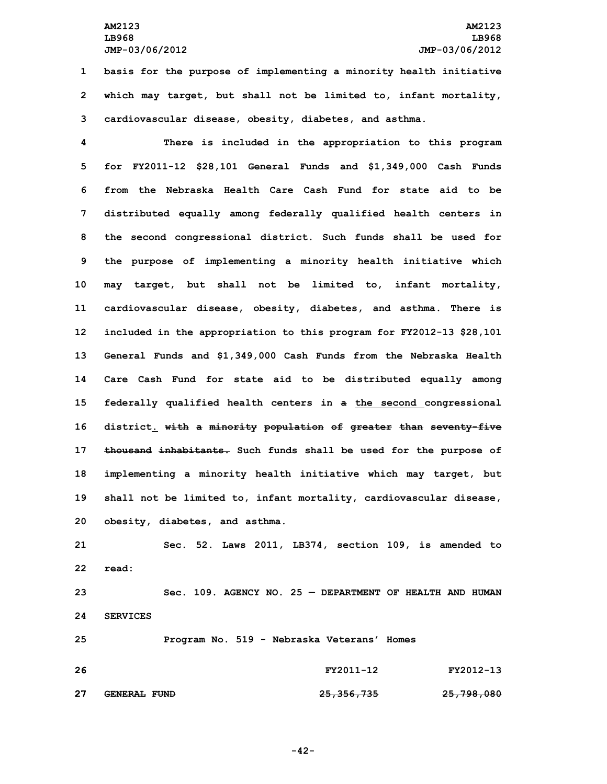**AM2123 AM2123 LB968 LB968 JMP-03/06/2012 JMP-03/06/2012**

**1 basis for the purpose of implementing <sup>a</sup> minority health initiative 2 which may target, but shall not be limited to, infant mortality, 3 cardiovascular disease, obesity, diabetes, and asthma.**

 **There is included in the appropriation to this program for FY2011-12 \$28,101 General Funds and \$1,349,000 Cash Funds from the Nebraska Health Care Cash Fund for state aid to be distributed equally among federally qualified health centers in the second congressional district. Such funds shall be used for the purpose of implementing <sup>a</sup> minority health initiative which may target, but shall not be limited to, infant mortality, cardiovascular disease, obesity, diabetes, and asthma. There is included in the appropriation to this program for FY2012-13 \$28,101 General Funds and \$1,349,000 Cash Funds from the Nebraska Health Care Cash Fund for state aid to be distributed equally among federally qualified health centers in <sup>a</sup> the second congressional district. with <sup>a</sup> minority population of greater than seventy-five thousand inhabitants. Such funds shall be used for the purpose of implementing <sup>a</sup> minority health initiative which may target, but shall not be limited to, infant mortality, cardiovascular disease, obesity, diabetes, and asthma.**

**21 Sec. 52. Laws 2011, LB374, section 109, is amended to 22 read:**

**23 Sec. 109. AGENCY NO. 25 — DEPARTMENT OF HEALTH AND HUMAN 24 SERVICES**

**25 Program No. 519 - Nebraska Veterans' Homes 26 FY2011-12 FY2012-13 27 GENERAL FUND 25,356,735 25,798,080**

**-42-**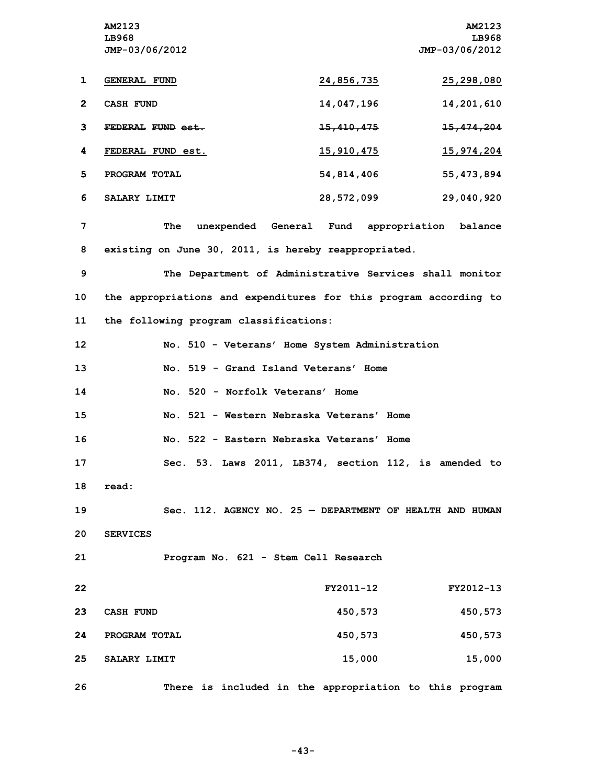**AM2123 AM2123 LB968 LB968 JMP-03/06/2012 JMP-03/06/2012 GENERAL FUND 24,856,735 25,298,080 CASH FUND 14,047,196 14,201,610 FEDERAL FUND est. 15,410,475 15,474,204 FEDERAL FUND est. 15,910,475 15,974,204 PROGRAM TOTAL 54,814,406 55,473,894 SALARY LIMIT 28,572,099 29,040,920 The unexpended General Fund appropriation balance existing on June 30, 2011, is hereby reappropriated. The Department of Administrative Services shall monitor the appropriations and expenditures for this program according to the following program classifications: No. 510 - Veterans' Home System Administration No. 519 - Grand Island Veterans' Home No. 520 - Norfolk Veterans' Home No. 521 - Western Nebraska Veterans' Home No. 522 - Eastern Nebraska Veterans' Home Sec. 53. Laws 2011, LB374, section 112, is amended to 18 read: Sec. 112. AGENCY NO. 25 — DEPARTMENT OF HEALTH AND HUMAN 20 SERVICES Program No. 621 - Stem Cell Research FY2011-12 FY2012-13 CASH FUND 450,573 450,573 PROGRAM TOTAL 450,573 450,573 SALARY LIMIT 15,000 15,000 There is included in the appropriation to this program**

**-43-**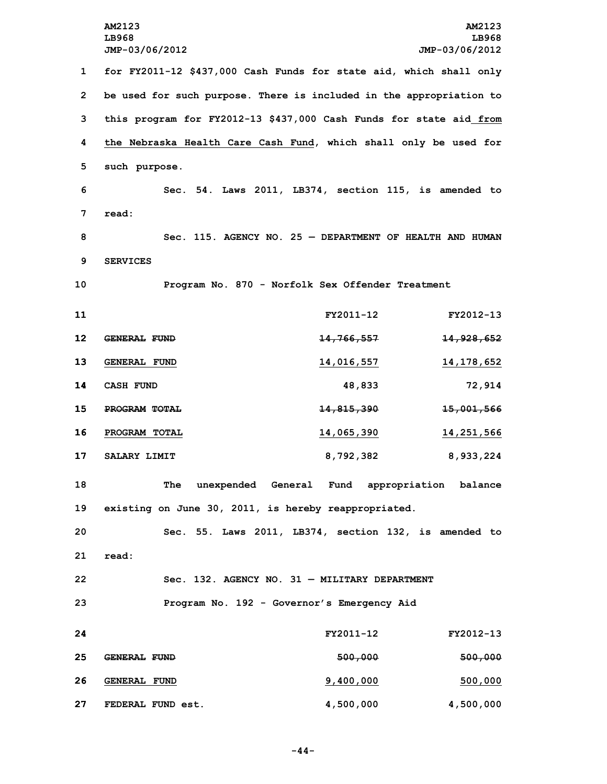**for FY2011-12 \$437,000 Cash Funds for state aid, which shall only be used for such purpose. There is included in the appropriation to this program for FY2012-13 \$437,000 Cash Funds for state aid from the Nebraska Health Care Cash Fund, which shall only be used for such purpose. Sec. 54. Laws 2011, LB374, section 115, is amended to 7 read: Sec. 115. AGENCY NO. 25 — DEPARTMENT OF HEALTH AND HUMAN 9 SERVICES Program No. 870 - Norfolk Sex Offender Treatment FY2011-12 FY2012-13 GENERAL FUND 14,766,557 14,928,652 GENERAL FUND 14,016,557 14,178,652 CASH FUND 48,833 72,914 PROGRAM TOTAL 14,815,390 15,001,566 PROGRAM TOTAL 14,065,390 14,251,566 SALARY LIMIT 8,792,382 8,933,224 The unexpended General Fund appropriation balance existing on June 30, 2011, is hereby reappropriated. Sec. 55. Laws 2011, LB374, section 132, is amended to 21 read: Sec. 132. AGENCY NO. 31 — MILITARY DEPARTMENT Program No. 192 - Governor's Emergency Aid FY2011-12 FY2012-13 GENERAL FUND 500,000 500,000 GENERAL FUND 9,400,000 500,000 FEDERAL FUND est. 4,500,000 4,500,000**

**-44-**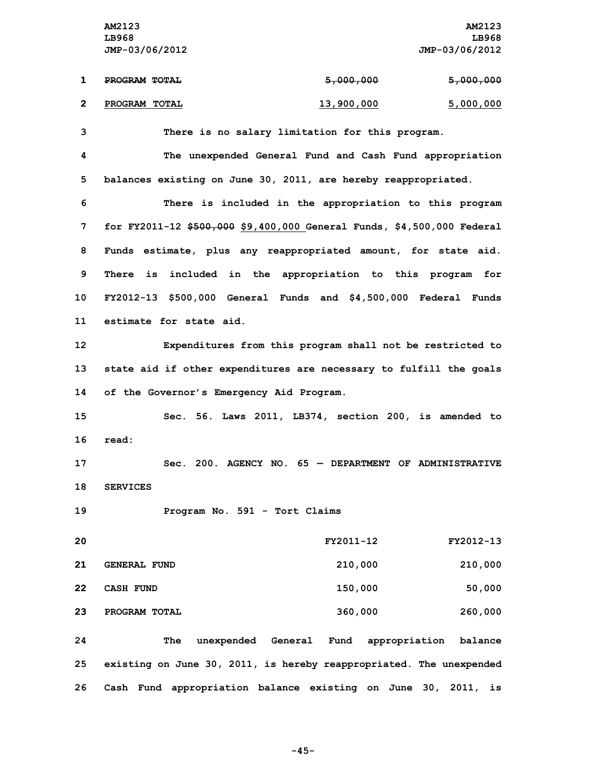**AM2123 AM2123 LB968 LB968 JMP-03/06/2012 JMP-03/06/2012 1 PROGRAM TOTAL 5,000,000 5,000,000**

**2 PROGRAM TOTAL 13,900,000 5,000,000**

**3 There is no salary limitation for this program.**

**4 The unexpended General Fund and Cash Fund appropriation 5 balances existing on June 30, 2011, are hereby reappropriated.**

 **There is included in the appropriation to this program for FY2011-12 \$500,000 \$9,400,000 General Funds, \$4,500,000 Federal Funds estimate, plus any reappropriated amount, for state aid. There is included in the appropriation to this program for FY2012-13 \$500,000 General Funds and \$4,500,000 Federal Funds estimate for state aid.**

**12 Expenditures from this program shall not be restricted to 13 state aid if other expenditures are necessary to fulfill the goals 14 of the Governor's Emergency Aid Program.**

**15 Sec. 56. Laws 2011, LB374, section 200, is amended to 16 read:**

**17 Sec. 200. AGENCY NO. 65 — DEPARTMENT OF ADMINISTRATIVE 18 SERVICES**

**19 Program No. 591 - Tort Claims**

| 20 |                     | FY2011-12 | FY2012-13 |
|----|---------------------|-----------|-----------|
| 21 | <b>GENERAL FUND</b> | 210,000   | 210,000   |
| 22 | <b>CASH FUND</b>    | 150,000   | 50,000    |
| 23 | PROGRAM TOTAL       | 360,000   | 260,000   |

**24 The unexpended General Fund appropriation balance 25 existing on June 30, 2011, is hereby reappropriated. The unexpended 26 Cash Fund appropriation balance existing on June 30, 2011, is**

**-45-**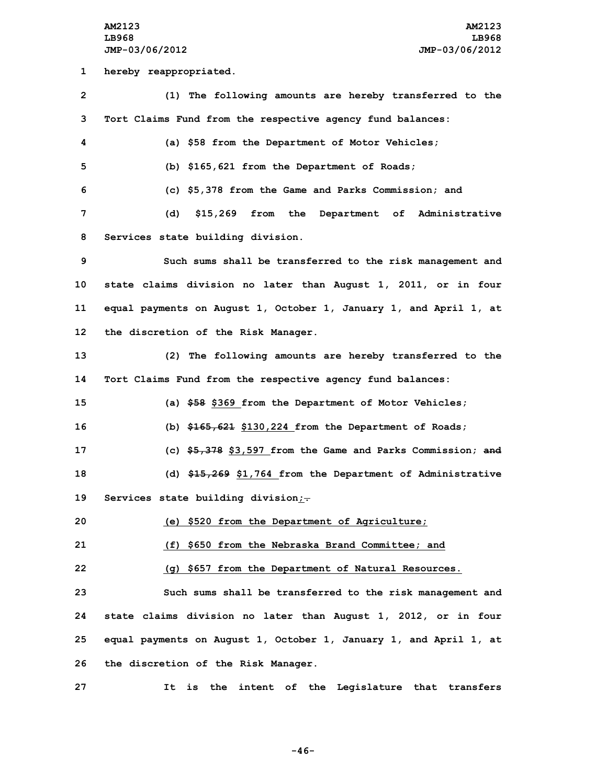**AM2123 AM2123 LB968 LB968 JMP-03/06/2012 JMP-03/06/2012 hereby reappropriated. (1) The following amounts are hereby transferred to the Tort Claims Fund from the respective agency fund balances: (a) \$58 from the Department of Motor Vehicles; (b) \$165,621 from the Department of Roads; (c) \$5,378 from the Game and Parks Commission; and (d) \$15,269 from the Department of Administrative Services state building division. Such sums shall be transferred to the risk management and state claims division no later than August 1, 2011, or in four equal payments on August 1, October 1, January 1, and April 1, at the discretion of the Risk Manager. (2) The following amounts are hereby transferred to the Tort Claims Fund from the respective agency fund balances: (a) \$58 \$369 from the Department of Motor Vehicles; (b) \$165,621 \$130,224 from the Department of Roads; (c) \$5,378 \$3,597 from the Game and Parks Commission; and (d) \$15,269 \$1,764 from the Department of Administrative Services state building division;. (e) \$520 from the Department of Agriculture; (f) \$650 from the Nebraska Brand Committee; and (g) \$657 from the Department of Natural Resources. Such sums shall be transferred to the risk management and state claims division no later than August 1, 2012, or in four equal payments on August 1, October 1, January 1, and April 1, at the discretion of the Risk Manager.**

**27 It is the intent of the Legislature that transfers**

**-46-**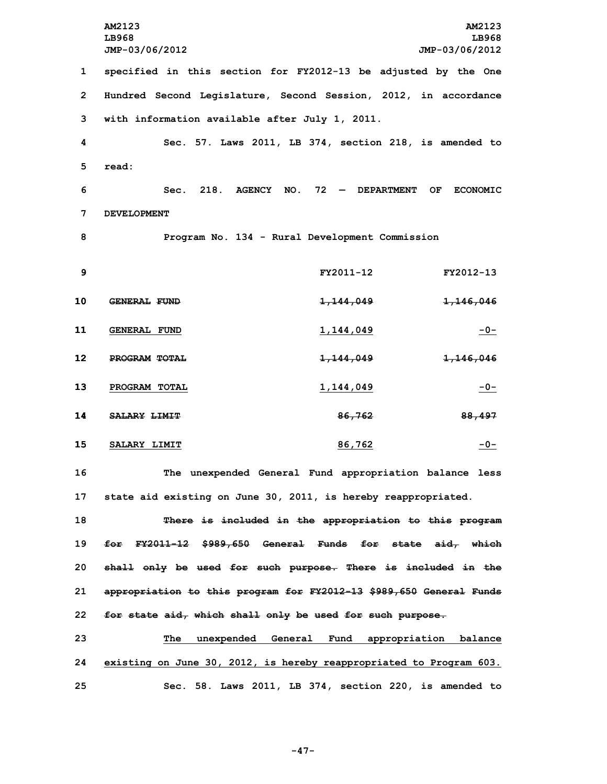**AM2123 AM2123 LB968 LB968 JMP-03/06/2012 JMP-03/06/2012 specified in this section for FY2012-13 be adjusted by the One Hundred Second Legislature, Second Session, 2012, in accordance with information available after July 1, 2011. Sec. 57. Laws 2011, LB 374, section 218, is amended to 5 read: Sec. 218. AGENCY NO. 72 — DEPARTMENT OF ECONOMIC DEVELOPMENT Program No. 134 - Rural Development Commission FY2011-12 FY2012-13 GENERAL FUND 1,144,049 1,146,046 GENERAL FUND 1,144,049 -0- PROGRAM TOTAL 1,144,049 1,146,046 PROGRAM TOTAL 1,144,049 -0- SALARY LIMIT 86,762 88,497 SALARY LIMIT 86,762 -0-**

**16 The unexpended General Fund appropriation balance less 17 state aid existing on June 30, 2011, is hereby reappropriated.**

 **There is included in the appropriation to this program for FY2011-12 \$989,650 General Funds for state aid, which shall only be used for such purpose. There is included in the appropriation to this program for FY2012-13 \$989,650 General Funds for state aid, which shall only be used for such purpose.**

**23 The unexpended General Fund appropriation balance 24 existing on June 30, 2012, is hereby reappropriated to Program 603. 25 Sec. 58. Laws 2011, LB 374, section 220, is amended to**

**-47-**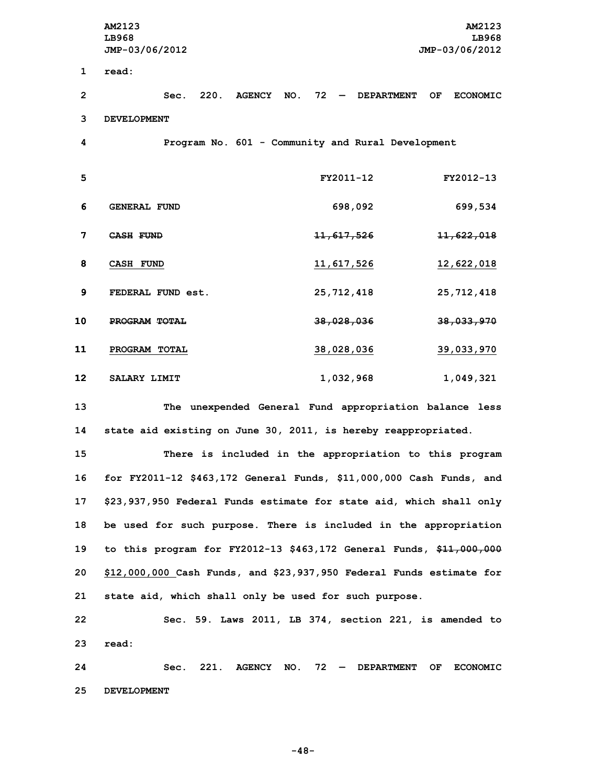**AM2123 AM2123 LB968 LB968 JMP-03/06/2012 JMP-03/06/2012 1 read: Sec. 220. AGENCY NO. 72 — DEPARTMENT OF ECONOMIC DEVELOPMENT Program No. 601 - Community and Rural Development FY2011-12 FY2012-13 GENERAL FUND 698,092 699,534 CASH FUND 11,617,526 11,622,018 CASH FUND 11,617,526 12,622,018 FEDERAL FUND est. 25,712,418 25,712,418 PROGRAM TOTAL 38,028,036 38,033,970 PROGRAM TOTAL 38,028,036 39,033,970 SALARY LIMIT 1,032,968 1,049,321**

**13 The unexpended General Fund appropriation balance less 14 state aid existing on June 30, 2011, is hereby reappropriated.**

 **There is included in the appropriation to this program for FY2011-12 \$463,172 General Funds, \$11,000,000 Cash Funds, and \$23,937,950 Federal Funds estimate for state aid, which shall only be used for such purpose. There is included in the appropriation to this program for FY2012-13 \$463,172 General Funds, \$11,000,000 \$12,000,000 Cash Funds, and \$23,937,950 Federal Funds estimate for state aid, which shall only be used for such purpose.**

**22 Sec. 59. Laws 2011, LB 374, section 221, is amended to 23 read:**

**24 Sec. 221. AGENCY NO. 72 — DEPARTMENT OF ECONOMIC 25 DEVELOPMENT**

**-48-**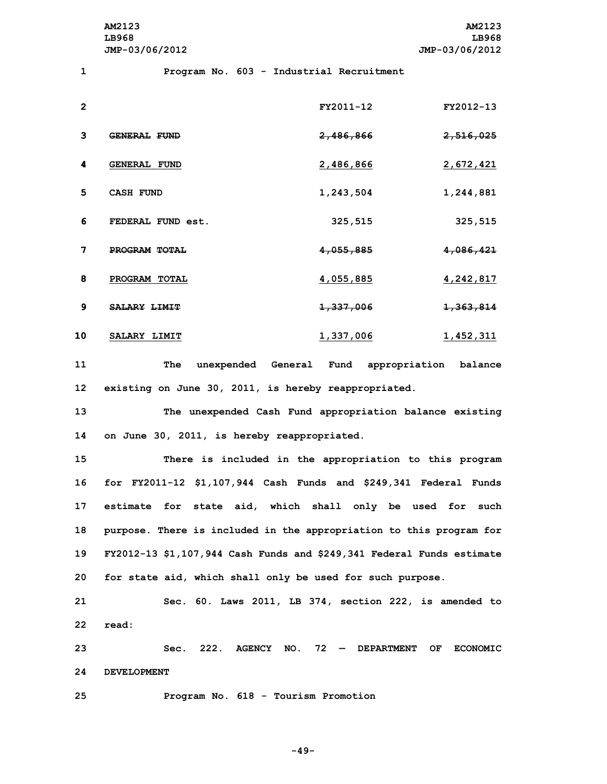**AM2123 AM2123 LB968 LB968 JMP-03/06/2012 JMP-03/06/2012**

**1 Program No. 603 - Industrial Recruitment**

| $\mathbf{2}$ |                     | FY2011-12        | FY2012-13            |
|--------------|---------------------|------------------|----------------------|
| 3            | <b>GENERAL FUND</b> | 2,486,866        | <del>2,516,025</del> |
| 4            | <b>GENERAL FUND</b> | <u>2,486,866</u> | 2,672,421            |
| 5            | <b>CASH FUND</b>    | 1,243,504        | 1,244,881            |
| 6            | FEDERAL FUND est.   | 325,515          | 325,515              |
| 7            | PROGRAM TOTAL       | 4,055,885        | 4,086,421            |
| 8            | PROGRAM TOTAL       | 4,055,885        | 4,242,817            |
| 9            | <b>SALARY LIMIT</b> | 1,337,006        | 1,363,814            |
| 10           | SALARY LIMIT        | 1,337,006        | 1,452,311            |

**11 The unexpended General Fund appropriation balance 12 existing on June 30, 2011, is hereby reappropriated.**

**13 The unexpended Cash Fund appropriation balance existing 14 on June 30, 2011, is hereby reappropriated.**

 **There is included in the appropriation to this program for FY2011-12 \$1,107,944 Cash Funds and \$249,341 Federal Funds estimate for state aid, which shall only be used for such purpose. There is included in the appropriation to this program for FY2012-13 \$1,107,944 Cash Funds and \$249,341 Federal Funds estimate for state aid, which shall only be used for such purpose.**

**21 Sec. 60. Laws 2011, LB 374, section 222, is amended to 22 read:**

**23 Sec. 222. AGENCY NO. 72 — DEPARTMENT OF ECONOMIC 24 DEVELOPMENT**

**25 Program No. 618 - Tourism Promotion**

**-49-**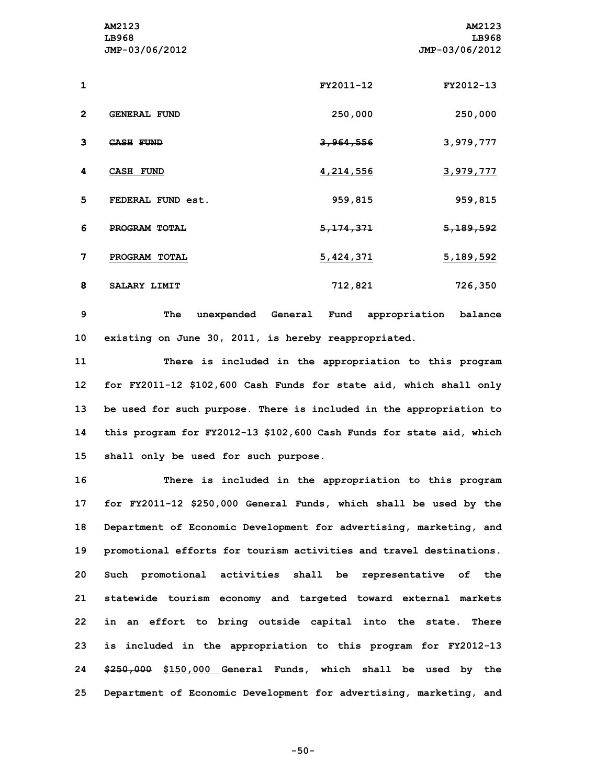|              | AM2123<br>LB968<br>JMP-03/06/2012 |             | AM2123<br>LB968<br>JMP-03/06/2012 |
|--------------|-----------------------------------|-------------|-----------------------------------|
| $\mathbf{1}$ |                                   | FY2011-12   | FY2012-13                         |
| $\mathbf{2}$ | <b>GENERAL FUND</b>               | 250,000     | 250,000                           |
| 3            | <b>CASH FUND</b>                  | 3,964,556   | 3,979,777                         |
| 4            | <b>CASH FUND</b>                  | 4,214,556   | 3,979,777                         |
| 5            | FEDERAL FUND est.                 | 959,815     | 959,815                           |
| 6            | PROGRAM TOTAL                     | 5, 174, 371 | 5, 189, 592                       |
| 7            | PROGRAM TOTAL                     | 5,424,371   | 5, 189, 592                       |
| 8            | SALARY LIMIT                      | 712,821     | 726,350                           |

**9 The unexpended General Fund appropriation balance 10 existing on June 30, 2011, is hereby reappropriated.**

 **There is included in the appropriation to this program for FY2011-12 \$102,600 Cash Funds for state aid, which shall only be used for such purpose. There is included in the appropriation to this program for FY2012-13 \$102,600 Cash Funds for state aid, which shall only be used for such purpose.**

 **There is included in the appropriation to this program for FY2011-12 \$250,000 General Funds, which shall be used by the Department of Economic Development for advertising, marketing, and promotional efforts for tourism activities and travel destinations. Such promotional activities shall be representative of the statewide tourism economy and targeted toward external markets in an effort to bring outside capital into the state. There is included in the appropriation to this program for FY2012-13 \$250,000 \$150,000 General Funds, which shall be used by the Department of Economic Development for advertising, marketing, and**

**-50-**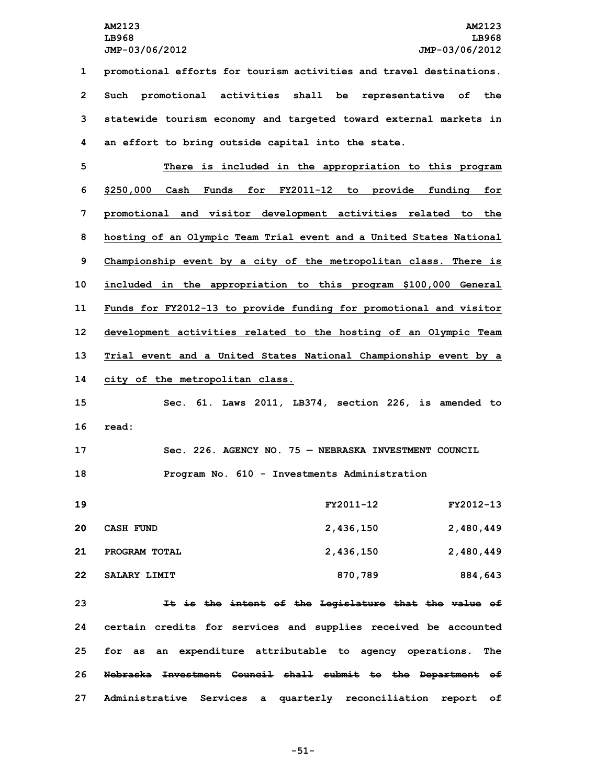**promotional efforts for tourism activities and travel destinations. Such promotional activities shall be representative of the statewide tourism economy and targeted toward external markets in an effort to bring outside capital into the state.**

 **There is included in the appropriation to this program \$250,000 Cash Funds for FY2011-12 to provide funding for promotional and visitor development activities related to the hosting of an Olympic Team Trial event and <sup>a</sup> United States National Championship event by <sup>a</sup> city of the metropolitan class. There is included in the appropriation to this program \$100,000 General Funds for FY2012-13 to provide funding for promotional and visitor development activities related to the hosting of an Olympic Team Trial event and <sup>a</sup> United States National Championship event by <sup>a</sup> city of the metropolitan class.**

**15 Sec. 61. Laws 2011, LB374, section 226, is amended to 16 read:**

**17 Sec. 226. AGENCY NO. 75 — NEBRASKA INVESTMENT COUNCIL 18 Program No. 610 - Investments Administration**

 **FY2011-12 FY2012-13 CASH FUND 2,436,150 2,480,449 PROGRAM TOTAL 2,436,150 2,480,449 SALARY LIMIT 870,789 884,643**

 **It is the intent of the Legislature that the value of certain credits for services and supplies received be accounted for as an expenditure attributable to agency operations. The Nebraska Investment Council shall submit to the Department of Administrative Services <sup>a</sup> quarterly reconciliation report of**

**-51-**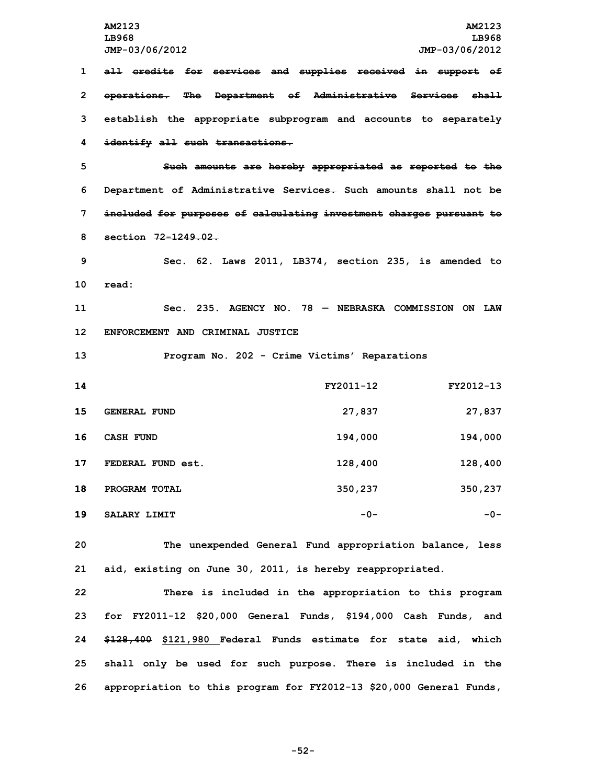**all credits for services and supplies received in support of operations. The Department of Administrative Services shall establish the appropriate subprogram and accounts to separately identify all such transactions.**

 **Such amounts are hereby appropriated as reported to the Department of Administrative Services. Such amounts shall not be included for purposes of calculating investment charges pursuant to section 72-1249.02.**

**9 Sec. 62. Laws 2011, LB374, section 235, is amended to 10 read:**

**11 Sec. 235. AGENCY NO. 78 — NEBRASKA COMMISSION ON LAW 12 ENFORCEMENT AND CRIMINAL JUSTICE**

**13 Program No. 202 - Crime Victims' Reparations**

| 14 |                     | FY2011-12 | FY2012-13 |
|----|---------------------|-----------|-----------|
| 15 | <b>GENERAL FUND</b> | 27,837    | 27,837    |
| 16 | <b>CASH FUND</b>    | 194,000   | 194,000   |
| 17 | FEDERAL FUND est.   | 128,400   | 128,400   |
| 18 | PROGRAM TOTAL       | 350,237   | 350,237   |
| 19 | SALARY LIMIT        | $-0-$     | $-0-$     |

**20 The unexpended General Fund appropriation balance, less 21 aid, existing on June 30, 2011, is hereby reappropriated.**

 **There is included in the appropriation to this program for FY2011-12 \$20,000 General Funds, \$194,000 Cash Funds, and \$128,400 \$121,980 Federal Funds estimate for state aid, which shall only be used for such purpose. There is included in the appropriation to this program for FY2012-13 \$20,000 General Funds,**

**-52-**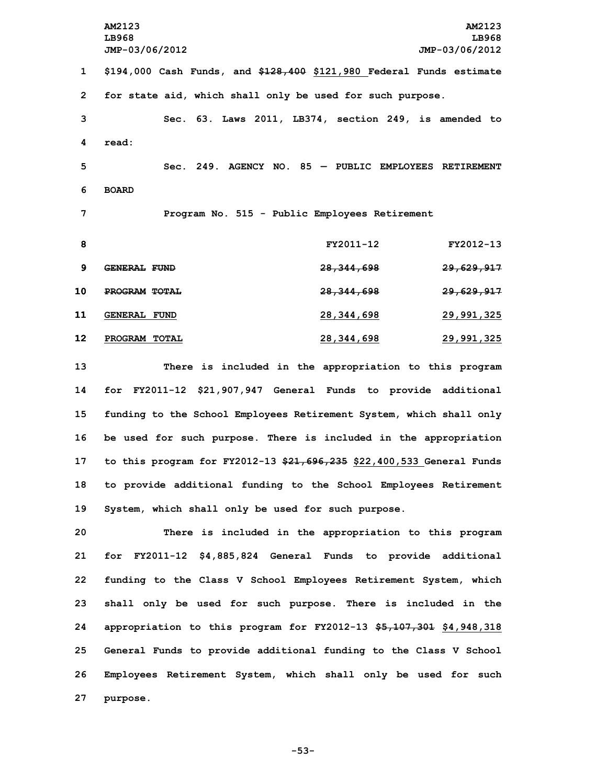**AM2123 AM2123 LB968 LB968 JMP-03/06/2012 JMP-03/06/2012 \$194,000 Cash Funds, and \$128,400 \$121,980 Federal Funds estimate for state aid, which shall only be used for such purpose. Sec. 63. Laws 2011, LB374, section 249, is amended to 4 read: Sec. 249. AGENCY NO. 85 — PUBLIC EMPLOYEES RETIREMENT 6 BOARD Program No. 515 - Public Employees Retirement FY2011-12 FY2012-13 GENERAL FUND 28,344,698 29,629,917 PROGRAM TOTAL 28,344,698 29,629,917 GENERAL FUND 28,344,698 29,991,325 PROGRAM TOTAL 28,344,698 29,991,325 There is included in the appropriation to this program for FY2011-12 \$21,907,947 General Funds to provide additional funding to the School Employees Retirement System, which shall only be used for such purpose. There is included in the appropriation to this program for FY2012-13 \$21,696,235 \$22,400,533 General Funds to provide additional funding to the School Employees Retirement**

 **There is included in the appropriation to this program for FY2011-12 \$4,885,824 General Funds to provide additional funding to the Class <sup>V</sup> School Employees Retirement System, which shall only be used for such purpose. There is included in the appropriation to this program for FY2012-13 \$5,107,301 \$4,948,318 General Funds to provide additional funding to the Class <sup>V</sup> School Employees Retirement System, which shall only be used for such 27 purpose.**

**19 System, which shall only be used for such purpose.**

**-53-**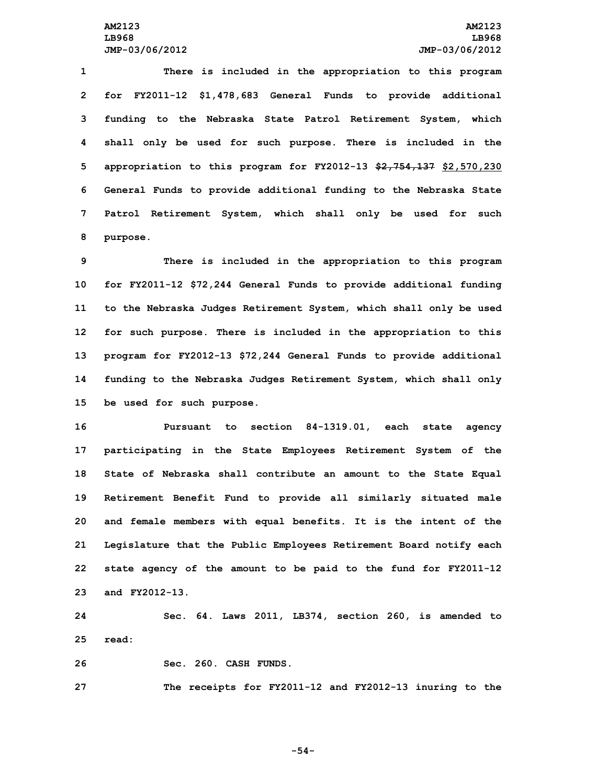**There is included in the appropriation to this program for FY2011-12 \$1,478,683 General Funds to provide additional funding to the Nebraska State Patrol Retirement System, which shall only be used for such purpose. There is included in the appropriation to this program for FY2012-13 \$2,754,137 \$2,570,230 General Funds to provide additional funding to the Nebraska State Patrol Retirement System, which shall only be used for such 8 purpose.**

 **There is included in the appropriation to this program for FY2011-12 \$72,244 General Funds to provide additional funding to the Nebraska Judges Retirement System, which shall only be used for such purpose. There is included in the appropriation to this program for FY2012-13 \$72,244 General Funds to provide additional funding to the Nebraska Judges Retirement System, which shall only be used for such purpose.**

 **Pursuant to section 84-1319.01, each state agency participating in the State Employees Retirement System of the State of Nebraska shall contribute an amount to the State Equal Retirement Benefit Fund to provide all similarly situated male and female members with equal benefits. It is the intent of the Legislature that the Public Employees Retirement Board notify each state agency of the amount to be paid to the fund for FY2011-12 and FY2012-13.**

**24 Sec. 64. Laws 2011, LB374, section 260, is amended to 25 read:**

**26 Sec. 260. CASH FUNDS.**

**27 The receipts for FY2011-12 and FY2012-13 inuring to the**

**-54-**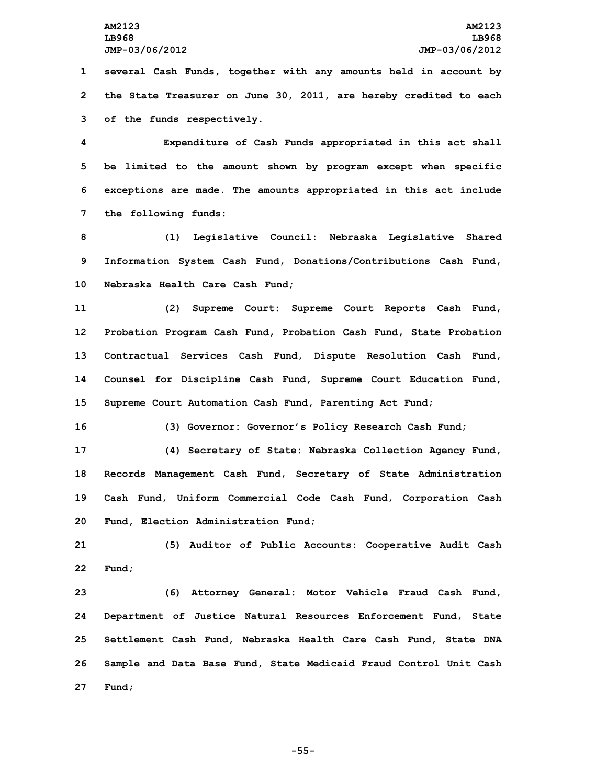**1 several Cash Funds, together with any amounts held in account by 2 the State Treasurer on June 30, 2011, are hereby credited to each 3 of the funds respectively.**

 **Expenditure of Cash Funds appropriated in this act shall be limited to the amount shown by program except when specific exceptions are made. The amounts appropriated in this act include the following funds:**

**8 (1) Legislative Council: Nebraska Legislative Shared 9 Information System Cash Fund, Donations/Contributions Cash Fund, 10 Nebraska Health Care Cash Fund;**

 **(2) Supreme Court: Supreme Court Reports Cash Fund, Probation Program Cash Fund, Probation Cash Fund, State Probation Contractual Services Cash Fund, Dispute Resolution Cash Fund, Counsel for Discipline Cash Fund, Supreme Court Education Fund, Supreme Court Automation Cash Fund, Parenting Act Fund;**

**16 (3) Governor: Governor's Policy Research Cash Fund;**

 **(4) Secretary of State: Nebraska Collection Agency Fund, Records Management Cash Fund, Secretary of State Administration Cash Fund, Uniform Commercial Code Cash Fund, Corporation Cash Fund, Election Administration Fund;**

**21 (5) Auditor of Public Accounts: Cooperative Audit Cash 22 Fund;**

 **(6) Attorney General: Motor Vehicle Fraud Cash Fund, Department of Justice Natural Resources Enforcement Fund, State Settlement Cash Fund, Nebraska Health Care Cash Fund, State DNA Sample and Data Base Fund, State Medicaid Fraud Control Unit Cash 27 Fund;**

**-55-**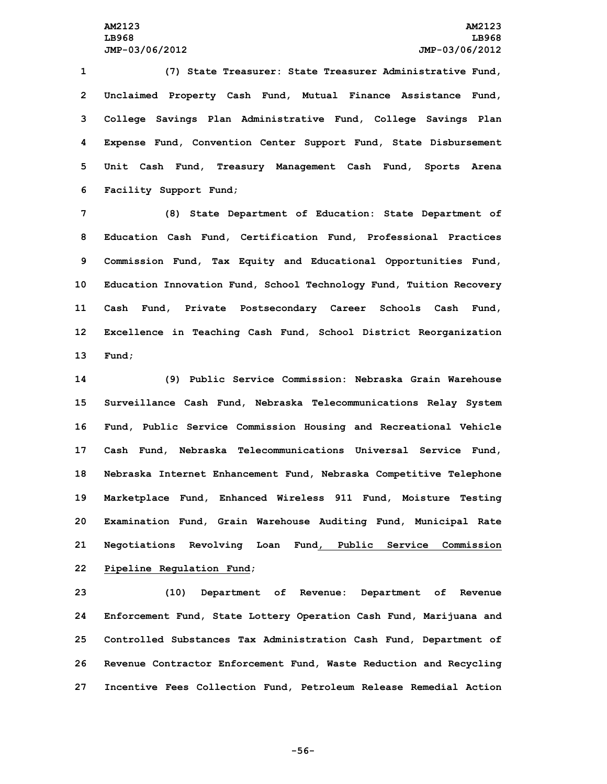**(7) State Treasurer: State Treasurer Administrative Fund, Unclaimed Property Cash Fund, Mutual Finance Assistance Fund, College Savings Plan Administrative Fund, College Savings Plan Expense Fund, Convention Center Support Fund, State Disbursement Unit Cash Fund, Treasury Management Cash Fund, Sports Arena Facility Support Fund;**

 **(8) State Department of Education: State Department of Education Cash Fund, Certification Fund, Professional Practices Commission Fund, Tax Equity and Educational Opportunities Fund, Education Innovation Fund, School Technology Fund, Tuition Recovery Cash Fund, Private Postsecondary Career Schools Cash Fund, Excellence in Teaching Cash Fund, School District Reorganization 13 Fund;**

 **(9) Public Service Commission: Nebraska Grain Warehouse Surveillance Cash Fund, Nebraska Telecommunications Relay System Fund, Public Service Commission Housing and Recreational Vehicle Cash Fund, Nebraska Telecommunications Universal Service Fund, Nebraska Internet Enhancement Fund, Nebraska Competitive Telephone Marketplace Fund, Enhanced Wireless 911 Fund, Moisture Testing Examination Fund, Grain Warehouse Auditing Fund, Municipal Rate Negotiations Revolving Loan Fund, Public Service Commission Pipeline Regulation Fund;**

 **(10) Department of Revenue: Department of Revenue Enforcement Fund, State Lottery Operation Cash Fund, Marijuana and Controlled Substances Tax Administration Cash Fund, Department of Revenue Contractor Enforcement Fund, Waste Reduction and Recycling Incentive Fees Collection Fund, Petroleum Release Remedial Action**

**-56-**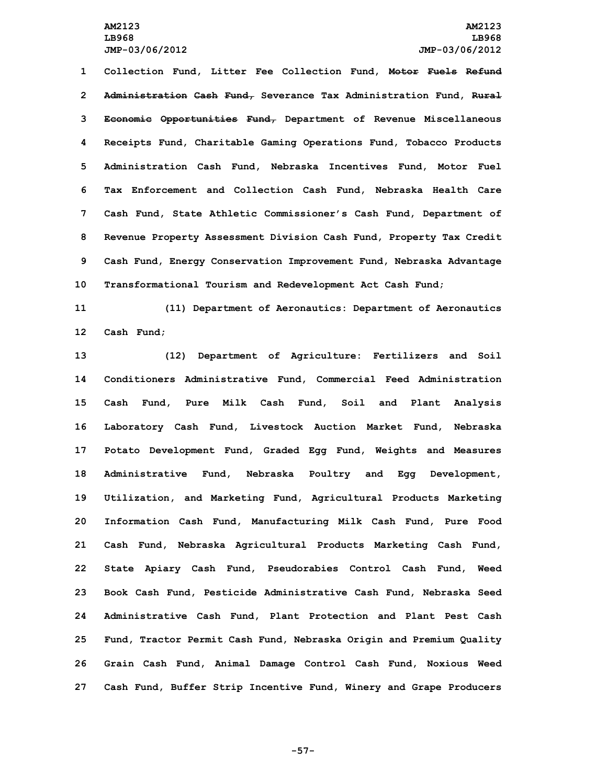**Collection Fund, Litter Fee Collection Fund, Motor Fuels Refund Administration Cash Fund, Severance Tax Administration Fund, Rural Economic Opportunities Fund, Department of Revenue Miscellaneous Receipts Fund, Charitable Gaming Operations Fund, Tobacco Products Administration Cash Fund, Nebraska Incentives Fund, Motor Fuel Tax Enforcement and Collection Cash Fund, Nebraska Health Care Cash Fund, State Athletic Commissioner's Cash Fund, Department of Revenue Property Assessment Division Cash Fund, Property Tax Credit Cash Fund, Energy Conservation Improvement Fund, Nebraska Advantage Transformational Tourism and Redevelopment Act Cash Fund;**

**11 (11) Department of Aeronautics: Department of Aeronautics 12 Cash Fund;**

 **(12) Department of Agriculture: Fertilizers and Soil Conditioners Administrative Fund, Commercial Feed Administration Cash Fund, Pure Milk Cash Fund, Soil and Plant Analysis Laboratory Cash Fund, Livestock Auction Market Fund, Nebraska Potato Development Fund, Graded Egg Fund, Weights and Measures Administrative Fund, Nebraska Poultry and Egg Development, Utilization, and Marketing Fund, Agricultural Products Marketing Information Cash Fund, Manufacturing Milk Cash Fund, Pure Food Cash Fund, Nebraska Agricultural Products Marketing Cash Fund, State Apiary Cash Fund, Pseudorabies Control Cash Fund, Weed Book Cash Fund, Pesticide Administrative Cash Fund, Nebraska Seed Administrative Cash Fund, Plant Protection and Plant Pest Cash Fund, Tractor Permit Cash Fund, Nebraska Origin and Premium Quality Grain Cash Fund, Animal Damage Control Cash Fund, Noxious Weed Cash Fund, Buffer Strip Incentive Fund, Winery and Grape Producers**

**-57-**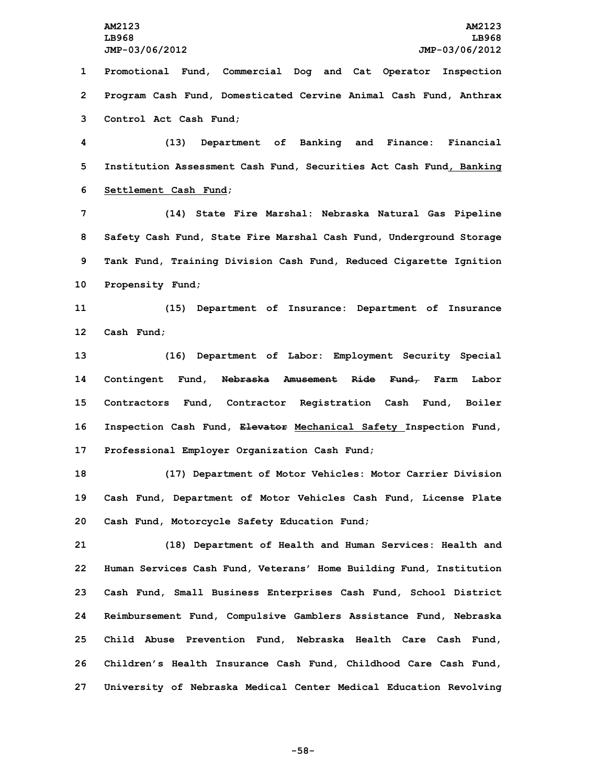**JMP-03/06/2012 JMP-03/06/2012 Promotional Fund, Commercial Dog and Cat Operator Inspection Program Cash Fund, Domesticated Cervine Animal Cash Fund, Anthrax Control Act Cash Fund; (13) Department of Banking and Finance: Financial Institution Assessment Cash Fund, Securities Act Cash Fund, Banking Settlement Cash Fund; (14) State Fire Marshal: Nebraska Natural Gas Pipeline Safety Cash Fund, State Fire Marshal Cash Fund, Underground Storage Tank Fund, Training Division Cash Fund, Reduced Cigarette Ignition Propensity Fund; (15) Department of Insurance: Department of Insurance Cash Fund; (16) Department of Labor: Employment Security Special Contingent Fund, Nebraska Amusement Ride Fund, Farm Labor Contractors Fund, Contractor Registration Cash Fund, Boiler Inspection Cash Fund, Elevator Mechanical Safety Inspection Fund, Professional Employer Organization Cash Fund; (17) Department of Motor Vehicles: Motor Carrier Division**

**19 Cash Fund, Department of Motor Vehicles Cash Fund, License Plate 20 Cash Fund, Motorcycle Safety Education Fund;**

 **(18) Department of Health and Human Services: Health and Human Services Cash Fund, Veterans' Home Building Fund, Institution Cash Fund, Small Business Enterprises Cash Fund, School District Reimbursement Fund, Compulsive Gamblers Assistance Fund, Nebraska Child Abuse Prevention Fund, Nebraska Health Care Cash Fund, Children's Health Insurance Cash Fund, Childhood Care Cash Fund, University of Nebraska Medical Center Medical Education Revolving**

**-58-**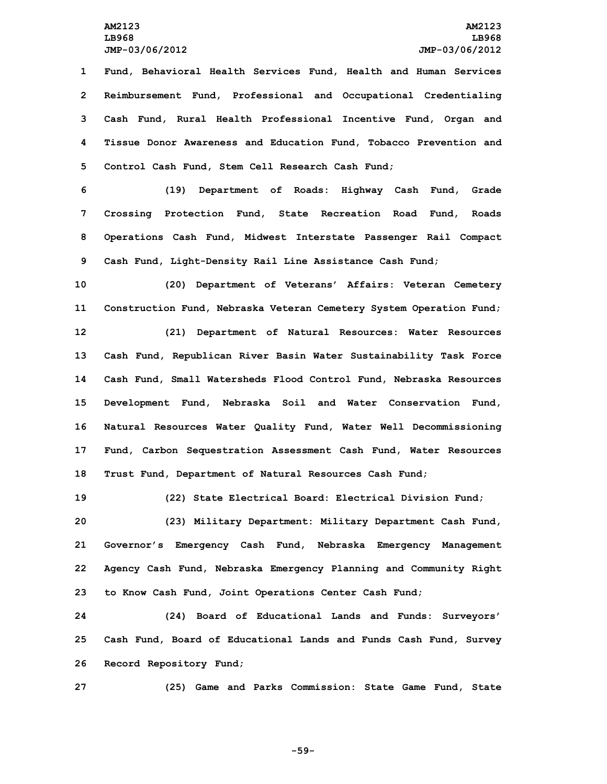**Fund, Behavioral Health Services Fund, Health and Human Services Reimbursement Fund, Professional and Occupational Credentialing Cash Fund, Rural Health Professional Incentive Fund, Organ and Tissue Donor Awareness and Education Fund, Tobacco Prevention and Control Cash Fund, Stem Cell Research Cash Fund;**

 **(19) Department of Roads: Highway Cash Fund, Grade Crossing Protection Fund, State Recreation Road Fund, Roads Operations Cash Fund, Midwest Interstate Passenger Rail Compact Cash Fund, Light-Density Rail Line Assistance Cash Fund;**

 **(20) Department of Veterans' Affairs: Veteran Cemetery Construction Fund, Nebraska Veteran Cemetery System Operation Fund; (21) Department of Natural Resources: Water Resources Cash Fund, Republican River Basin Water Sustainability Task Force Cash Fund, Small Watersheds Flood Control Fund, Nebraska Resources Development Fund, Nebraska Soil and Water Conservation Fund, Natural Resources Water Quality Fund, Water Well Decommissioning Fund, Carbon Sequestration Assessment Cash Fund, Water Resources Trust Fund, Department of Natural Resources Cash Fund;**

 **(22) State Electrical Board: Electrical Division Fund; (23) Military Department: Military Department Cash Fund, Governor's Emergency Cash Fund, Nebraska Emergency Management Agency Cash Fund, Nebraska Emergency Planning and Community Right to Know Cash Fund, Joint Operations Center Cash Fund;**

**24 (24) Board of Educational Lands and Funds: Surveyors' 25 Cash Fund, Board of Educational Lands and Funds Cash Fund, Survey 26 Record Repository Fund;**

**27 (25) Game and Parks Commission: State Game Fund, State**

**-59-**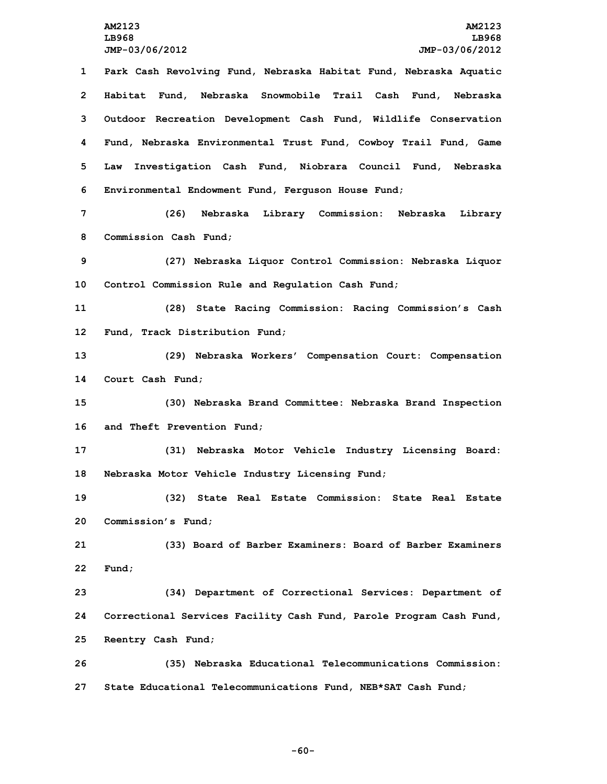**Park Cash Revolving Fund, Nebraska Habitat Fund, Nebraska Aquatic Habitat Fund, Nebraska Snowmobile Trail Cash Fund, Nebraska Outdoor Recreation Development Cash Fund, Wildlife Conservation Fund, Nebraska Environmental Trust Fund, Cowboy Trail Fund, Game Law Investigation Cash Fund, Niobrara Council Fund, Nebraska Environmental Endowment Fund, Ferguson House Fund; (26) Nebraska Library Commission: Nebraska Library**

**8 Commission Cash Fund;**

**9 (27) Nebraska Liquor Control Commission: Nebraska Liquor 10 Control Commission Rule and Regulation Cash Fund;**

**11 (28) State Racing Commission: Racing Commission's Cash 12 Fund, Track Distribution Fund;**

**13 (29) Nebraska Workers' Compensation Court: Compensation 14 Court Cash Fund;**

**15 (30) Nebraska Brand Committee: Nebraska Brand Inspection 16 and Theft Prevention Fund;**

**17 (31) Nebraska Motor Vehicle Industry Licensing Board: 18 Nebraska Motor Vehicle Industry Licensing Fund;**

**19 (32) State Real Estate Commission: State Real Estate 20 Commission's Fund;**

**21 (33) Board of Barber Examiners: Board of Barber Examiners 22 Fund;**

**23 (34) Department of Correctional Services: Department of 24 Correctional Services Facility Cash Fund, Parole Program Cash Fund, 25 Reentry Cash Fund;**

**26 (35) Nebraska Educational Telecommunications Commission: 27 State Educational Telecommunications Fund, NEB\*SAT Cash Fund;**

**-60-**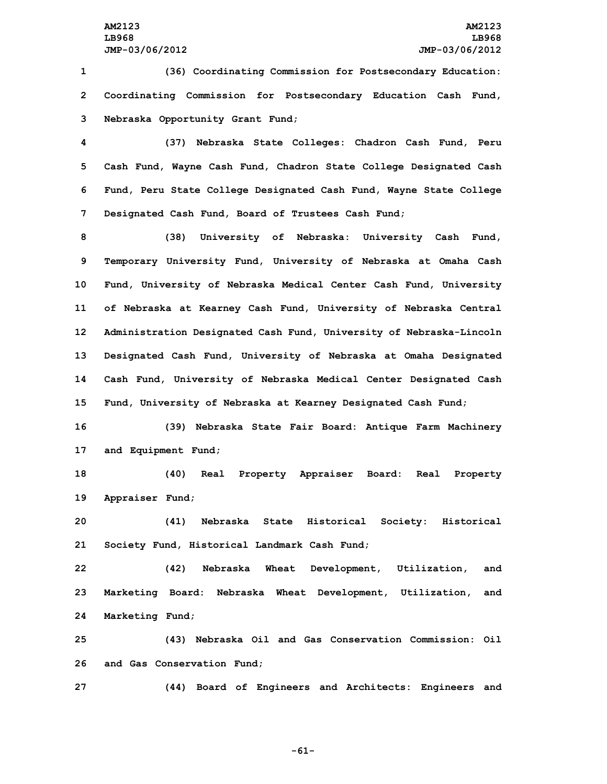**1 (36) Coordinating Commission for Postsecondary Education: 2 Coordinating Commission for Postsecondary Education Cash Fund, 3 Nebraska Opportunity Grant Fund;**

 **(37) Nebraska State Colleges: Chadron Cash Fund, Peru Cash Fund, Wayne Cash Fund, Chadron State College Designated Cash Fund, Peru State College Designated Cash Fund, Wayne State College Designated Cash Fund, Board of Trustees Cash Fund;**

 **(38) University of Nebraska: University Cash Fund, Temporary University Fund, University of Nebraska at Omaha Cash Fund, University of Nebraska Medical Center Cash Fund, University of Nebraska at Kearney Cash Fund, University of Nebraska Central Administration Designated Cash Fund, University of Nebraska-Lincoln Designated Cash Fund, University of Nebraska at Omaha Designated Cash Fund, University of Nebraska Medical Center Designated Cash Fund, University of Nebraska at Kearney Designated Cash Fund;**

**16 (39) Nebraska State Fair Board: Antique Farm Machinery 17 and Equipment Fund;**

**18 (40) Real Property Appraiser Board: Real Property 19 Appraiser Fund;**

**20 (41) Nebraska State Historical Society: Historical 21 Society Fund, Historical Landmark Cash Fund;**

**22 (42) Nebraska Wheat Development, Utilization, and 23 Marketing Board: Nebraska Wheat Development, Utilization, and 24 Marketing Fund;**

**25 (43) Nebraska Oil and Gas Conservation Commission: Oil 26 and Gas Conservation Fund;**

**27 (44) Board of Engineers and Architects: Engineers and**

**-61-**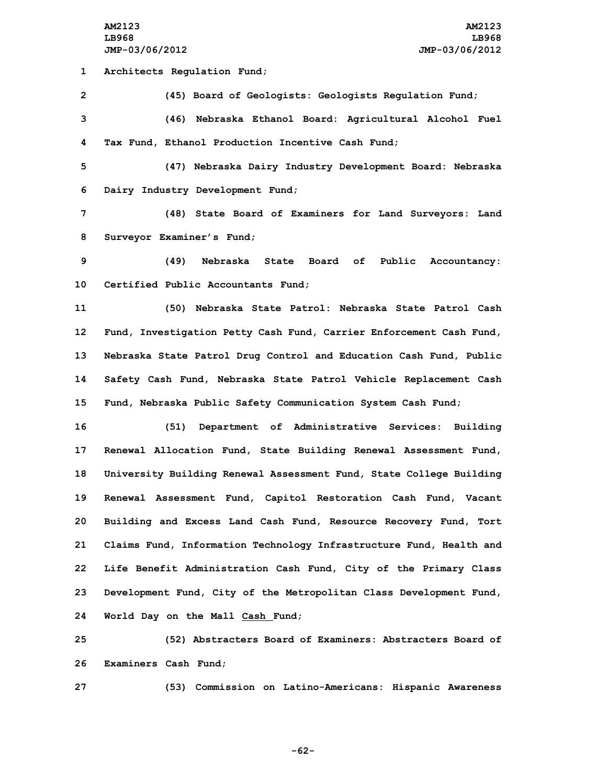**1 Architects Regulation Fund;**

**2 (45) Board of Geologists: Geologists Regulation Fund;**

**3 (46) Nebraska Ethanol Board: Agricultural Alcohol Fuel 4 Tax Fund, Ethanol Production Incentive Cash Fund;**

**5 (47) Nebraska Dairy Industry Development Board: Nebraska 6 Dairy Industry Development Fund;**

**7 (48) State Board of Examiners for Land Surveyors: Land 8 Surveyor Examiner's Fund;**

**9 (49) Nebraska State Board of Public Accountancy: 10 Certified Public Accountants Fund;**

 **(50) Nebraska State Patrol: Nebraska State Patrol Cash Fund, Investigation Petty Cash Fund, Carrier Enforcement Cash Fund, Nebraska State Patrol Drug Control and Education Cash Fund, Public Safety Cash Fund, Nebraska State Patrol Vehicle Replacement Cash Fund, Nebraska Public Safety Communication System Cash Fund;**

 **(51) Department of Administrative Services: Building Renewal Allocation Fund, State Building Renewal Assessment Fund, University Building Renewal Assessment Fund, State College Building Renewal Assessment Fund, Capitol Restoration Cash Fund, Vacant Building and Excess Land Cash Fund, Resource Recovery Fund, Tort Claims Fund, Information Technology Infrastructure Fund, Health and Life Benefit Administration Cash Fund, City of the Primary Class Development Fund, City of the Metropolitan Class Development Fund, World Day on the Mall Cash Fund;**

**25 (52) Abstracters Board of Examiners: Abstracters Board of 26 Examiners Cash Fund;**

**27 (53) Commission on Latino-Americans: Hispanic Awareness**

**-62-**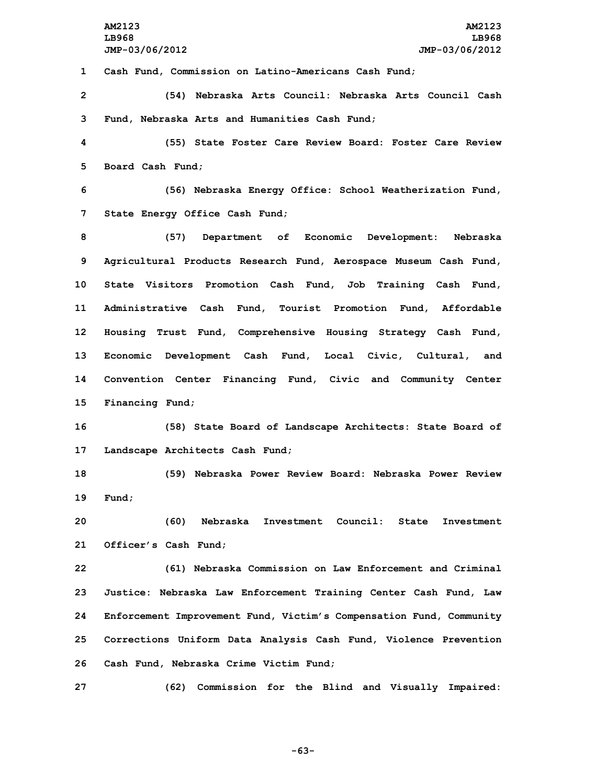**AM2123 AM2123 LB968 LB968 JMP-03/06/2012 JMP-03/06/2012 Cash Fund, Commission on Latino-Americans Cash Fund; (54) Nebraska Arts Council: Nebraska Arts Council Cash Fund, Nebraska Arts and Humanities Cash Fund; (55) State Foster Care Review Board: Foster Care Review Board Cash Fund; (56) Nebraska Energy Office: School Weatherization Fund, State Energy Office Cash Fund; (57) Department of Economic Development: Nebraska Agricultural Products Research Fund, Aerospace Museum Cash Fund, State Visitors Promotion Cash Fund, Job Training Cash Fund, Administrative Cash Fund, Tourist Promotion Fund, Affordable Housing Trust Fund, Comprehensive Housing Strategy Cash Fund, Economic Development Cash Fund, Local Civic, Cultural, and Convention Center Financing Fund, Civic and Community Center Financing Fund; (58) State Board of Landscape Architects: State Board of Landscape Architects Cash Fund; (59) Nebraska Power Review Board: Nebraska Power Review 19 Fund; (60) Nebraska Investment Council: State Investment Officer's Cash Fund; (61) Nebraska Commission on Law Enforcement and Criminal Justice: Nebraska Law Enforcement Training Center Cash Fund, Law Enforcement Improvement Fund, Victim's Compensation Fund, Community Corrections Uniform Data Analysis Cash Fund, Violence Prevention Cash Fund, Nebraska Crime Victim Fund; (62) Commission for the Blind and Visually Impaired:**

**-63-**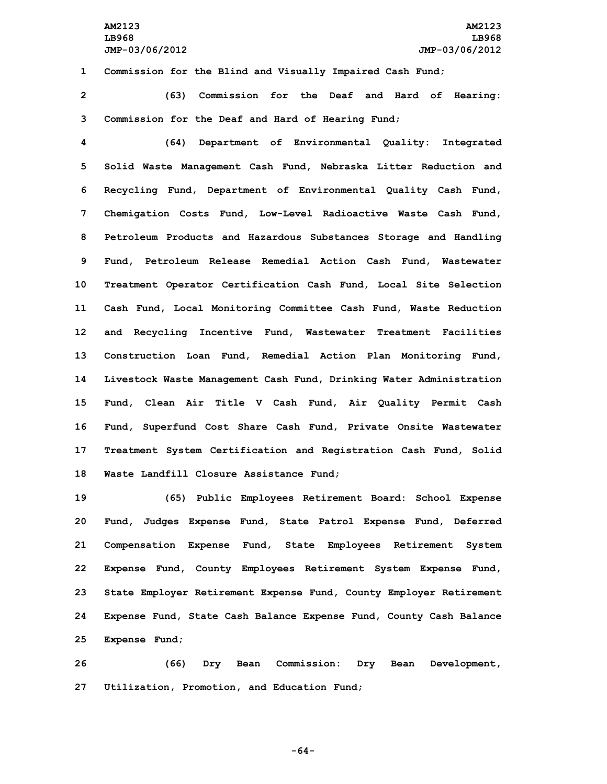**1 Commission for the Blind and Visually Impaired Cash Fund;**

**2 (63) Commission for the Deaf and Hard of Hearing: 3 Commission for the Deaf and Hard of Hearing Fund;**

 **(64) Department of Environmental Quality: Integrated Solid Waste Management Cash Fund, Nebraska Litter Reduction and Recycling Fund, Department of Environmental Quality Cash Fund, Chemigation Costs Fund, Low-Level Radioactive Waste Cash Fund, Petroleum Products and Hazardous Substances Storage and Handling Fund, Petroleum Release Remedial Action Cash Fund, Wastewater Treatment Operator Certification Cash Fund, Local Site Selection Cash Fund, Local Monitoring Committee Cash Fund, Waste Reduction and Recycling Incentive Fund, Wastewater Treatment Facilities Construction Loan Fund, Remedial Action Plan Monitoring Fund, Livestock Waste Management Cash Fund, Drinking Water Administration Fund, Clean Air Title <sup>V</sup> Cash Fund, Air Quality Permit Cash Fund, Superfund Cost Share Cash Fund, Private Onsite Wastewater Treatment System Certification and Registration Cash Fund, Solid Waste Landfill Closure Assistance Fund;**

 **(65) Public Employees Retirement Board: School Expense Fund, Judges Expense Fund, State Patrol Expense Fund, Deferred Compensation Expense Fund, State Employees Retirement System Expense Fund, County Employees Retirement System Expense Fund, State Employer Retirement Expense Fund, County Employer Retirement Expense Fund, State Cash Balance Expense Fund, County Cash Balance Expense Fund;**

**26 (66) Dry Bean Commission: Dry Bean Development, 27 Utilization, Promotion, and Education Fund;**

**-64-**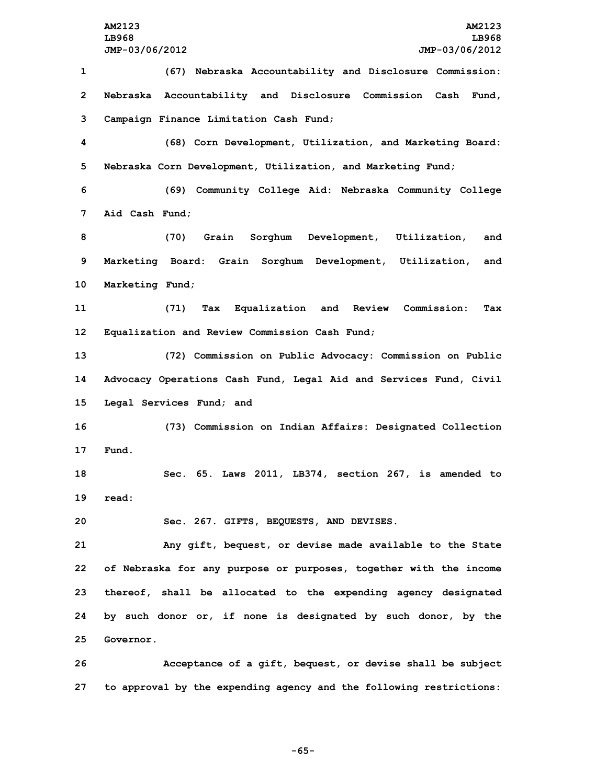**(67) Nebraska Accountability and Disclosure Commission: Nebraska Accountability and Disclosure Commission Cash Fund, Campaign Finance Limitation Cash Fund; (68) Corn Development, Utilization, and Marketing Board: Nebraska Corn Development, Utilization, and Marketing Fund; (69) Community College Aid: Nebraska Community College Aid Cash Fund; (70) Grain Sorghum Development, Utilization, and Marketing Board: Grain Sorghum Development, Utilization, and Marketing Fund; (71) Tax Equalization and Review Commission: Tax Equalization and Review Commission Cash Fund; (72) Commission on Public Advocacy: Commission on Public Advocacy Operations Cash Fund, Legal Aid and Services Fund, Civil Legal Services Fund; and (73) Commission on Indian Affairs: Designated Collection 17 Fund. Sec. 65. Laws 2011, LB374, section 267, is amended to 19 read: Sec. 267. GIFTS, BEQUESTS, AND DEVISES. Any gift, bequest, or devise made available to the State of Nebraska for any purpose or purposes, together with the income thereof, shall be allocated to the expending agency designated by such donor or, if none is designated by such donor, by the Governor. Acceptance of <sup>a</sup> gift, bequest, or devise shall be subject**

**27 to approval by the expending agency and the following restrictions:**

**-65-**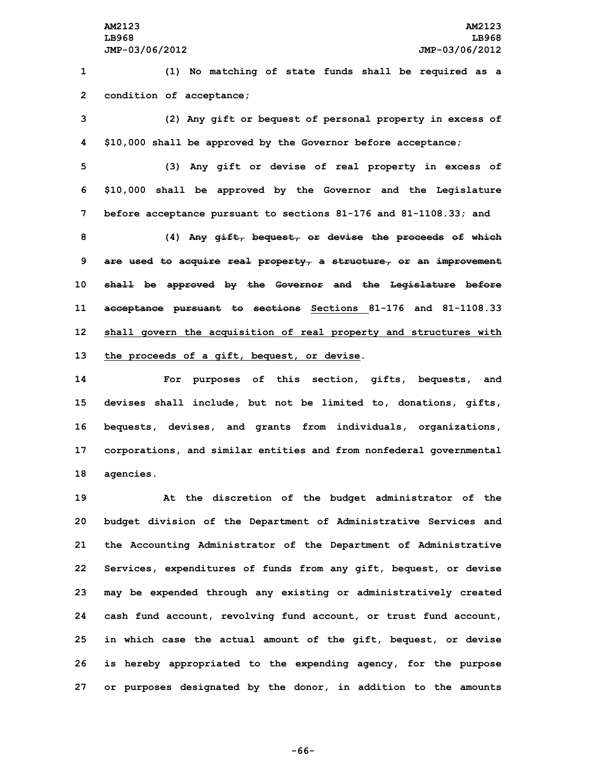**1 (1) No matching of state funds shall be required as <sup>a</sup> 2 condition of acceptance;**

**3 (2) Any gift or bequest of personal property in excess of 4 \$10,000 shall be approved by the Governor before acceptance;**

**5 (3) Any gift or devise of real property in excess of 6 \$10,000 shall be approved by the Governor and the Legislature 7 before acceptance pursuant to sections 81-176 and 81-1108.33; and**

 **(4) Any gift, bequest, or devise the proceeds of which are used to acquire real property, <sup>a</sup> structure, or an improvement shall be approved by the Governor and the Legislature before acceptance pursuant to sections Sections 81-176 and 81-1108.33 shall govern the acquisition of real property and structures with the proceeds of <sup>a</sup> gift, bequest, or devise.**

 **For purposes of this section, gifts, bequests, and devises shall include, but not be limited to, donations, gifts, bequests, devises, and grants from individuals, organizations, corporations, and similar entities and from nonfederal governmental agencies.**

 **At the discretion of the budget administrator of the budget division of the Department of Administrative Services and the Accounting Administrator of the Department of Administrative Services, expenditures of funds from any gift, bequest, or devise may be expended through any existing or administratively created cash fund account, revolving fund account, or trust fund account, in which case the actual amount of the gift, bequest, or devise is hereby appropriated to the expending agency, for the purpose or purposes designated by the donor, in addition to the amounts**

**-66-**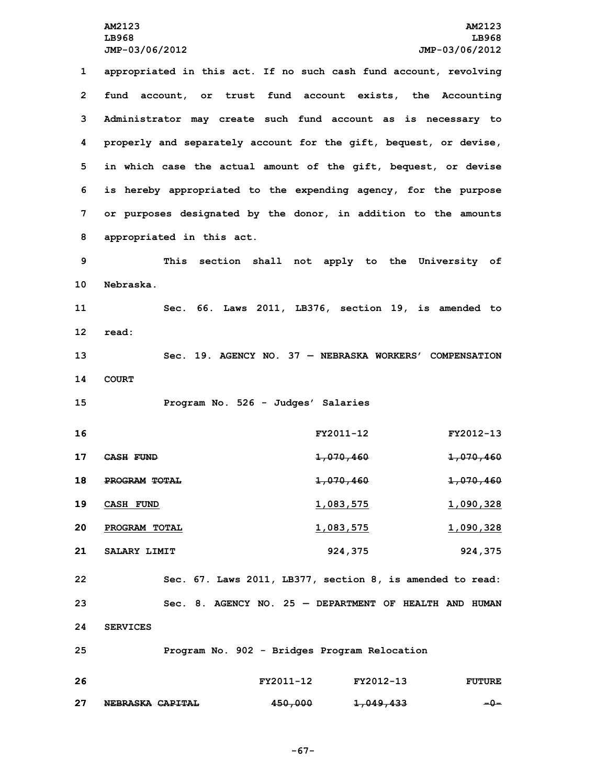**appropriated in this act. If no such cash fund account, revolving fund account, or trust fund account exists, the Accounting Administrator may create such fund account as is necessary to properly and separately account for the gift, bequest, or devise, in which case the actual amount of the gift, bequest, or devise is hereby appropriated to the expending agency, for the purpose or purposes designated by the donor, in addition to the amounts appropriated in this act. This section shall not apply to the University of Nebraska. Sec. 66. Laws 2011, LB376, section 19, is amended to 12 read: Sec. 19. AGENCY NO. 37 — NEBRASKA WORKERS' COMPENSATION 14 COURT Program No. 526 - Judges' Salaries FY2011-12 FY2012-13 CASH FUND 1,070,460 1,070,460 PROGRAM TOTAL 1,070,460 1,070,460 CASH FUND 1,083,575 1,090,328 PROGRAM TOTAL 1,083,575 1,090,328 SALARY LIMIT 924,375 924,375 Sec. 67. Laws 2011, LB377, section 8, is amended to read: Sec. 8. AGENCY NO. 25 — DEPARTMENT OF HEALTH AND HUMAN 24 SERVICES Program No. 902 - Bridges Program Relocation FY2011-12 FY2012-13 FUTURE**

**27 NEBRASKA CAPITAL 450,000 1,049,433 -0-**

**-67-**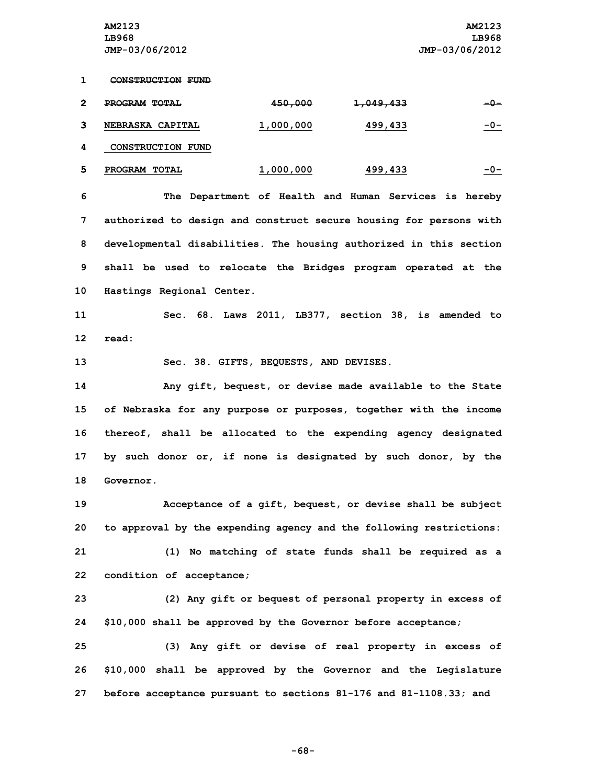**1 CONSTRUCTION FUND**

| ີ | PROGRAM TOTAL     | <del>450,000</del> | <del>1,049,433</del> | -0-        |
|---|-------------------|--------------------|----------------------|------------|
|   | NEBRASKA CAPITAL  | 1,000,000          | 499,433              | <u>-0-</u> |
|   | CONSTRUCTION FUND |                    |                      |            |

|  | PROGRAM TOTAL | .000.000 | 499,433 | - 1 1 - |
|--|---------------|----------|---------|---------|
|--|---------------|----------|---------|---------|

 **The Department of Health and Human Services is hereby authorized to design and construct secure housing for persons with developmental disabilities. The housing authorized in this section shall be used to relocate the Bridges program operated at the Hastings Regional Center.**

**11 Sec. 68. Laws 2011, LB377, section 38, is amended to 12 read:**

**13 Sec. 38. GIFTS, BEQUESTS, AND DEVISES.**

 **Any gift, bequest, or devise made available to the State of Nebraska for any purpose or purposes, together with the income thereof, shall be allocated to the expending agency designated by such donor or, if none is designated by such donor, by the Governor.**

 **Acceptance of <sup>a</sup> gift, bequest, or devise shall be subject to approval by the expending agency and the following restrictions: (1) No matching of state funds shall be required as <sup>a</sup> condition of acceptance;**

**23 (2) Any gift or bequest of personal property in excess of 24 \$10,000 shall be approved by the Governor before acceptance;**

**25 (3) Any gift or devise of real property in excess of 26 \$10,000 shall be approved by the Governor and the Legislature 27 before acceptance pursuant to sections 81-176 and 81-1108.33; and**

**-68-**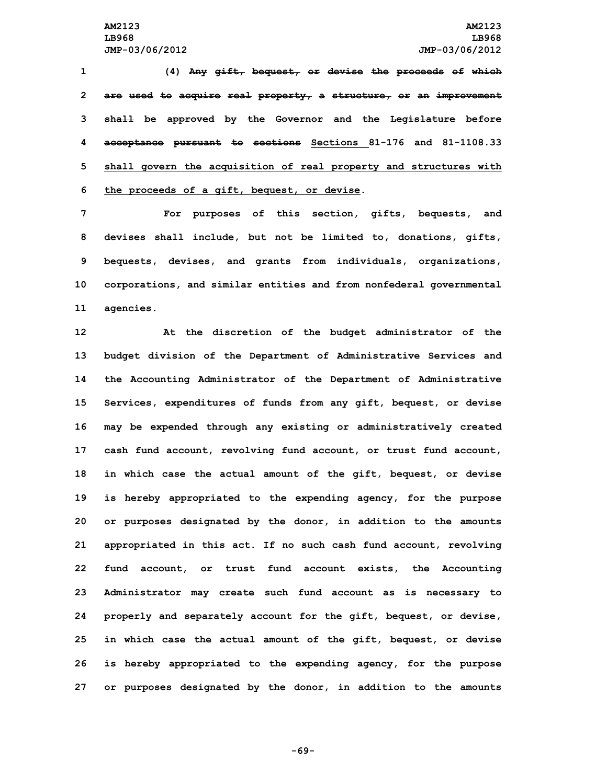**(4) Any gift, bequest, or devise the proceeds of which are used to acquire real property, <sup>a</sup> structure, or an improvement shall be approved by the Governor and the Legislature before acceptance pursuant to sections Sections 81-176 and 81-1108.33 shall govern the acquisition of real property and structures with the proceeds of <sup>a</sup> gift, bequest, or devise.**

 **For purposes of this section, gifts, bequests, and devises shall include, but not be limited to, donations, gifts, bequests, devises, and grants from individuals, organizations, corporations, and similar entities and from nonfederal governmental agencies.**

 **At the discretion of the budget administrator of the budget division of the Department of Administrative Services and the Accounting Administrator of the Department of Administrative Services, expenditures of funds from any gift, bequest, or devise may be expended through any existing or administratively created cash fund account, revolving fund account, or trust fund account, in which case the actual amount of the gift, bequest, or devise is hereby appropriated to the expending agency, for the purpose or purposes designated by the donor, in addition to the amounts appropriated in this act. If no such cash fund account, revolving fund account, or trust fund account exists, the Accounting Administrator may create such fund account as is necessary to properly and separately account for the gift, bequest, or devise, in which case the actual amount of the gift, bequest, or devise is hereby appropriated to the expending agency, for the purpose or purposes designated by the donor, in addition to the amounts**

**-69-**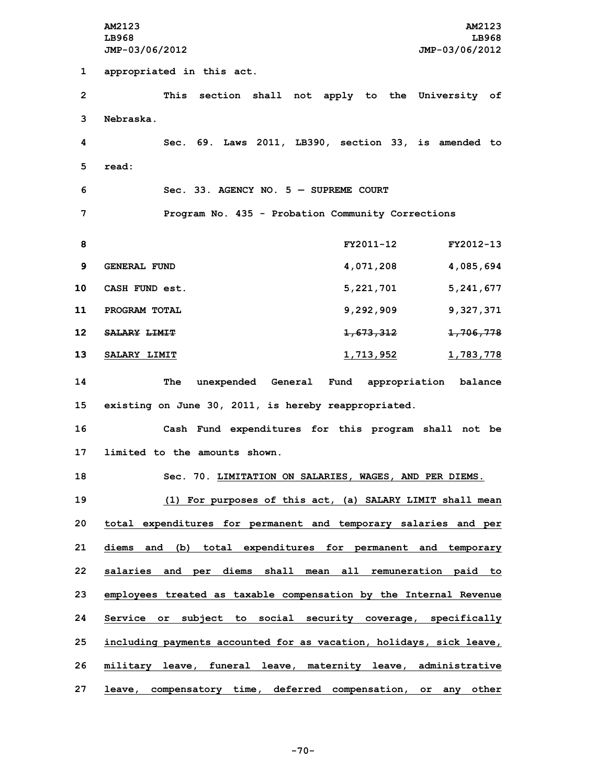**AM2123 AM2123 LB968 LB968 JMP-03/06/2012 JMP-03/06/2012 appropriated in this act. This section shall not apply to the University of Nebraska. Sec. 69. Laws 2011, LB390, section 33, is amended to 5 read: Sec. 33. AGENCY NO. 5 — SUPREME COURT Program No. 435 - Probation Community Corrections FY2011-12 FY2012-13 GENERAL FUND 4,071,208 4,085,694 CASH FUND est. 5,221,701 5,241,677 PROGRAM TOTAL 9,292,909 9,327,371 SALARY LIMIT 1,673,312 1,706,778 SALARY LIMIT 1,713,952 1,783,778 The unexpended General Fund appropriation balance existing on June 30, 2011, is hereby reappropriated. Cash Fund expenditures for this program shall not be limited to the amounts shown. Sec. 70. LIMITATION ON SALARIES, WAGES, AND PER DIEMS. (1) For purposes of this act, (a) SALARY LIMIT shall mean total expenditures for permanent and temporary salaries and per diems and (b) total expenditures for permanent and temporary salaries and per diems shall mean all remuneration paid to employees treated as taxable compensation by the Internal Revenue Service or subject to social security coverage, specifically including payments accounted for as vacation, holidays, sick leave, military leave, funeral leave, maternity leave, administrative leave, compensatory time, deferred compensation, or any other**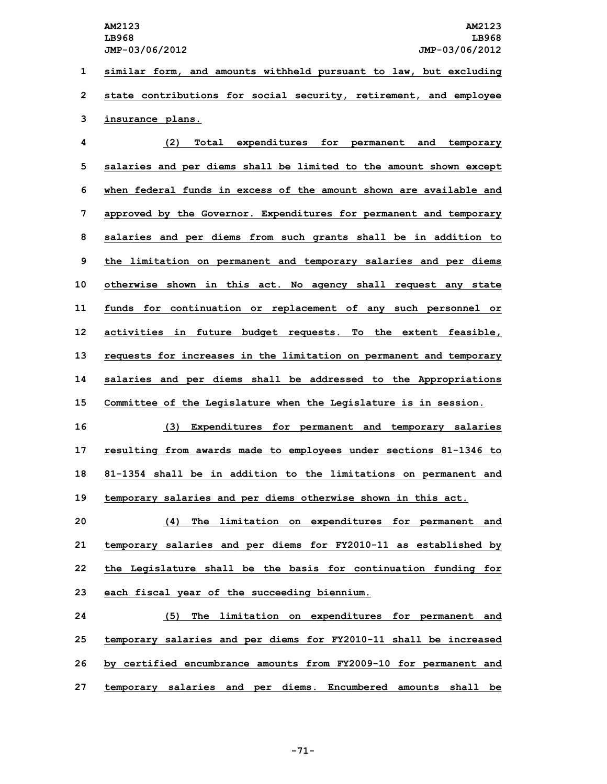**1 similar form, and amounts withheld pursuant to law, but excluding 2 state contributions for social security, retirement, and employee 3 insurance plans.**

 **(2) Total expenditures for permanent and temporary salaries and per diems shall be limited to the amount shown except when federal funds in excess of the amount shown are available and approved by the Governor. Expenditures for permanent and temporary salaries and per diems from such grants shall be in addition to the limitation on permanent and temporary salaries and per diems otherwise shown in this act. No agency shall request any state funds for continuation or replacement of any such personnel or activities in future budget requests. To the extent feasible, requests for increases in the limitation on permanent and temporary salaries and per diems shall be addressed to the Appropriations Committee of the Legislature when the Legislature is in session.**

 **(3) Expenditures for permanent and temporary salaries resulting from awards made to employees under sections 81-1346 to 81-1354 shall be in addition to the limitations on permanent and temporary salaries and per diems otherwise shown in this act.**

 **(4) The limitation on expenditures for permanent and temporary salaries and per diems for FY2010-11 as established by the Legislature shall be the basis for continuation funding for each fiscal year of the succeeding biennium.**

 **(5) The limitation on expenditures for permanent and temporary salaries and per diems for FY2010-11 shall be increased by certified encumbrance amounts from FY2009-10 for permanent and temporary salaries and per diems. Encumbered amounts shall be**